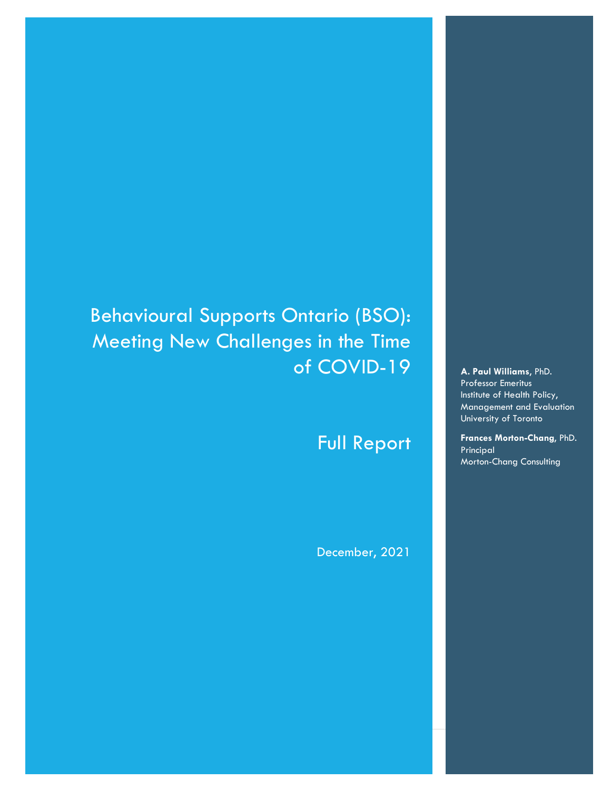# Behavioural Supports Ontario (BSO): Meeting New Challenges in the Time of COVID-19

# Full Report

December, 2021

**A. Paul Williams**, PhD. Professor Emeritus Institute of Health Policy, Management and Evaluation University of Toronto

**Frances Morton-Chang**, PhD. Principal Morton-Chang Consulting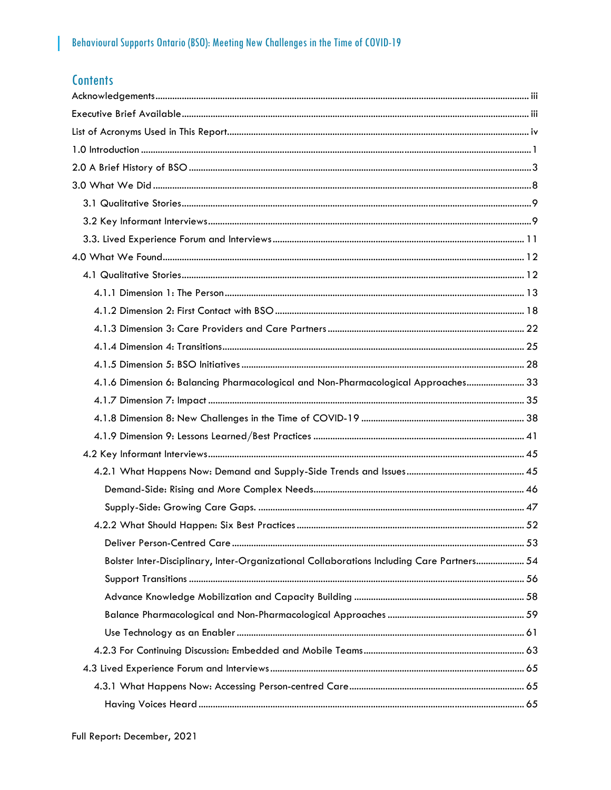# **Contents**

| 4.1.6 Dimension 6: Balancing Pharmacological and Non-Pharmacological Approaches 33         |  |
|--------------------------------------------------------------------------------------------|--|
|                                                                                            |  |
|                                                                                            |  |
|                                                                                            |  |
|                                                                                            |  |
|                                                                                            |  |
|                                                                                            |  |
|                                                                                            |  |
|                                                                                            |  |
|                                                                                            |  |
| Bolster Inter-Disciplinary, Inter-Organizational Collaborations Including Care Partners 54 |  |
|                                                                                            |  |
|                                                                                            |  |
|                                                                                            |  |
|                                                                                            |  |
|                                                                                            |  |
|                                                                                            |  |
|                                                                                            |  |
|                                                                                            |  |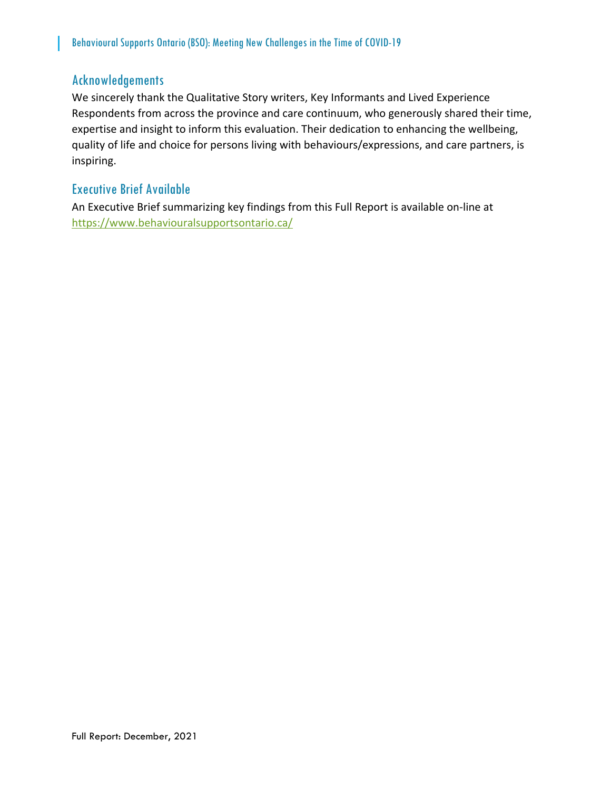## Acknowledgements

We sincerely thank the Qualitative Story writers, Key Informants and Lived Experience Respondents from across the province and care continuum, who generously shared their time, expertise and insight to inform this evaluation. Their dedication to enhancing the wellbeing, quality of life and choice for persons living with behaviours/expressions, and care partners, is inspiring.

### Executive Brief Available

An Executive Brief summarizing key findings from this Full Report is available on‐line at https://www.behaviouralsupportsontario.ca/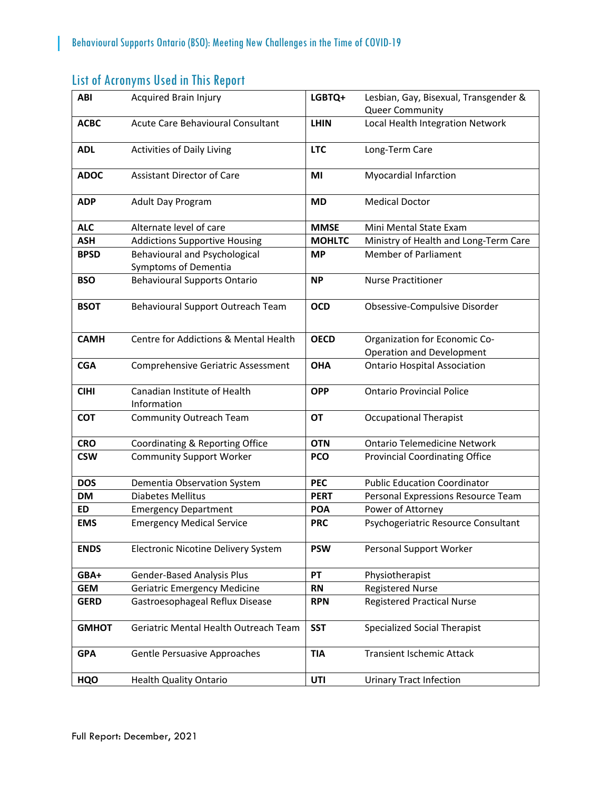# List of Acronyms Used in This Report

| <b>ABI</b>   | <b>Acquired Brain Injury</b>                          | LGBTQ+        | Lesbian, Gay, Bisexual, Transgender &                      |
|--------------|-------------------------------------------------------|---------------|------------------------------------------------------------|
|              |                                                       |               | Queer Community                                            |
| <b>ACBC</b>  | Acute Care Behavioural Consultant                     | <b>LHIN</b>   | Local Health Integration Network                           |
| <b>ADL</b>   | Activities of Daily Living                            | <b>LTC</b>    | Long-Term Care                                             |
| <b>ADOC</b>  | <b>Assistant Director of Care</b>                     | MI            | <b>Myocardial Infarction</b>                               |
| <b>ADP</b>   | <b>Adult Day Program</b>                              | <b>MD</b>     | <b>Medical Doctor</b>                                      |
| <b>ALC</b>   | Alternate level of care                               | <b>MMSE</b>   | Mini Mental State Exam                                     |
| <b>ASH</b>   | <b>Addictions Supportive Housing</b>                  | <b>MOHLTC</b> | Ministry of Health and Long-Term Care                      |
| <b>BPSD</b>  | Behavioural and Psychological<br>Symptoms of Dementia | <b>MP</b>     | <b>Member of Parliament</b>                                |
| <b>BSO</b>   | <b>Behavioural Supports Ontario</b>                   | <b>NP</b>     | <b>Nurse Practitioner</b>                                  |
| <b>BSOT</b>  | Behavioural Support Outreach Team                     | <b>OCD</b>    | Obsessive-Compulsive Disorder                              |
| <b>CAMH</b>  | Centre for Addictions & Mental Health                 | <b>OECD</b>   | Organization for Economic Co-<br>Operation and Development |
| <b>CGA</b>   | <b>Comprehensive Geriatric Assessment</b>             | <b>OHA</b>    | <b>Ontario Hospital Association</b>                        |
| <b>CIHI</b>  | Canadian Institute of Health<br>Information           | <b>OPP</b>    | <b>Ontario Provincial Police</b>                           |
| <b>COT</b>   | <b>Community Outreach Team</b>                        | <b>OT</b>     | <b>Occupational Therapist</b>                              |
| <b>CRO</b>   | Coordinating & Reporting Office                       | <b>OTN</b>    | <b>Ontario Telemedicine Network</b>                        |
| <b>CSW</b>   | <b>Community Support Worker</b>                       | <b>PCO</b>    | <b>Provincial Coordinating Office</b>                      |
| <b>DOS</b>   | Dementia Observation System                           | <b>PEC</b>    | <b>Public Education Coordinator</b>                        |
| <b>DM</b>    | <b>Diabetes Mellitus</b>                              | <b>PERT</b>   | Personal Expressions Resource Team                         |
| <b>ED</b>    | <b>Emergency Department</b>                           | <b>POA</b>    | Power of Attorney                                          |
| <b>EMS</b>   | <b>Emergency Medical Service</b>                      | <b>PRC</b>    | Psychogeriatric Resource Consultant                        |
| <b>ENDS</b>  | Electronic Nicotine Delivery System                   | <b>PSW</b>    | Personal Support Worker                                    |
| GBA+         | <b>Gender-Based Analysis Plus</b>                     | PT            | Physiotherapist                                            |
| <b>GEM</b>   | <b>Geriatric Emergency Medicine</b>                   | <b>RN</b>     | <b>Registered Nurse</b>                                    |
| <b>GERD</b>  | Gastroesophageal Reflux Disease                       | <b>RPN</b>    | <b>Registered Practical Nurse</b>                          |
| <b>GMHOT</b> | Geriatric Mental Health Outreach Team                 | <b>SST</b>    | <b>Specialized Social Therapist</b>                        |
| <b>GPA</b>   | Gentle Persuasive Approaches                          | <b>TIA</b>    | <b>Transient Ischemic Attack</b>                           |
| <b>HQO</b>   | Health Quality Ontario                                | UTI           | <b>Urinary Tract Infection</b>                             |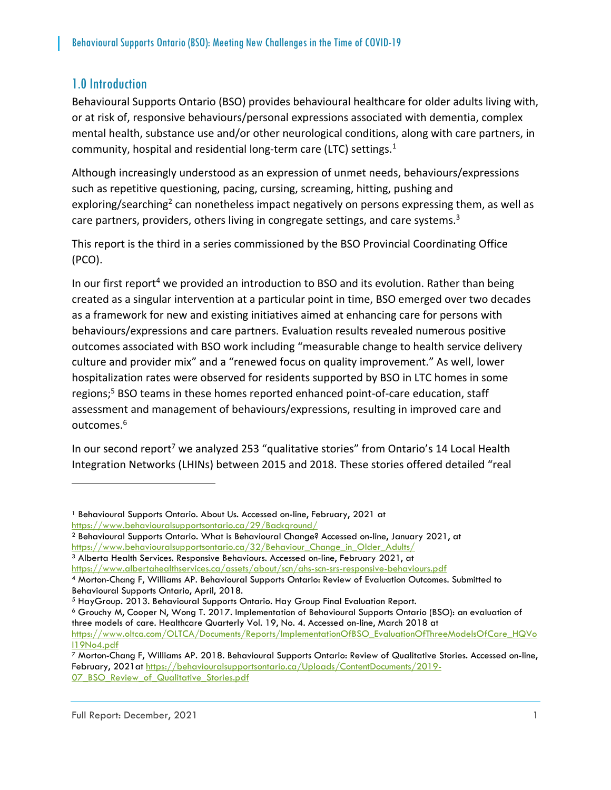# 1.0 Introduction

Behavioural Supports Ontario (BSO) provides behavioural healthcare for older adults living with, or at risk of, responsive behaviours/personal expressions associated with dementia, complex mental health, substance use and/or other neurological conditions, along with care partners, in community, hospital and residential long-term care (LTC) settings.<sup>1</sup>

Although increasingly understood as an expression of unmet needs, behaviours/expressions such as repetitive questioning, pacing, cursing, screaming, hitting, pushing and exploring/searching<sup>2</sup> can nonetheless impact negatively on persons expressing them, as well as care partners, providers, others living in congregate settings, and care systems. $3$ 

This report is the third in a series commissioned by the BSO Provincial Coordinating Office (PCO).

In our first report<sup>4</sup> we provided an introduction to BSO and its evolution. Rather than being created as a singular intervention at a particular point in time, BSO emerged over two decades as a framework for new and existing initiatives aimed at enhancing care for persons with behaviours/expressions and care partners. Evaluation results revealed numerous positive outcomes associated with BSO work including "measurable change to health service delivery culture and provider mix" and a "renewed focus on quality improvement." As well, lower hospitalization rates were observed for residents supported by BSO in LTC homes in some regions;<sup>5</sup> BSO teams in these homes reported enhanced point-of-care education, staff assessment and management of behaviours/expressions, resulting in improved care and outcomes.<sup>6</sup>

In our second report<sup>7</sup> we analyzed 253 "qualitative stories" from Ontario's 14 Local Health Integration Networks (LHINs) between 2015 and 2018. These stories offered detailed "real

https://www.albertahealthservices.ca/assets/about/scn/ahs-scn-srs-responsive-behaviours.pdf

<sup>&</sup>lt;sup>1</sup> Behavioural Supports Ontario. About Us. Accessed on-line, February, 2021 at

https://www.behaviouralsupportsontario.ca/29/Background/

<sup>2</sup> Behavioural Supports Ontario. What is Behavioural Change? Accessed on-line, January 2021, at https://www.behaviouralsupportsontario.ca/32/Behaviour Change\_in\_Older\_Adults/<br><sup>3</sup> Alberta Health Services. Responsive Behaviours. Accessed on-line, February 2021, at

<sup>4</sup> Morton-Chang F, Williams AP. Behavioural Supports Ontario: Review of Evaluation Outcomes. Submitted to Behavioural Supports Ontario, April, 2018.

<sup>&</sup>lt;sup>5</sup> HayGroup. 2013. Behavioural Supports Ontario. Hay Group Final Evaluation Report.<br><sup>6</sup> Grouchy M, Cooper N, Wong T. 2017. Implementation of Behavioural Supports Ontario (BSO): an evaluation of three models of care. Healthcare Quarterly Vol. 19, No. 4. Accessed on-line, March 2018 at

https://www.oltca.com/OLTCA/Documents/Reports/ImplementationOfBSO\_EvaluationOfThreeModelsOfCare\_HQVo <mark>119No4.pdf</mark><br>7 Morton-Chang F, Williams AP. 2018. Behavioural Supports Ontario: Review of Qualitative Stories. Accessed on-line,

February, 2021at https://behaviouralsupportsontario.ca/Uploads/ContentDocuments/2019- 07\_BSO\_Review\_of\_Qualitative\_Stories.pdf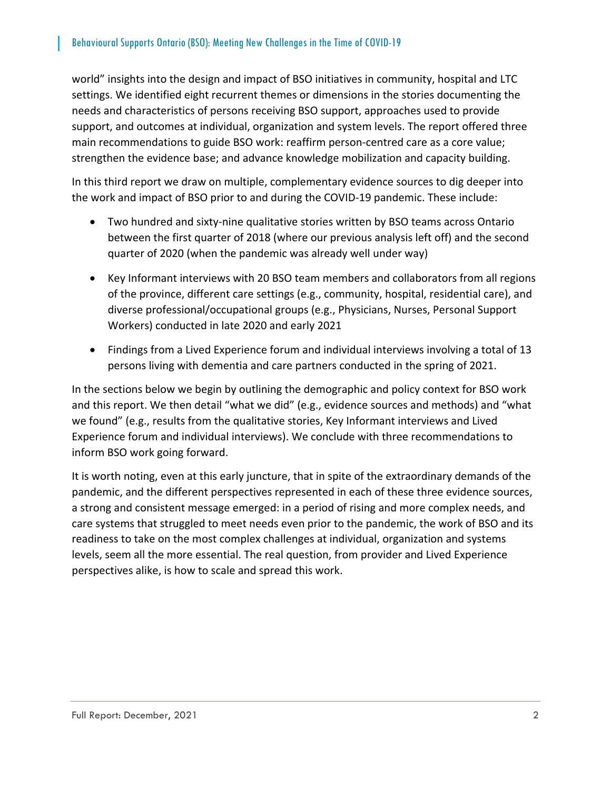world" insights into the design and impact of BSO initiatives in community, hospital and LTC settings. We identified eight recurrent themes or dimensions in the stories documenting the needs and characteristics of persons receiving BSO support, approaches used to provide support, and outcomes at individual, organization and system levels. The report offered three main recommendations to guide BSO work: reaffirm person‐centred care as a core value; strengthen the evidence base; and advance knowledge mobilization and capacity building.

In this third report we draw on multiple, complementary evidence sources to dig deeper into the work and impact of BSO prior to and during the COVID‐19 pandemic. These include:

- Two hundred and sixty-nine qualitative stories written by BSO teams across Ontario between the first quarter of 2018 (where our previous analysis left off) and the second quarter of 2020 (when the pandemic was already well under way)
- Key Informant interviews with 20 BSO team members and collaborators from all regions of the province, different care settings (e.g., community, hospital, residential care), and diverse professional/occupational groups (e.g., Physicians, Nurses, Personal Support Workers) conducted in late 2020 and early 2021
- Findings from a Lived Experience forum and individual interviews involving a total of 13 persons living with dementia and care partners conducted in the spring of 2021.

In the sections below we begin by outlining the demographic and policy context for BSO work and this report. We then detail "what we did" (e.g., evidence sources and methods) and "what we found" (e.g., results from the qualitative stories, Key Informant interviews and Lived Experience forum and individual interviews). We conclude with three recommendations to inform BSO work going forward.

It is worth noting, even at this early juncture, that in spite of the extraordinary demands of the pandemic, and the different perspectives represented in each of these three evidence sources, a strong and consistent message emerged: in a period of rising and more complex needs, and care systems that struggled to meet needs even prior to the pandemic, the work of BSO and its readiness to take on the most complex challenges at individual, organization and systems levels, seem all the more essential. The real question, from provider and Lived Experience perspectives alike, is how to scale and spread this work.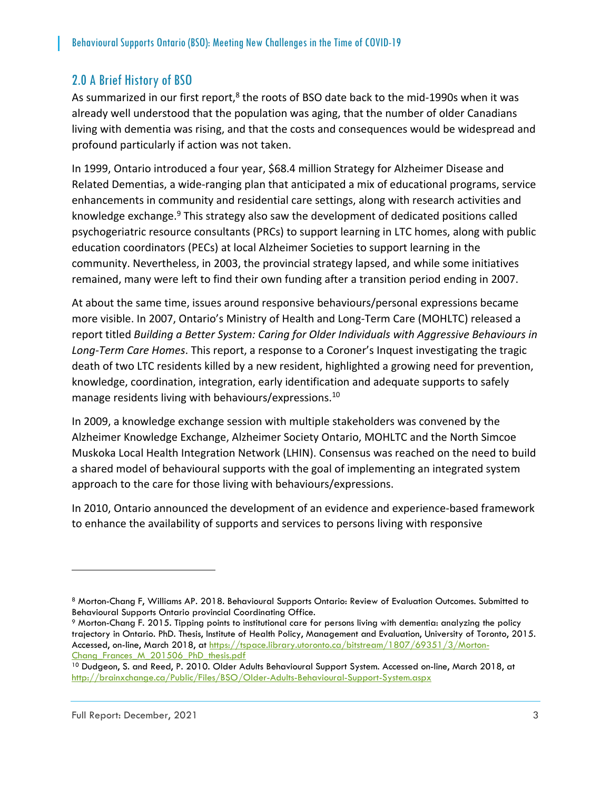# 2.0 A Brief History of BSO

As summarized in our first report, $8$  the roots of BSO date back to the mid-1990s when it was already well understood that the population was aging, that the number of older Canadians living with dementia was rising, and that the costs and consequences would be widespread and profound particularly if action was not taken.

In 1999, Ontario introduced a four year, \$68.4 million Strategy for Alzheimer Disease and Related Dementias, a wide‐ranging plan that anticipated a mix of educational programs, service enhancements in community and residential care settings, along with research activities and knowledge exchange.<sup>9</sup> This strategy also saw the development of dedicated positions called psychogeriatric resource consultants (PRCs) to support learning in LTC homes, along with public education coordinators (PECs) at local Alzheimer Societies to support learning in the community. Nevertheless, in 2003, the provincial strategy lapsed, and while some initiatives remained, many were left to find their own funding after a transition period ending in 2007.

At about the same time, issues around responsive behaviours/personal expressions became more visible. In 2007, Ontario's Ministry of Health and Long‐Term Care (MOHLTC) released a report titled *Building a Better System: Caring for Older Individuals with Aggressive Behaviours in Long‐Term Care Homes*. This report, a response to a Coroner's Inquest investigating the tragic death of two LTC residents killed by a new resident, highlighted a growing need for prevention, knowledge, coordination, integration, early identification and adequate supports to safely manage residents living with behaviours/expressions.10

In 2009, a knowledge exchange session with multiple stakeholders was convened by the Alzheimer Knowledge Exchange, Alzheimer Society Ontario, MOHLTC and the North Simcoe Muskoka Local Health Integration Network (LHIN). Consensus was reached on the need to build a shared model of behavioural supports with the goal of implementing an integrated system approach to the care for those living with behaviours/expressions.

In 2010, Ontario announced the development of an evidence and experience‐based framework to enhance the availability of supports and services to persons living with responsive

<sup>8</sup> Morton-Chang F, Williams AP. 2018. Behavioural Supports Ontario: Review of Evaluation Outcomes. Submitted to Behavioural Supports Ontario provincial Coordinating Office.<br>9 Morton-Chang F. 2015. Tipping points to institutional care for persons living with dementia: analyzing the policy

trajectory in Ontario. PhD. Thesis, Institute of Health Policy, Management and Evaluation, University of Toronto, 2015. Accessed, on-line, March 2018, at https://tspace.library.utoronto.ca/bitstream/1807/69351/3/Morton-Chang\_Frances\_M\_201506\_PhD\_thesis.pdf

<sup>10</sup> Dudgeon, S. and Reed, P. 2010. Older Adults Behavioural Support System. Accessed on-line, March 2018, at http://brainxchange.ca/Public/Files/BSO/Older-Adults-Behavioural-Support-System.aspx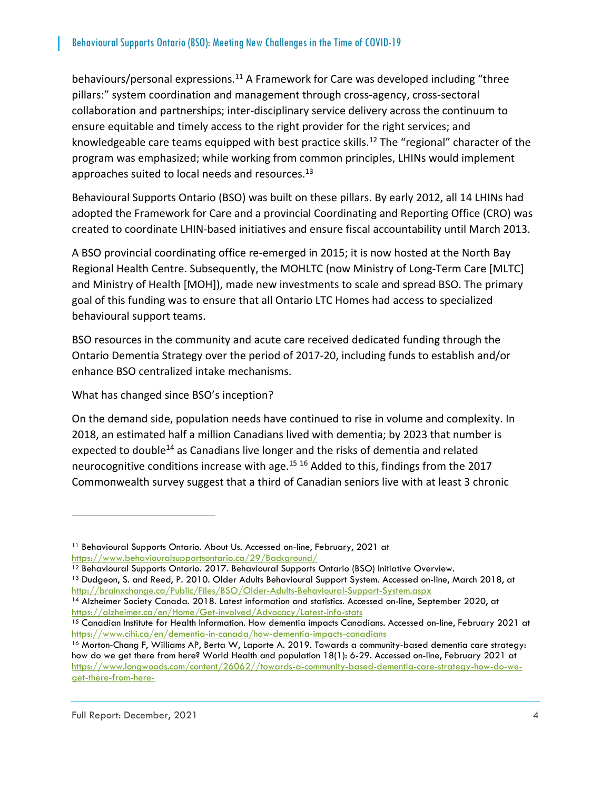behaviours/personal expressions.11 A Framework for Care was developed including "three pillars:" system coordination and management through cross‐agency, cross‐sectoral collaboration and partnerships; inter‐disciplinary service delivery across the continuum to ensure equitable and timely access to the right provider for the right services; and knowledgeable care teams equipped with best practice skills.<sup>12</sup> The "regional" character of the program was emphasized; while working from common principles, LHINs would implement approaches suited to local needs and resources.<sup>13</sup>

Behavioural Supports Ontario (BSO) was built on these pillars. By early 2012, all 14 LHINs had adopted the Framework for Care and a provincial Coordinating and Reporting Office (CRO) was created to coordinate LHIN‐based initiatives and ensure fiscal accountability until March 2013.

A BSO provincial coordinating office re‐emerged in 2015; it is now hosted at the North Bay Regional Health Centre. Subsequently, the MOHLTC (now Ministry of Long‐Term Care [MLTC] and Ministry of Health [MOH]), made new investments to scale and spread BSO. The primary goal of this funding was to ensure that all Ontario LTC Homes had access to specialized behavioural support teams.

BSO resources in the community and acute care received dedicated funding through the Ontario Dementia Strategy over the period of 2017‐20, including funds to establish and/or enhance BSO centralized intake mechanisms.

What has changed since BSO's inception?

On the demand side, population needs have continued to rise in volume and complexity. In 2018, an estimated half a million Canadians lived with dementia; by 2023 that number is expected to double<sup>14</sup> as Canadians live longer and the risks of dementia and related neurocognitive conditions increase with age.<sup>15 16</sup> Added to this, findings from the 2017 Commonwealth survey suggest that a third of Canadian seniors live with at least 3 chronic

<sup>&</sup>lt;sup>11</sup> Behavioural Supports Ontario. About Us. Accessed on-line, February, 2021 at

https://www.behaviouralsupportsontario.ca/29/Background/<br><sup>12</sup> Behavioural Supports Ontario. 2017. Behavioural Supports Ontario (BSO) Initiative Overview.

<sup>&</sup>lt;sup>13</sup> Dudgeon, S. and Reed, P. 2010. Older Adults Behavioural Support System. Accessed on-line, March 2018, at http://brainxchange.ca/Public/Files/BSO/Older-Adults-Behavioural-Support-System.aspx

<sup>14</sup> Alzheimer Society Canada. 2018. Latest information and statistics. Accessed on-line, September 2020, at <u>https://alzheimer.ca/en/Home/Get-involved/Advocacy/Latest-info-stats</u><br><sup>15</sup> Canadian Institute for Health Information. How dementia impacts Canadians. Accessed on-line, February 2021 at

https://www.cihi.ca/en/dementia-in-canada/how-dementia-impacts-canadians<br><sup>16</sup> Morton-Chang F, Williams AP, Berta W, Laporte A. 2019. Towards a community-based dementia care strategy:

how do we get there from here? World Health and population 18(1): 6-29. Accessed on-line, February 2021 at https://www.longwoods.com/content/26062//towards-a-community-based-dementia-care-strategy-how-do-weget-there-from-here-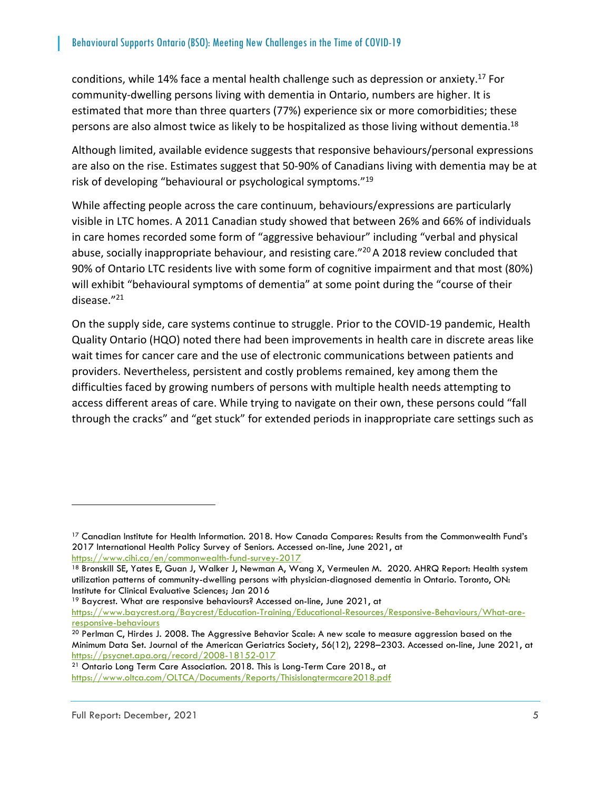conditions, while 14% face a mental health challenge such as depression or anxiety.17 For community‐dwelling persons living with dementia in Ontario, numbers are higher. It is estimated that more than three quarters (77%) experience six or more comorbidities; these persons are also almost twice as likely to be hospitalized as those living without dementia.<sup>18</sup>

Although limited, available evidence suggests that responsive behaviours/personal expressions are also on the rise. Estimates suggest that 50‐90% of Canadians living with dementia may be at risk of developing "behavioural or psychological symptoms."19

While affecting people across the care continuum, behaviours/expressions are particularly visible in LTC homes. A 2011 Canadian study showed that between 26% and 66% of individuals in care homes recorded some form of "aggressive behaviour" including "verbal and physical abuse, socially inappropriate behaviour, and resisting care."<sup>20</sup> A 2018 review concluded that 90% of Ontario LTC residents live with some form of cognitive impairment and that most (80%) will exhibit "behavioural symptoms of dementia" at some point during the "course of their disease."21

On the supply side, care systems continue to struggle. Prior to the COVID‐19 pandemic, Health Quality Ontario (HQO) noted there had been improvements in health care in discrete areas like wait times for cancer care and the use of electronic communications between patients and providers. Nevertheless, persistent and costly problems remained, key among them the difficulties faced by growing numbers of persons with multiple health needs attempting to access different areas of care. While trying to navigate on their own, these persons could "fall through the cracks" and "get stuck" for extended periods in inappropriate care settings such as

19 Baycrest. What are responsive behaviours? Accessed on-line, June 2021, at

https://www.baycrest.org/Baycrest/Education-Training/Educational-Resources/Responsive-Behaviours/What-are-<u>responsive-behaviours</u><br><sup>20</sup> Perlman C, Hirdes J. 2008. The Aggressive Behavior Scale: A new scale to measure aggression based on the

https://www.oltca.com/OLTCA/Documents/Reports/Thisislongtermcare2018.pdf

<sup>&</sup>lt;sup>17</sup> Canadian Institute for Health Information. 2018. How Canada Compares: Results from the Commonwealth Fund's 2017 International Health Policy Survey of Seniors. Accessed on-line, June 2021, at

https://www.cihi.ca/en/commonwealth-fund-survey-2017<br><sup>18</sup> Bronskill SE, Yates E, Guan J, Walker J, Newman A, Wang X, Vermeulen M. 2020. AHRQ Report: Health system utilization patterns of community-dwelling persons with physician-diagnosed dementia in Ontario. Toronto, ON: Institute for Clinical Evaluative Sciences; Jan 2016

Minimum Data Set. Journal of the American Geriatrics Society, 56(12), 2298–2303. Accessed on-line, June 2021, at https://psycnet.apa.org/record/2008-18152-017<br><sup>21</sup> Ontario Long Term Care Association. 2018. This is Long-Term Care 2018., at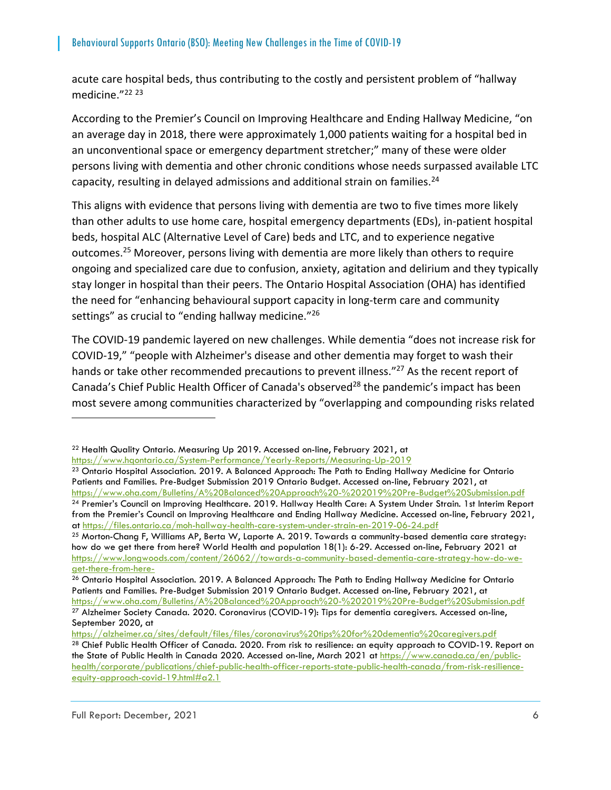acute care hospital beds, thus contributing to the costly and persistent problem of "hallway medicine."22 <sup>23</sup>

According to the Premier's Council on Improving Healthcare and Ending Hallway Medicine, "on an average day in 2018, there were approximately 1,000 patients waiting for a hospital bed in an unconventional space or emergency department stretcher;" many of these were older persons living with dementia and other chronic conditions whose needs surpassed available LTC capacity, resulting in delayed admissions and additional strain on families.<sup>24</sup>

This aligns with evidence that persons living with dementia are two to five times more likely than other adults to use home care, hospital emergency departments (EDs), in‐patient hospital beds, hospital ALC (Alternative Level of Care) beds and LTC, and to experience negative outcomes.25 Moreover, persons living with dementia are more likely than others to require ongoing and specialized care due to confusion, anxiety, agitation and delirium and they typically stay longer in hospital than their peers. The Ontario Hospital Association (OHA) has identified the need for "enhancing behavioural support capacity in long‐term care and community settings" as crucial to "ending hallway medicine."<sup>26</sup>

The COVID‐19 pandemic layered on new challenges. While dementia "does not increase risk for COVID‐19," "people with Alzheimer's disease and other dementia may forget to wash their hands or take other recommended precautions to prevent illness."<sup>27</sup> As the recent report of Canada's Chief Public Health Officer of Canada's observed $^{28}$  the pandemic's impact has been most severe among communities characterized by "overlapping and compounding risks related

 $\overline{a}$ 

<sup>&</sup>lt;sup>22</sup> Health Quality Ontario. Measuring Up 2019. Accessed on-line, February 2021, at<br>https://www.haontario.ca/System-Performance/Yearly-Reports/Measuring-Up-2019

<sup>&</sup>lt;sup>23</sup> Ontario Hospital Association. 2019. A Balanced Approach: The Path to Ending Hallway Medicine for Ontario Patients and Families. Pre-Budget Submission 2019 Ontario Budget. Accessed on-line, February 2021, at<br>https://www.oha.com/Bulletins/A%20Balanced%20Approach%20-%202019%20Pre-Budget%20Submission.pdf <sup>24</sup> Premier's Council on Improving Healthcare. 2019. Hallway Health Care: A System Under Strain. 1st Interim Report from the Premier's Council on Improving Healthcare and Ending Hallway Medicine. Accessed on-line, February 2021, at <u>https://files.ontario.ca/moh-hallway-health-care-system-under-strain-en-2019-06-24.pdf</u><br><sup>25</sup> Morton-Chang F, Williams AP, Berta W, Laporte A. 2019. Towards a community-based dementia care strategy:

how do we get there from here? World Health and population 18(1): 6-29. Accessed on-line, February 2021 at https://www.longwoods.com/content/26062//towards-a-community-based-dementia-care-strategy-how-do-we-

get-there-from-here-<br><sup>26</sup> Ontario Hospital Association. 2019. A Balanced Approach: The Path to Ending Hallway Medicine for Ontario Patients and Families. Pre-Budget Submission 2019 Ontario Budget. Accessed on-line, February 2021, at https://www.oha.com/Bulletins/A%20Balanced%20Approach%20-%202019%20Pre-Budget%20Submission.pdf <sup>27</sup> Alzheimer Society Canada. 2020. Coronavirus (COVID-19): Tips for dementia caregivers. Accessed on-line, September 2020, at

https://alzheimer.ca/sites/default/files/files/coronavirus%20tips%20for%20dementia%20caregivers.pdf <sup>28</sup> Chief Public Health Officer of Canada. 2020. From risk to resilience: an equity approach to COVID-19. Report on the State of Public Health in Canada 2020. Accessed on-line, March 2021 at https://www.canada.ca/en/publichealth/corporate/publications/chief-public-health-officer-reports-state-public-health-canada/from-risk-resilienceequity-approach-covid-19.html#a2.1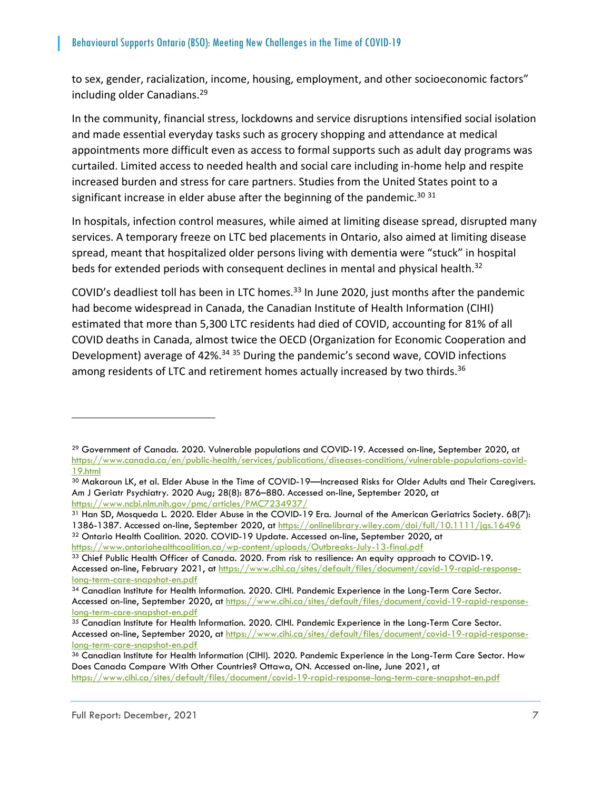to sex, gender, racialization, income, housing, employment, and other socioeconomic factors" including older Canadians.29

In the community, financial stress, lockdowns and service disruptions intensified social isolation and made essential everyday tasks such as grocery shopping and attendance at medical appointments more difficult even as access to formal supports such as adult day programs was curtailed. Limited access to needed health and social care including in‐home help and respite increased burden and stress for care partners. Studies from the United States point to a significant increase in elder abuse after the beginning of the pandemic.<sup>30 31</sup>

In hospitals, infection control measures, while aimed at limiting disease spread, disrupted many services. A temporary freeze on LTC bed placements in Ontario, also aimed at limiting disease spread, meant that hospitalized older persons living with dementia were "stuck" in hospital beds for extended periods with consequent declines in mental and physical health.<sup>32</sup>

COVID's deadliest toll has been in LTC homes.33 In June 2020, just months after the pandemic had become widespread in Canada, the Canadian Institute of Health Information (CIHI) estimated that more than 5,300 LTC residents had died of COVID, accounting for 81% of all COVID deaths in Canada, almost twice the OECD (Organization for Economic Cooperation and Development) average of 42%.<sup>34 35</sup> During the pandemic's second wave, COVID infections among residents of LTC and retirement homes actually increased by two thirds.<sup>36</sup>

1386-1387. Accessed on-line, September 2020, at https://onlinelibrary.wiley.com/doi/full/10.1111/jgs.16496<br><sup>32</sup> Ontario Health Coalition. 2020. COVID-19 Update. Accessed on-line, September 2020, at https://www.ontariohealthcoalition.ca/wp-content/uploads/Outbreaks-July-13-final.pdf

33 Chief Public Health Officer of Canada. 2020. From risk to resilience: An equity approach to COVID-19. Accessed on-line, February 2021, at https://www.cihi.ca/sites/default/files/document/covid-19-rapid-responselong-term-care-snapshot-en.pdf<br><sup>34</sup> Canadian Institute for Health Information. 2020. CIHI. Pandemic Experience in the Long-Term Care Sector.

 $\overline{a}$ 

<sup>&</sup>lt;sup>29</sup> Government of Canada. 2020. Vulnerable populations and COVID-19. Accessed on-line, September 2020, at https://www.canada.ca/en/public-health/services/publications/diseases-conditions/vulnerable-populations-covid-19.html<br><sup>30</sup> Makaroun LK, et al. Elder Abuse in the Time of COVID-19—Increased Risks for Older Adults and Their Caregivers.

Am J Geriatr Psychiatry. 2020 Aug; 28(8): 876–880. Accessed on-line, September 2020, at https://www.ncbi.nlm.nih.gov/pmc/articles/PMC7234937/

 $31$  Han SD, Mosqueda L. 2020. Elder Abuse in the COVID-19 Era. Journal of the American Geriatrics Society. 68(7):

Accessed on-line, September 2020, at https://www.cihi.ca/sites/default/files/document/covid-19-rapid-responsel<mark>ong-term-care-snapshot-en.pdf</mark><br><sup>35</sup> Canadian Institute for Health Information. 2020. CIHI. Pandemic Experience in the Long-Term Care Sector.

Accessed on-line, September 2020, at https://www.cihi.ca/sites/default/files/document/covid-19-rapid-responsel<mark>ong-term-care-snapshot-en.pdf</mark><br><sup>36</sup> Canadian Institute for Health Information (CIHI). 2020. Pandemic Experience in the Long-Term Care Sector. How

Does Canada Compare With Other Countries? Ottawa, ON. Accessed on-line, June 2021, at https://www.cihi.ca/sites/default/files/document/covid-19-rapid-response-long-term-care-snapshot-en.pdf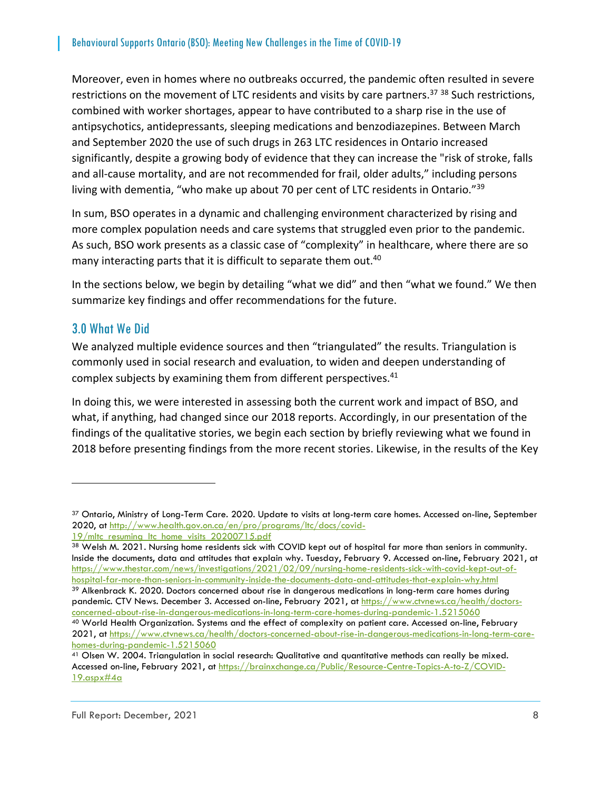Moreover, even in homes where no outbreaks occurred, the pandemic often resulted in severe restrictions on the movement of LTC residents and visits by care partners.<sup>37 38</sup> Such restrictions, combined with worker shortages, appear to have contributed to a sharp rise in the use of antipsychotics, antidepressants, sleeping medications and benzodiazepines. Between March and September 2020 the use of such drugs in 263 LTC residences in Ontario increased significantly, despite a growing body of evidence that they can increase the "risk of stroke, falls and all-cause mortality, and are not recommended for frail, older adults," including persons living with dementia, "who make up about 70 per cent of LTC residents in Ontario."<sup>39</sup>

In sum, BSO operates in a dynamic and challenging environment characterized by rising and more complex population needs and care systems that struggled even prior to the pandemic. As such, BSO work presents as a classic case of "complexity" in healthcare, where there are so many interacting parts that it is difficult to separate them out.<sup>40</sup>

In the sections below, we begin by detailing "what we did" and then "what we found." We then summarize key findings and offer recommendations for the future.

## 3.0 What We Did

We analyzed multiple evidence sources and then "triangulated" the results. Triangulation is commonly used in social research and evaluation, to widen and deepen understanding of complex subjects by examining them from different perspectives.<sup>41</sup>

In doing this, we were interested in assessing both the current work and impact of BSO, and what, if anything, had changed since our 2018 reports. Accordingly, in our presentation of the findings of the qualitative stories, we begin each section by briefly reviewing what we found in 2018 before presenting findings from the more recent stories. Likewise, in the results of the Key

<sup>37</sup> Ontario, Ministry of Long-Term Care. 2020. Update to visits at long-term care homes. Accessed on-line, September 2020, at http://www.health.gov.on.ca/en/pro/programs/ltc/docs/covid-<br>19/mltc\_resuming\_ltc\_home\_visits\_20200715.pdf

<sup>38</sup> Welsh M. 2021. Nursing home residents sick with COVID kept out of hospital far more than seniors in community. Inside the documents, data and attitudes that explain why. Tuesday, February 9. Accessed on-line, February 2021, at https://www.thestar.com/news/investigations/2021/02/09/nursing-home-residents-sick-with-covid-kept-out-ofhospital-far-more-than-seniors-in-community-inside-the-documents-data-and-attitudes-that-explain-why.html 39 Alkenbrack K. 2020. Doctors concerned about rise in dangerous medications in long-term care homes during

pandemic. CTV News. December 3. Accessed on-line, February 2021, at https://www.ctvnews.ca/health/doctorsconcerned-about-rise-in-dangerous-medications-in-long-term-care-homes-during-pandemic-1.5215060 40 Unite, February<br><sup>40</sup> World Health Organization. Systems and the effect of complexity on patient care. Accessed on-line, Feb 2021, at https://www.ctvnews.ca/health/doctors-concerned-about-rise-in-dangerous-medications-in-long-term-care-

homes-during-pandemic-1.5215060<br><sup>41</sup> Olsen W. 2004. Triangulation in social research: Qualitative and quantitative methods can really be mixed. Accessed on-line, February 2021, at https://brainxchange.ca/Public/Resource-Centre-Topics-A-to-Z/COVID-19.aspx#4a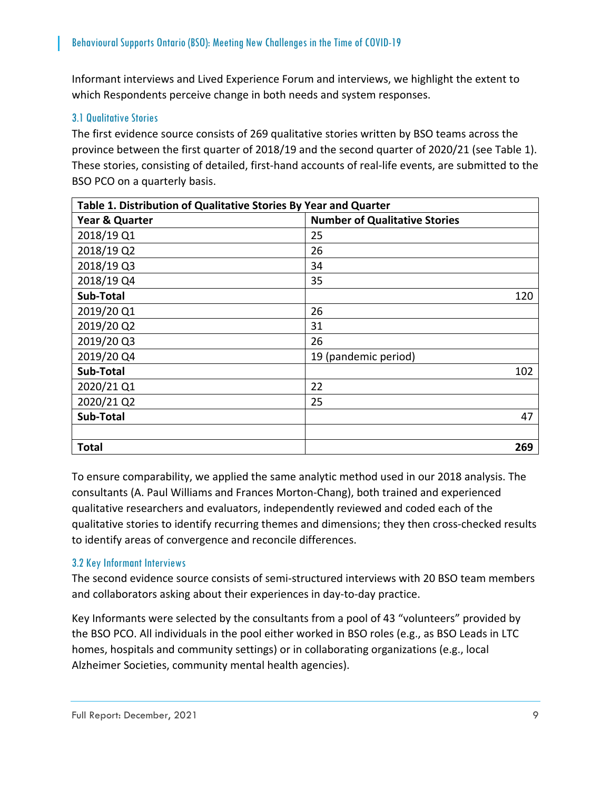Informant interviews and Lived Experience Forum and interviews, we highlight the extent to which Respondents perceive change in both needs and system responses.

#### 3.1 Qualitative Stories

The first evidence source consists of 269 qualitative stories written by BSO teams across the province between the first quarter of 2018/19 and the second quarter of 2020/21 (see Table 1). These stories, consisting of detailed, first-hand accounts of real-life events, are submitted to the BSO PCO on a quarterly basis.

| Table 1. Distribution of Qualitative Stories By Year and Quarter |                                      |  |  |
|------------------------------------------------------------------|--------------------------------------|--|--|
| Year & Quarter                                                   | <b>Number of Qualitative Stories</b> |  |  |
| 2018/19 Q1                                                       | 25                                   |  |  |
| 2018/19 Q2                                                       | 26                                   |  |  |
| 2018/19 Q3                                                       | 34                                   |  |  |
| 2018/19 Q4                                                       | 35                                   |  |  |
| Sub-Total                                                        | 120                                  |  |  |
| 2019/20 Q1                                                       | 26                                   |  |  |
| 2019/20 Q2                                                       | 31                                   |  |  |
| 2019/20 Q3                                                       | 26                                   |  |  |
| 2019/20 Q4                                                       | 19 (pandemic period)                 |  |  |
| Sub-Total                                                        | 102                                  |  |  |
| 2020/21 Q1                                                       | 22                                   |  |  |
| 2020/21 Q2                                                       | 25                                   |  |  |
| Sub-Total                                                        | 47                                   |  |  |
|                                                                  |                                      |  |  |
| <b>Total</b>                                                     | 269                                  |  |  |

To ensure comparability, we applied the same analytic method used in our 2018 analysis. The consultants (A. Paul Williams and Frances Morton‐Chang), both trained and experienced qualitative researchers and evaluators, independently reviewed and coded each of the qualitative stories to identify recurring themes and dimensions; they then cross‐checked results to identify areas of convergence and reconcile differences.

#### 3.2 Key Informant Interviews

The second evidence source consists of semi‐structured interviews with 20 BSO team members and collaborators asking about their experiences in day‐to‐day practice.

Key Informants were selected by the consultants from a pool of 43 "volunteers" provided by the BSO PCO. All individuals in the pool either worked in BSO roles (e.g., as BSO Leads in LTC homes, hospitals and community settings) or in collaborating organizations (e.g., local Alzheimer Societies, community mental health agencies).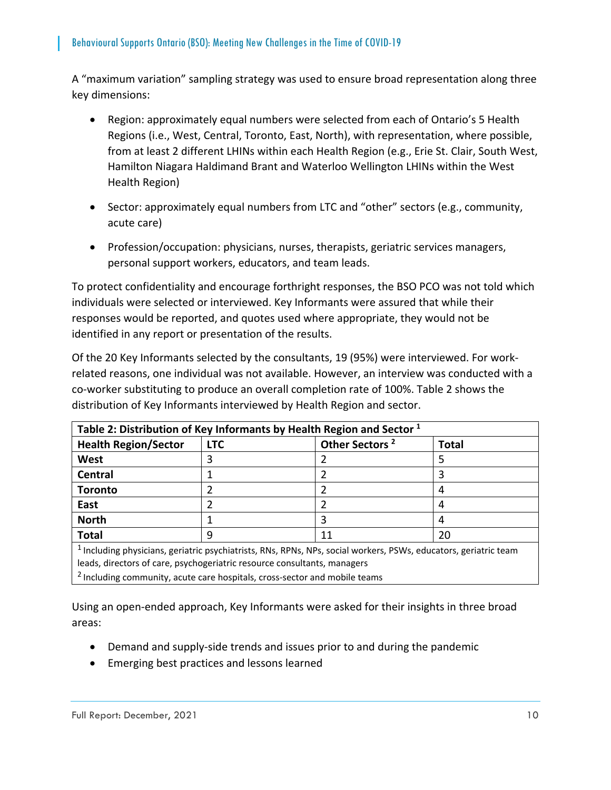A "maximum variation" sampling strategy was used to ensure broad representation along three key dimensions:

- Region: approximately equal numbers were selected from each of Ontario's 5 Health Regions (i.e., West, Central, Toronto, East, North), with representation, where possible, from at least 2 different LHINs within each Health Region (e.g., Erie St. Clair, South West, Hamilton Niagara Haldimand Brant and Waterloo Wellington LHINs within the West Health Region)
- Sector: approximately equal numbers from LTC and "other" sectors (e.g., community, acute care)
- Profession/occupation: physicians, nurses, therapists, geriatric services managers, personal support workers, educators, and team leads.

To protect confidentiality and encourage forthright responses, the BSO PCO was not told which individuals were selected or interviewed. Key Informants were assured that while their responses would be reported, and quotes used where appropriate, they would not be identified in any report or presentation of the results.

Of the 20 Key Informants selected by the consultants, 19 (95%) were interviewed. For work‐ related reasons, one individual was not available. However, an interview was conducted with a co‐worker substituting to produce an overall completion rate of 100%. Table 2 shows the distribution of Key Informants interviewed by Health Region and sector.

| Table 2: Distribution of Key Informants by Health Region and Sector <sup>1</sup>                                            |            |                            |       |  |
|-----------------------------------------------------------------------------------------------------------------------------|------------|----------------------------|-------|--|
| <b>Health Region/Sector</b>                                                                                                 | <b>LTC</b> | Other Sectors <sup>2</sup> | Total |  |
| West                                                                                                                        | 3          |                            | 5     |  |
| <b>Central</b>                                                                                                              |            | 2                          |       |  |
| <b>Toronto</b>                                                                                                              |            | 2                          | 4     |  |
| East                                                                                                                        |            | 2                          | 4     |  |
| <b>North</b>                                                                                                                |            | 3                          | 4     |  |
| <b>Total</b>                                                                                                                | q          | 11                         | 20    |  |
| <sup>1</sup> Including physicians, geriatric psychiatrists, RNs, RPNs, NPs, social workers, PSWs, educators, geriatric team |            |                            |       |  |
| leads, directors of care, psychogeriatric resource consultants, managers                                                    |            |                            |       |  |
| <sup>2</sup> Including community, acute care hospitals, cross-sector and mobile teams                                       |            |                            |       |  |

Using an open‐ended approach, Key Informants were asked for their insights in three broad areas:

- Demand and supply-side trends and issues prior to and during the pandemic
- Emerging best practices and lessons learned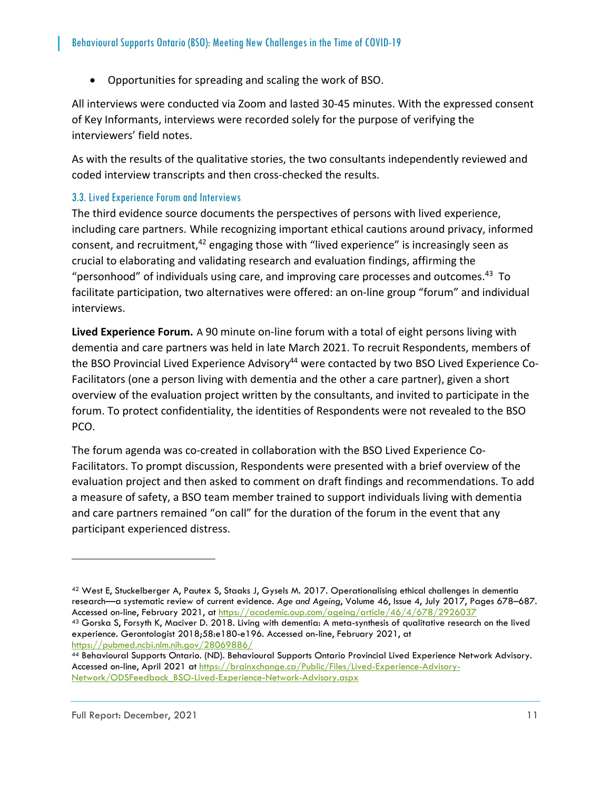Opportunities for spreading and scaling the work of BSO.

All interviews were conducted via Zoom and lasted 30‐45 minutes. With the expressed consent of Key Informants, interviews were recorded solely for the purpose of verifying the interviewers' field notes.

As with the results of the qualitative stories, the two consultants independently reviewed and coded interview transcripts and then cross‐checked the results.

#### 3.3. Lived Experience Forum and Interviews

The third evidence source documents the perspectives of persons with lived experience, including care partners. While recognizing important ethical cautions around privacy, informed consent, and recruitment,<sup>42</sup> engaging those with "lived experience" is increasingly seen as crucial to elaborating and validating research and evaluation findings, affirming the "personhood" of individuals using care, and improving care processes and outcomes. $43$  To facilitate participation, two alternatives were offered: an on‐line group "forum" and individual interviews.

**Lived Experience Forum.** A 90 minute on‐line forum with a total of eight persons living with dementia and care partners was held in late March 2021. To recruit Respondents, members of the BSO Provincial Lived Experience Advisory<sup>44</sup> were contacted by two BSO Lived Experience Co-Facilitators (one a person living with dementia and the other a care partner), given a short overview of the evaluation project written by the consultants, and invited to participate in the forum. To protect confidentiality, the identities of Respondents were not revealed to the BSO PCO.

The forum agenda was co-created in collaboration with the BSO Lived Experience Co-Facilitators. To prompt discussion, Respondents were presented with a brief overview of the evaluation project and then asked to comment on draft findings and recommendations. To add a measure of safety, a BSO team member trained to support individuals living with dementia and care partners remained "on call" for the duration of the forum in the event that any participant experienced distress.

<sup>42</sup> West E, Stuckelberger A, Pautex S, Staaks J, Gysels M. 2017. Operationalising ethical challenges in dementia research—a systematic review of current evidence. *Age and Ageing*, Volume 46, Issue 4, July 2017, Pages 678–687. Accessed on-line, February 2021, at https://academic.oup.com/ageing/article/46/4/678/2926037

<sup>43</sup> Gorska S, Forsyth K, Maciver D. 2018. Living with dementia: A meta-synthesis of qualitative research on the lived experience. Gerontologist 2018;58:e180-e196. Accessed on-line, February 2021, at https://pubmed.ncbi.nlm.nih.gov/28069886/

<sup>44</sup> Behavioural Supports Ontario. (ND). Behavioural Supports Ontario Provincial Lived Experience Network Advisory. Accessed on-line, April 2021 at https://brainxchange.ca/Public/Files/Lived-Experience-Advisory-Network/ODSFeedback\_BSO-Lived-Experience-Network-Advisory.aspx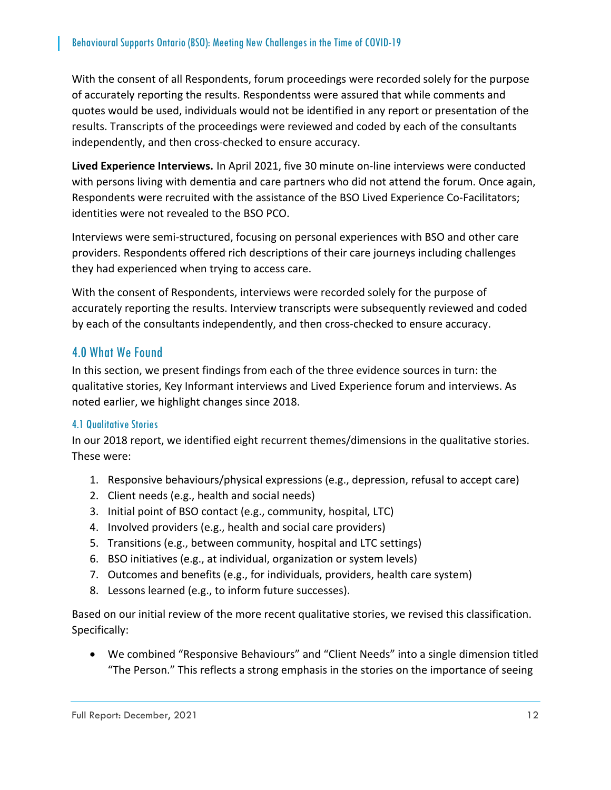With the consent of all Respondents, forum proceedings were recorded solely for the purpose of accurately reporting the results. Respondentss were assured that while comments and quotes would be used, individuals would not be identified in any report or presentation of the results. Transcripts of the proceedings were reviewed and coded by each of the consultants independently, and then cross‐checked to ensure accuracy.

**Lived Experience Interviews.** In April 2021, five 30 minute on‐line interviews were conducted with persons living with dementia and care partners who did not attend the forum. Once again, Respondents were recruited with the assistance of the BSO Lived Experience Co-Facilitators; identities were not revealed to the BSO PCO.

Interviews were semi‐structured, focusing on personal experiences with BSO and other care providers. Respondents offered rich descriptions of their care journeys including challenges they had experienced when trying to access care.

With the consent of Respondents, interviews were recorded solely for the purpose of accurately reporting the results. Interview transcripts were subsequently reviewed and coded by each of the consultants independently, and then cross-checked to ensure accuracy.

# 4.0 What We Found

In this section, we present findings from each of the three evidence sources in turn: the qualitative stories, Key Informant interviews and Lived Experience forum and interviews. As noted earlier, we highlight changes since 2018.

### 4.1 Qualitative Stories

In our 2018 report, we identified eight recurrent themes/dimensions in the qualitative stories. These were:

- 1. Responsive behaviours/physical expressions (e.g., depression, refusal to accept care)
- 2. Client needs (e.g., health and social needs)
- 3. Initial point of BSO contact (e.g., community, hospital, LTC)
- 4. Involved providers (e.g., health and social care providers)
- 5. Transitions (e.g., between community, hospital and LTC settings)
- 6. BSO initiatives (e.g., at individual, organization or system levels)
- 7. Outcomes and benefits (e.g., for individuals, providers, health care system)
- 8. Lessons learned (e.g., to inform future successes).

Based on our initial review of the more recent qualitative stories, we revised this classification. Specifically:

 We combined "Responsive Behaviours" and "Client Needs" into a single dimension titled "The Person." This reflects a strong emphasis in the stories on the importance of seeing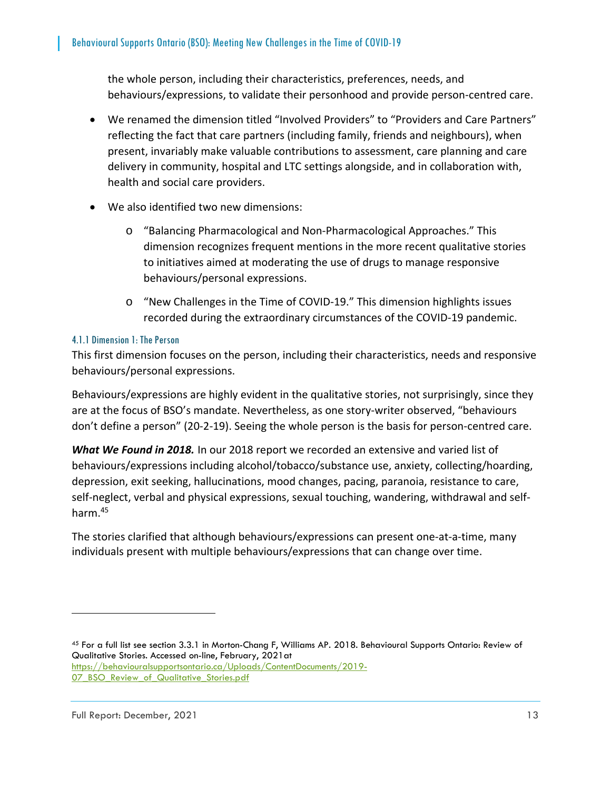the whole person, including their characteristics, preferences, needs, and behaviours/expressions, to validate their personhood and provide person‐centred care.

- We renamed the dimension titled "Involved Providers" to "Providers and Care Partners" reflecting the fact that care partners (including family, friends and neighbours), when present, invariably make valuable contributions to assessment, care planning and care delivery in community, hospital and LTC settings alongside, and in collaboration with, health and social care providers.
- We also identified two new dimensions:
	- o "Balancing Pharmacological and Non‐Pharmacological Approaches." This dimension recognizes frequent mentions in the more recent qualitative stories to initiatives aimed at moderating the use of drugs to manage responsive behaviours/personal expressions.
	- o "New Challenges in the Time of COVID‐19." This dimension highlights issues recorded during the extraordinary circumstances of the COVID‐19 pandemic.

#### 4.1.1 Dimension 1: The Person

This first dimension focuses on the person, including their characteristics, needs and responsive behaviours/personal expressions.

Behaviours/expressions are highly evident in the qualitative stories, not surprisingly, since they are at the focus of BSO's mandate. Nevertheless, as one story‐writer observed, "behaviours don't define a person" (20‐2‐19). Seeing the whole person is the basis for person‐centred care.

*What We Found in 2018.* In our 2018 report we recorded an extensive and varied list of behaviours/expressions including alcohol/tobacco/substance use, anxiety, collecting/hoarding, depression, exit seeking, hallucinations, mood changes, pacing, paranoia, resistance to care, self-neglect, verbal and physical expressions, sexual touching, wandering, withdrawal and selfharm.45

The stories clarified that although behaviours/expressions can present one‐at‐a‐time, many individuals present with multiple behaviours/expressions that can change over time.

https://behaviouralsupportsontario.ca/Uploads/ContentDocuments/2019- 07\_BSO\_Review\_of\_Qualitative\_Stories.pdf

<sup>45</sup> For a full list see section 3.3.1 in Morton-Chang F, Williams AP. 2018. Behavioural Supports Ontario: Review of Qualitative Stories. Accessed on-line, February, 2021at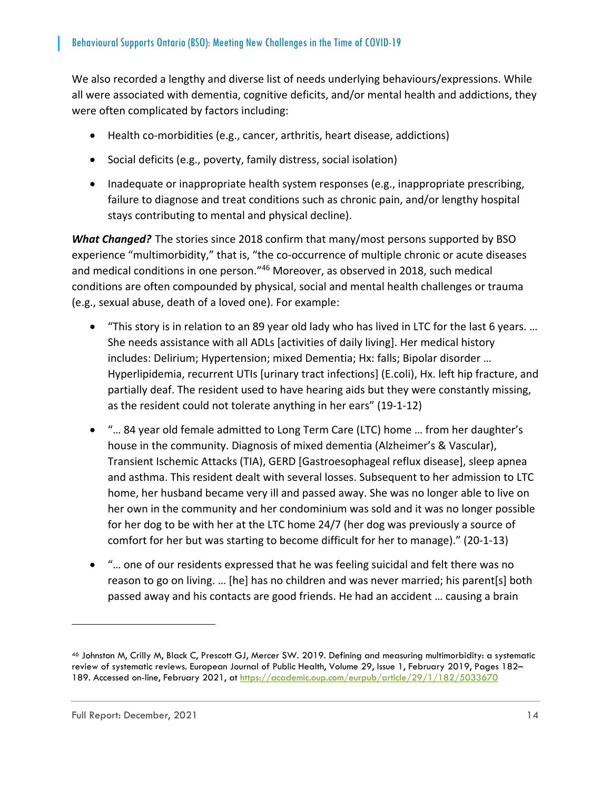We also recorded a lengthy and diverse list of needs underlying behaviours/expressions. While all were associated with dementia, cognitive deficits, and/or mental health and addictions, they were often complicated by factors including:

- Health co-morbidities (e.g., cancer, arthritis, heart disease, addictions)
- Social deficits (e.g., poverty, family distress, social isolation)
- Inadequate or inappropriate health system responses (e.g., inappropriate prescribing, failure to diagnose and treat conditions such as chronic pain, and/or lengthy hospital stays contributing to mental and physical decline).

*What Changed?* The stories since 2018 confirm that many/most persons supported by BSO experience "multimorbidity," that is, "the co-occurrence of multiple chronic or acute diseases and medical conditions in one person."46 Moreover, as observed in 2018, such medical conditions are often compounded by physical, social and mental health challenges or trauma (e.g., sexual abuse, death of a loved one). For example:

- "This story is in relation to an 89 year old lady who has lived in LTC for the last 6 years. … She needs assistance with all ADLs [activities of daily living]. Her medical history includes: Delirium; Hypertension; mixed Dementia; Hx: falls; Bipolar disorder … Hyperlipidemia, recurrent UTIs [urinary tract infections] (E.coli), Hx. left hip fracture, and partially deaf. The resident used to have hearing aids but they were constantly missing, as the resident could not tolerate anything in her ears" (19‐1‐12)
- "… 84 year old female admitted to Long Term Care (LTC) home … from her daughter's house in the community. Diagnosis of mixed dementia (Alzheimer's & Vascular), Transient Ischemic Attacks (TIA), GERD [Gastroesophageal reflux disease], sleep apnea and asthma. This resident dealt with several losses. Subsequent to her admission to LTC home, her husband became very ill and passed away. She was no longer able to live on her own in the community and her condominium was sold and it was no longer possible for her dog to be with her at the LTC home 24/7 (her dog was previously a source of comfort for her but was starting to become difficult for her to manage)." (20‐1‐13)
- "… one of our residents expressed that he was feeling suicidal and felt there was no reason to go on living. … [he] has no children and was never married; his parent[s] both passed away and his contacts are good friends. He had an accident … causing a brain

<sup>46</sup> Johnston M, Crilly M, Black C, Prescott GJ, Mercer SW. 2019. Defining and measuring multimorbidity: a systematic review of systematic reviews. European Journal of Public Health, Volume 29, Issue 1, February 2019, Pages 182– 189. Accessed on-line, February 2021, at https://academic.oup.com/eurpub/article/29/1/182/5033670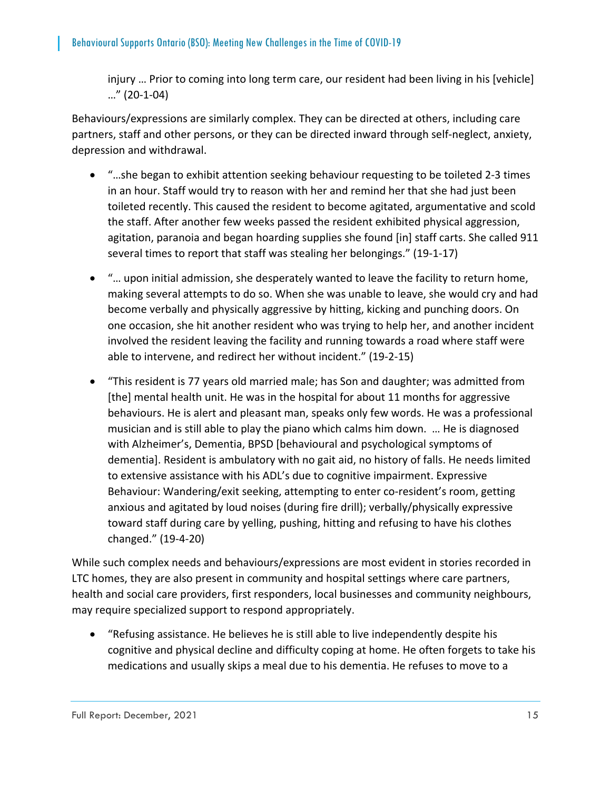injury … Prior to coming into long term care, our resident had been living in his [vehicle] …" (20‐1‐04)

Behaviours/expressions are similarly complex. They can be directed at others, including care partners, staff and other persons, or they can be directed inward through self-neglect, anxiety, depression and withdrawal.

- "…she began to exhibit attention seeking behaviour requesting to be toileted 2‐3 times in an hour. Staff would try to reason with her and remind her that she had just been toileted recently. This caused the resident to become agitated, argumentative and scold the staff. After another few weeks passed the resident exhibited physical aggression, agitation, paranoia and began hoarding supplies she found [in] staff carts. She called 911 several times to report that staff was stealing her belongings." (19-1-17)
- "… upon initial admission, she desperately wanted to leave the facility to return home, making several attempts to do so. When she was unable to leave, she would cry and had become verbally and physically aggressive by hitting, kicking and punching doors. On one occasion, she hit another resident who was trying to help her, and another incident involved the resident leaving the facility and running towards a road where staff were able to intervene, and redirect her without incident." (19‐2‐15)
- "This resident is 77 years old married male; has Son and daughter; was admitted from [the] mental health unit. He was in the hospital for about 11 months for aggressive behaviours. He is alert and pleasant man, speaks only few words. He was a professional musician and is still able to play the piano which calms him down. … He is diagnosed with Alzheimer's, Dementia, BPSD [behavioural and psychological symptoms of dementia]. Resident is ambulatory with no gait aid, no history of falls. He needs limited to extensive assistance with his ADL's due to cognitive impairment. Expressive Behaviour: Wandering/exit seeking, attempting to enter co-resident's room, getting anxious and agitated by loud noises (during fire drill); verbally/physically expressive toward staff during care by yelling, pushing, hitting and refusing to have his clothes changed." (19‐4‐20)

While such complex needs and behaviours/expressions are most evident in stories recorded in LTC homes, they are also present in community and hospital settings where care partners, health and social care providers, first responders, local businesses and community neighbours, may require specialized support to respond appropriately.

 "Refusing assistance. He believes he is still able to live independently despite his cognitive and physical decline and difficulty coping at home. He often forgets to take his medications and usually skips a meal due to his dementia. He refuses to move to a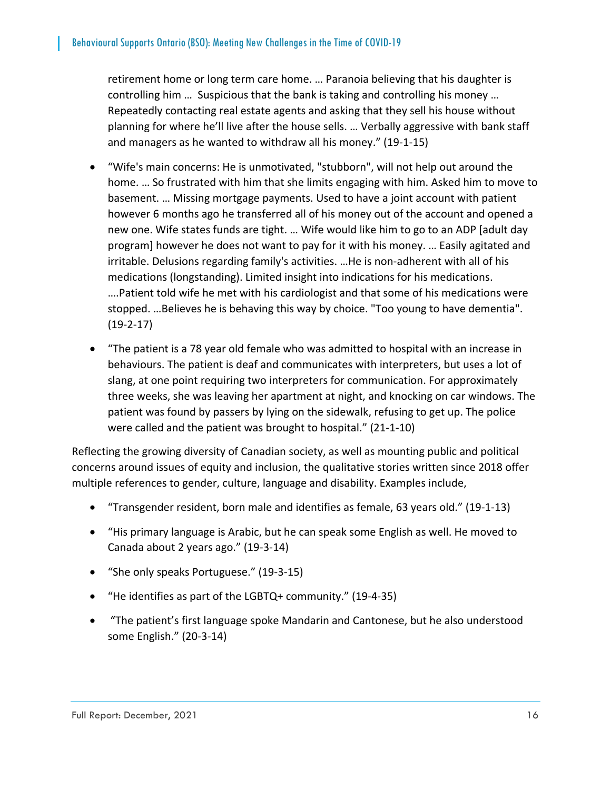retirement home or long term care home. … Paranoia believing that his daughter is controlling him … Suspicious that the bank is taking and controlling his money … Repeatedly contacting real estate agents and asking that they sell his house without planning for where he'll live after the house sells. … Verbally aggressive with bank staff and managers as he wanted to withdraw all his money." (19‐1‐15)

- "Wife's main concerns: He is unmotivated, "stubborn", will not help out around the home. … So frustrated with him that she limits engaging with him. Asked him to move to basement. … Missing mortgage payments. Used to have a joint account with patient however 6 months ago he transferred all of his money out of the account and opened a new one. Wife states funds are tight. … Wife would like him to go to an ADP [adult day program] however he does not want to pay for it with his money. … Easily agitated and irritable. Delusions regarding family's activities. …He is non‐adherent with all of his medications (longstanding). Limited insight into indications for his medications. ….Patient told wife he met with his cardiologist and that some of his medications were stopped. …Believes he is behaving this way by choice. "Too young to have dementia".  $(19-2-17)$
- "The patient is a 78 year old female who was admitted to hospital with an increase in behaviours. The patient is deaf and communicates with interpreters, but uses a lot of slang, at one point requiring two interpreters for communication. For approximately three weeks, she was leaving her apartment at night, and knocking on car windows. The patient was found by passers by lying on the sidewalk, refusing to get up. The police were called and the patient was brought to hospital." (21‐1‐10)

Reflecting the growing diversity of Canadian society, as well as mounting public and political concerns around issues of equity and inclusion, the qualitative stories written since 2018 offer multiple references to gender, culture, language and disability. Examples include,

- "Transgender resident, born male and identifies as female, 63 years old." (19‐1‐13)
- "His primary language is Arabic, but he can speak some English as well. He moved to Canada about 2 years ago." (19‐3‐14)
- "She only speaks Portuguese." (19-3-15)
- "He identifies as part of the LGBTQ+ community." (19‐4‐35)
- "The patient's first language spoke Mandarin and Cantonese, but he also understood some English." (20‐3‐14)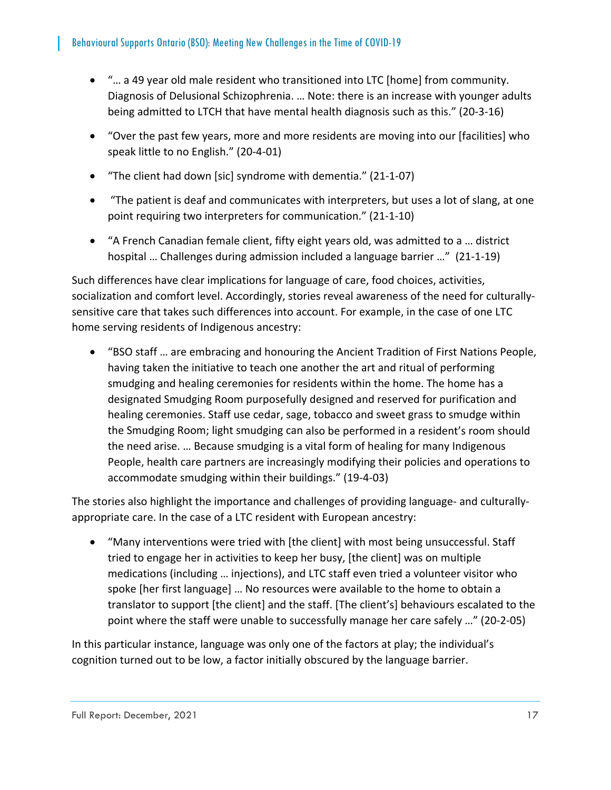- "… a 49 year old male resident who transitioned into LTC [home] from community. Diagnosis of Delusional Schizophrenia. … Note: there is an increase with younger adults being admitted to LTCH that have mental health diagnosis such as this." (20‐3‐16)
- "Over the past few years, more and more residents are moving into our [facilities] who speak little to no English." (20‐4‐01)
- "The client had down [sic] syndrome with dementia." (21‐1‐07)
- "The patient is deaf and communicates with interpreters, but uses a lot of slang, at one point requiring two interpreters for communication." (21‐1‐10)
- "A French Canadian female client, fifty eight years old, was admitted to a … district hospital … Challenges during admission included a language barrier …" (21‐1‐19)

Such differences have clear implications for language of care, food choices, activities, socialization and comfort level. Accordingly, stories reveal awareness of the need for culturally‐ sensitive care that takes such differences into account. For example, in the case of one LTC home serving residents of Indigenous ancestry:

 "BSO staff … are embracing and honouring the Ancient Tradition of First Nations People, having taken the initiative to teach one another the art and ritual of performing smudging and healing ceremonies for residents within the home. The home has a designated Smudging Room purposefully designed and reserved for purification and healing ceremonies. Staff use cedar, sage, tobacco and sweet grass to smudge within the Smudging Room; light smudging can also be performed in a resident's room should the need arise. … Because smudging is a vital form of healing for many Indigenous People, health care partners are increasingly modifying their policies and operations to accommodate smudging within their buildings." (19‐4‐03)

The stories also highlight the importance and challenges of providing language- and culturallyappropriate care. In the case of a LTC resident with European ancestry:

 "Many interventions were tried with [the client] with most being unsuccessful. Staff tried to engage her in activities to keep her busy, [the client] was on multiple medications (including … injections), and LTC staff even tried a volunteer visitor who spoke [her first language] … No resources were available to the home to obtain a translator to support [the client] and the staff. [The client's] behaviours escalated to the point where the staff were unable to successfully manage her care safely …" (20‐2‐05)

In this particular instance, language was only one of the factors at play; the individual's cognition turned out to be low, a factor initially obscured by the language barrier.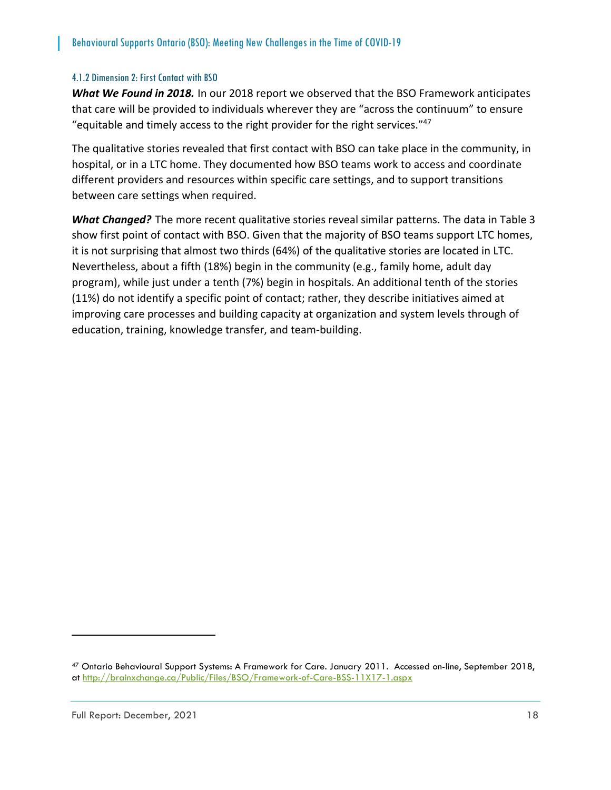#### 4.1.2 Dimension 2: First Contact with BSO

*What We Found in 2018.* In our 2018 report we observed that the BSO Framework anticipates that care will be provided to individuals wherever they are "across the continuum" to ensure "equitable and timely access to the right provider for the right services." $47$ 

The qualitative stories revealed that first contact with BSO can take place in the community, in hospital, or in a LTC home. They documented how BSO teams work to access and coordinate different providers and resources within specific care settings, and to support transitions between care settings when required.

*What Changed?* The more recent qualitative stories reveal similar patterns. The data in Table 3 show first point of contact with BSO. Given that the majority of BSO teams support LTC homes, it is not surprising that almost two thirds (64%) of the qualitative stories are located in LTC. Nevertheless, about a fifth (18%) begin in the community (e.g., family home, adult day program), while just under a tenth (7%) begin in hospitals. An additional tenth of the stories (11%) do not identify a specific point of contact; rather, they describe initiatives aimed at improving care processes and building capacity at organization and system levels through of education, training, knowledge transfer, and team‐building.

 $\overline{a}$ 

<sup>47</sup> Ontario Behavioural Support Systems: A Framework for Care. January 2011. Accessed on-line, September 2018, at http://brainxchange.ca/Public/Files/BSO/Framework-of-Care-BSS-11X17-1.aspx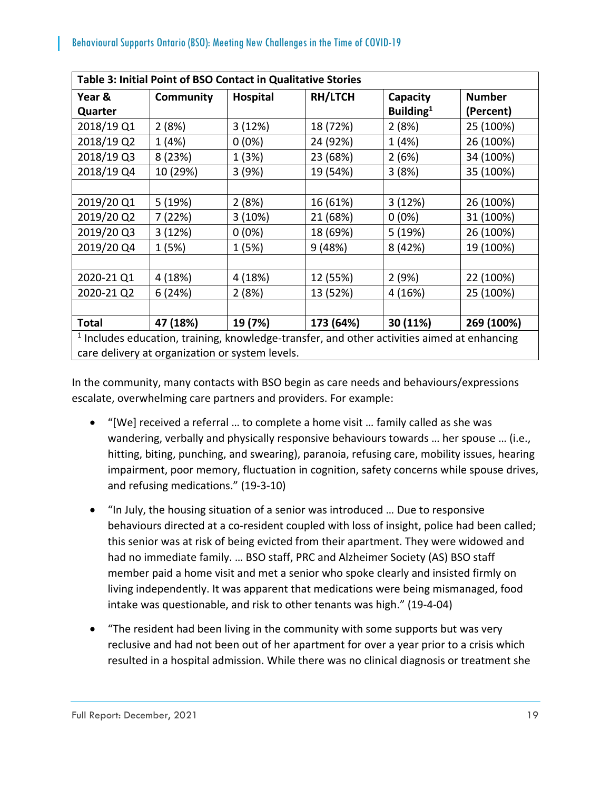| Table 3: Initial Point of BSO Contact in Qualitative Stories                                           |           |                 |           |                       |               |
|--------------------------------------------------------------------------------------------------------|-----------|-----------------|-----------|-----------------------|---------------|
| Year &                                                                                                 | Community | <b>Hospital</b> | RH/LTCH   | Capacity              | <b>Number</b> |
| Quarter                                                                                                |           |                 |           | Building <sup>1</sup> | (Percent)     |
| 2018/19 Q1                                                                                             | 2(8%)     | 3 (12%)         | 18 (72%)  | 2(8%)                 | 25 (100%)     |
| 2018/19 Q2                                                                                             | 1(4%)     | $0(0\%)$        | 24 (92%)  | 1(4%)                 | 26 (100%)     |
| 2018/19 Q3                                                                                             | 8 (23%)   | 1(3%)           | 23 (68%)  | 2(6%)                 | 34 (100%)     |
| 2018/19 Q4                                                                                             | 10 (29%)  | 3(9%)           | 19 (54%)  | 3(8%)                 | 35 (100%)     |
|                                                                                                        |           |                 |           |                       |               |
| 2019/20 Q1                                                                                             | 5(19%)    | 2(8%)           | 16 (61%)  | 3(12%)                | 26 (100%)     |
| 2019/20 Q2                                                                                             | 7 (22%)   | 3 (10%)         | 21 (68%)  | $0(0\%)$              | 31 (100%)     |
| 2019/20 Q3                                                                                             | 3(12%)    | $0(0\%)$        | 18 (69%)  | 5 (19%)               | 26 (100%)     |
| 2019/20 Q4                                                                                             | 1(5%)     | 1(5%)           | 9(48%)    | 8 (42%)               | 19 (100%)     |
|                                                                                                        |           |                 |           |                       |               |
| 2020-21 Q1                                                                                             | 4(18%)    | 4 (18%)         | 12 (55%)  | 2(9%)                 | 22 (100%)     |
| 2020-21 Q2                                                                                             | 6(24%)    | 2(8%)           | 13 (52%)  | 4(16%)                | 25 (100%)     |
|                                                                                                        |           |                 |           |                       |               |
| <b>Total</b>                                                                                           | 47 (18%)  | 19 (7%)         | 173 (64%) | 30 (11%)              | 269 (100%)    |
| <sup>1</sup> Includes education, training, knowledge-transfer, and other activities aimed at enhancing |           |                 |           |                       |               |
| care delivery at organization or system levels.                                                        |           |                 |           |                       |               |

In the community, many contacts with BSO begin as care needs and behaviours/expressions escalate, overwhelming care partners and providers. For example:

- "[We] received a referral … to complete a home visit … family called as she was wandering, verbally and physically responsive behaviours towards … her spouse … (i.e., hitting, biting, punching, and swearing), paranoia, refusing care, mobility issues, hearing impairment, poor memory, fluctuation in cognition, safety concerns while spouse drives, and refusing medications." (19‐3‐10)
- "In July, the housing situation of a senior was introduced … Due to responsive behaviours directed at a co-resident coupled with loss of insight, police had been called; this senior was at risk of being evicted from their apartment. They were widowed and had no immediate family. … BSO staff, PRC and Alzheimer Society (AS) BSO staff member paid a home visit and met a senior who spoke clearly and insisted firmly on living independently. It was apparent that medications were being mismanaged, food intake was questionable, and risk to other tenants was high." (19‐4‐04)
- "The resident had been living in the community with some supports but was very reclusive and had not been out of her apartment for over a year prior to a crisis which resulted in a hospital admission. While there was no clinical diagnosis or treatment she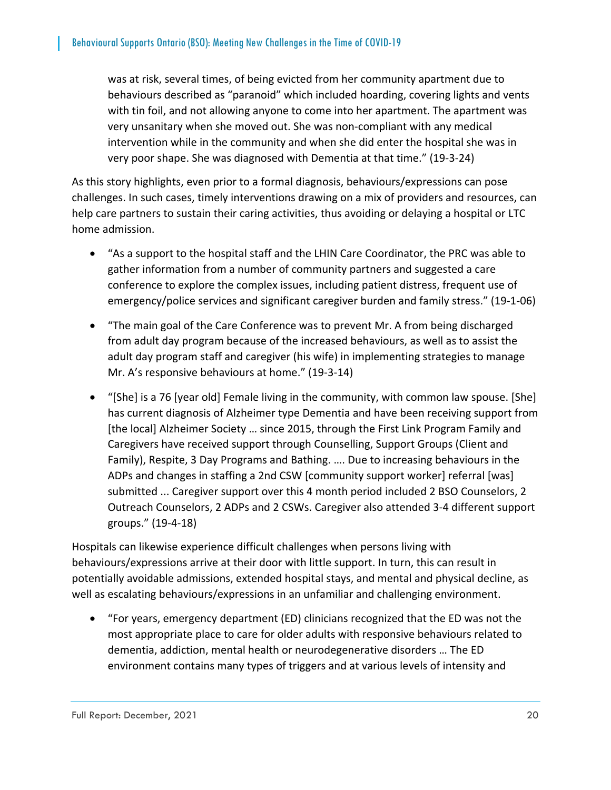was at risk, several times, of being evicted from her community apartment due to behaviours described as "paranoid" which included hoarding, covering lights and vents with tin foil, and not allowing anyone to come into her apartment. The apartment was very unsanitary when she moved out. She was non‐compliant with any medical intervention while in the community and when she did enter the hospital she was in very poor shape. She was diagnosed with Dementia at that time." (19‐3‐24)

As this story highlights, even prior to a formal diagnosis, behaviours/expressions can pose challenges. In such cases, timely interventions drawing on a mix of providers and resources, can help care partners to sustain their caring activities, thus avoiding or delaying a hospital or LTC home admission.

- "As a support to the hospital staff and the LHIN Care Coordinator, the PRC was able to gather information from a number of community partners and suggested a care conference to explore the complex issues, including patient distress, frequent use of emergency/police services and significant caregiver burden and family stress." (19‐1‐06)
- "The main goal of the Care Conference was to prevent Mr. A from being discharged from adult day program because of the increased behaviours, as well as to assist the adult day program staff and caregiver (his wife) in implementing strategies to manage Mr. A's responsive behaviours at home." (19‐3‐14)
- "[She] is a 76 [year old] Female living in the community, with common law spouse. [She] has current diagnosis of Alzheimer type Dementia and have been receiving support from [the local] Alzheimer Society … since 2015, through the First Link Program Family and Caregivers have received support through Counselling, Support Groups (Client and Family), Respite, 3 Day Programs and Bathing. …. Due to increasing behaviours in the ADPs and changes in staffing a 2nd CSW [community support worker] referral [was] submitted ... Caregiver support over this 4 month period included 2 BSO Counselors, 2 Outreach Counselors, 2 ADPs and 2 CSWs. Caregiver also attended 3‐4 different support groups." (19‐4‐18)

Hospitals can likewise experience difficult challenges when persons living with behaviours/expressions arrive at their door with little support. In turn, this can result in potentially avoidable admissions, extended hospital stays, and mental and physical decline, as well as escalating behaviours/expressions in an unfamiliar and challenging environment.

 "For years, emergency department (ED) clinicians recognized that the ED was not the most appropriate place to care for older adults with responsive behaviours related to dementia, addiction, mental health or neurodegenerative disorders … The ED environment contains many types of triggers and at various levels of intensity and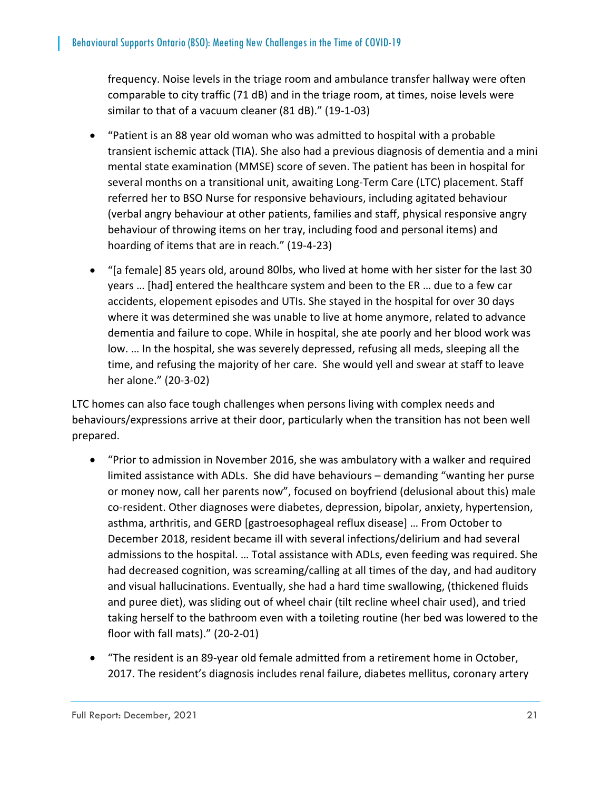frequency. Noise levels in the triage room and ambulance transfer hallway were often comparable to city traffic (71 dB) and in the triage room, at times, noise levels were similar to that of a vacuum cleaner (81 dB)." (19‐1‐03)

- "Patient is an 88 year old woman who was admitted to hospital with a probable transient ischemic attack (TIA). She also had a previous diagnosis of dementia and a mini mental state examination (MMSE) score of seven. The patient has been in hospital for several months on a transitional unit, awaiting Long-Term Care (LTC) placement. Staff referred her to BSO Nurse for responsive behaviours, including agitated behaviour (verbal angry behaviour at other patients, families and staff, physical responsive angry behaviour of throwing items on her tray, including food and personal items) and hoarding of items that are in reach." (19‐4‐23)
- "[a female] 85 years old, around 80lbs, who lived at home with her sister for the last 30 years … [had] entered the healthcare system and been to the ER … due to a few car accidents, elopement episodes and UTIs. She stayed in the hospital for over 30 days where it was determined she was unable to live at home anymore, related to advance dementia and failure to cope. While in hospital, she ate poorly and her blood work was low. … In the hospital, she was severely depressed, refusing all meds, sleeping all the time, and refusing the majority of her care. She would yell and swear at staff to leave her alone." (20‐3‐02)

LTC homes can also face tough challenges when persons living with complex needs and behaviours/expressions arrive at their door, particularly when the transition has not been well prepared.

- "Prior to admission in November 2016, she was ambulatory with a walker and required limited assistance with ADLs. She did have behaviours – demanding "wanting her purse or money now, call her parents now", focused on boyfriend (delusional about this) male co-resident. Other diagnoses were diabetes, depression, bipolar, anxiety, hypertension, asthma, arthritis, and GERD [gastroesophageal reflux disease] … From October to December 2018, resident became ill with several infections/delirium and had several admissions to the hospital. … Total assistance with ADLs, even feeding was required. She had decreased cognition, was screaming/calling at all times of the day, and had auditory and visual hallucinations. Eventually, she had a hard time swallowing, (thickened fluids and puree diet), was sliding out of wheel chair (tilt recline wheel chair used), and tried taking herself to the bathroom even with a toileting routine (her bed was lowered to the floor with fall mats)." (20‐2‐01)
- "The resident is an 89‐year old female admitted from a retirement home in October, 2017. The resident's diagnosis includes renal failure, diabetes mellitus, coronary artery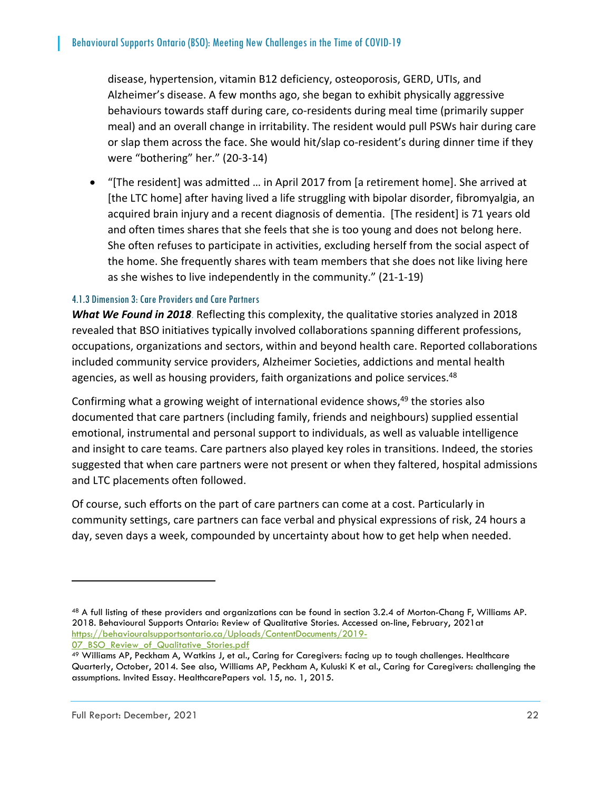disease, hypertension, vitamin B12 deficiency, osteoporosis, GERD, UTIs, and Alzheimer's disease. A few months ago, she began to exhibit physically aggressive behaviours towards staff during care, co-residents during meal time (primarily supper meal) and an overall change in irritability. The resident would pull PSWs hair during care or slap them across the face. She would hit/slap co-resident's during dinner time if they were "bothering" her." (20-3-14)

 "[The resident] was admitted … in April 2017 from [a retirement home]. She arrived at [the LTC home] after having lived a life struggling with bipolar disorder, fibromyalgia, an acquired brain injury and a recent diagnosis of dementia. [The resident] is 71 years old and often times shares that she feels that she is too young and does not belong here. She often refuses to participate in activities, excluding herself from the social aspect of the home. She frequently shares with team members that she does not like living here as she wishes to live independently in the community." (21‐1‐19)

#### 4.1.3 Dimension 3: Care Providers and Care Partners

*What We Found in 2018*. Reflecting this complexity, the qualitative stories analyzed in 2018 revealed that BSO initiatives typically involved collaborations spanning different professions, occupations, organizations and sectors, within and beyond health care. Reported collaborations included community service providers, Alzheimer Societies, addictions and mental health agencies, as well as housing providers, faith organizations and police services.<sup>48</sup>

Confirming what a growing weight of international evidence shows, $49$  the stories also documented that care partners (including family, friends and neighbours) supplied essential emotional, instrumental and personal support to individuals, as well as valuable intelligence and insight to care teams. Care partners also played key roles in transitions. Indeed, the stories suggested that when care partners were not present or when they faltered, hospital admissions and LTC placements often followed.

Of course, such efforts on the part of care partners can come at a cost. Particularly in community settings, care partners can face verbal and physical expressions of risk, 24 hours a day, seven days a week, compounded by uncertainty about how to get help when needed.

<sup>48</sup> A full listing of these providers and organizations can be found in section 3.2.4 of Morton-Chang F, Williams AP. 2018. Behavioural Supports Ontario: Review of Qualitative Stories. Accessed on-line, February, 2021at https://behaviouralsupportsontario.ca/Uploads/ContentDocuments/2019- 07\_BSO\_Review\_of\_Qualitative\_Stories.pdf

<sup>49</sup> Williams AP, Peckham A, Watkins J, et al., Caring for Caregivers: facing up to tough challenges. Healthcare Quarterly, October, 2014. See also, Williams AP, Peckham A, Kuluski K et al., Caring for Caregivers: challenging the assumptions. Invited Essay. HealthcarePapers vol. 15, no. 1, 2015.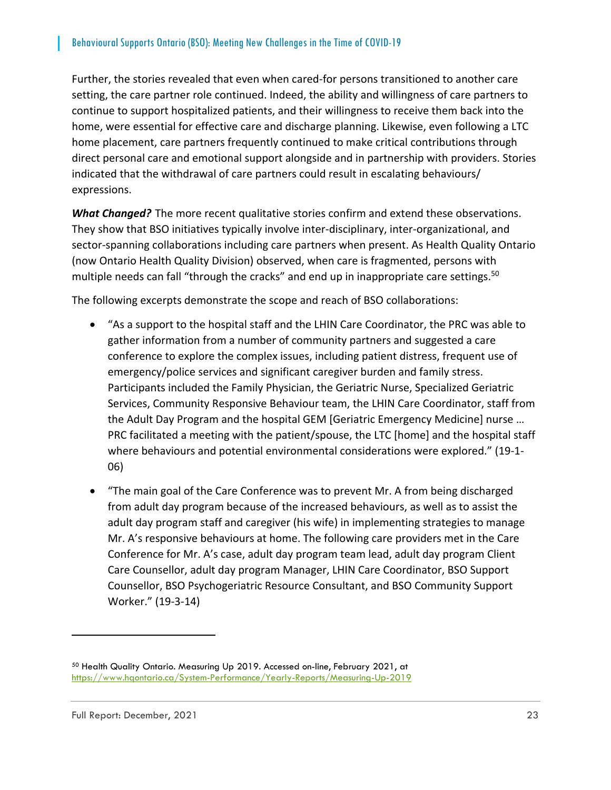Further, the stories revealed that even when cared-for persons transitioned to another care setting, the care partner role continued. Indeed, the ability and willingness of care partners to continue to support hospitalized patients, and their willingness to receive them back into the home, were essential for effective care and discharge planning. Likewise, even following a LTC home placement, care partners frequently continued to make critical contributions through direct personal care and emotional support alongside and in partnership with providers. Stories indicated that the withdrawal of care partners could result in escalating behaviours/ expressions.

*What Changed?* The more recent qualitative stories confirm and extend these observations. They show that BSO initiatives typically involve inter‐disciplinary, inter‐organizational, and sector-spanning collaborations including care partners when present. As Health Quality Ontario (now Ontario Health Quality Division) observed, when care is fragmented, persons with multiple needs can fall "through the cracks" and end up in inappropriate care settings.<sup>50</sup>

The following excerpts demonstrate the scope and reach of BSO collaborations:

- "As a support to the hospital staff and the LHIN Care Coordinator, the PRC was able to gather information from a number of community partners and suggested a care conference to explore the complex issues, including patient distress, frequent use of emergency/police services and significant caregiver burden and family stress. Participants included the Family Physician, the Geriatric Nurse, Specialized Geriatric Services, Community Responsive Behaviour team, the LHIN Care Coordinator, staff from the Adult Day Program and the hospital GEM [Geriatric Emergency Medicine] nurse … PRC facilitated a meeting with the patient/spouse, the LTC [home] and the hospital staff where behaviours and potential environmental considerations were explored." (19‐1‐ 06)
- "The main goal of the Care Conference was to prevent Mr. A from being discharged from adult day program because of the increased behaviours, as well as to assist the adult day program staff and caregiver (his wife) in implementing strategies to manage Mr. A's responsive behaviours at home. The following care providers met in the Care Conference for Mr. A's case, adult day program team lead, adult day program Client Care Counsellor, adult day program Manager, LHIN Care Coordinator, BSO Support Counsellor, BSO Psychogeriatric Resource Consultant, and BSO Community Support Worker." (19‐3‐14)

 $\overline{a}$ 

<sup>50</sup> Health Quality Ontario. Measuring Up 2019. Accessed on-line, February 2021, at https://www.hqontario.ca/System-Performance/Yearly-Reports/Measuring-Up-2019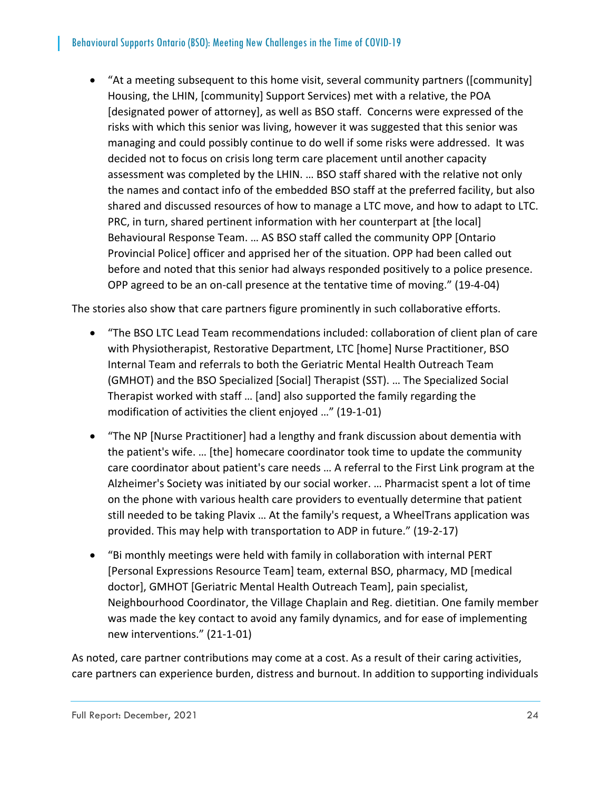"At a meeting subsequent to this home visit, several community partners ([community] Housing, the LHIN, [community] Support Services) met with a relative, the POA [designated power of attorney], as well as BSO staff. Concerns were expressed of the risks with which this senior was living, however it was suggested that this senior was managing and could possibly continue to do well if some risks were addressed. It was decided not to focus on crisis long term care placement until another capacity assessment was completed by the LHIN. … BSO staff shared with the relative not only the names and contact info of the embedded BSO staff at the preferred facility, but also shared and discussed resources of how to manage a LTC move, and how to adapt to LTC. PRC, in turn, shared pertinent information with her counterpart at [the local] Behavioural Response Team. … AS BSO staff called the community OPP [Ontario Provincial Police] officer and apprised her of the situation. OPP had been called out before and noted that this senior had always responded positively to a police presence. OPP agreed to be an on‐call presence at the tentative time of moving." (19‐4‐04)

The stories also show that care partners figure prominently in such collaborative efforts.

- "The BSO LTC Lead Team recommendations included: collaboration of client plan of care with Physiotherapist, Restorative Department, LTC [home] Nurse Practitioner, BSO Internal Team and referrals to both the Geriatric Mental Health Outreach Team (GMHOT) and the BSO Specialized [Social] Therapist (SST). … The Specialized Social Therapist worked with staff … [and] also supported the family regarding the modification of activities the client enjoyed …" (19‐1‐01)
- "The NP [Nurse Practitioner] had a lengthy and frank discussion about dementia with the patient's wife. … [the] homecare coordinator took time to update the community care coordinator about patient's care needs … A referral to the First Link program at the Alzheimer's Society was initiated by our social worker. … Pharmacist spent a lot of time on the phone with various health care providers to eventually determine that patient still needed to be taking Plavix … At the family's request, a WheelTrans application was provided. This may help with transportation to ADP in future." (19‐2‐17)
- "Bi monthly meetings were held with family in collaboration with internal PERT [Personal Expressions Resource Team] team, external BSO, pharmacy, MD [medical doctor], GMHOT [Geriatric Mental Health Outreach Team], pain specialist, Neighbourhood Coordinator, the Village Chaplain and Reg. dietitian. One family member was made the key contact to avoid any family dynamics, and for ease of implementing new interventions." (21‐1‐01)

As noted, care partner contributions may come at a cost. As a result of their caring activities, care partners can experience burden, distress and burnout. In addition to supporting individuals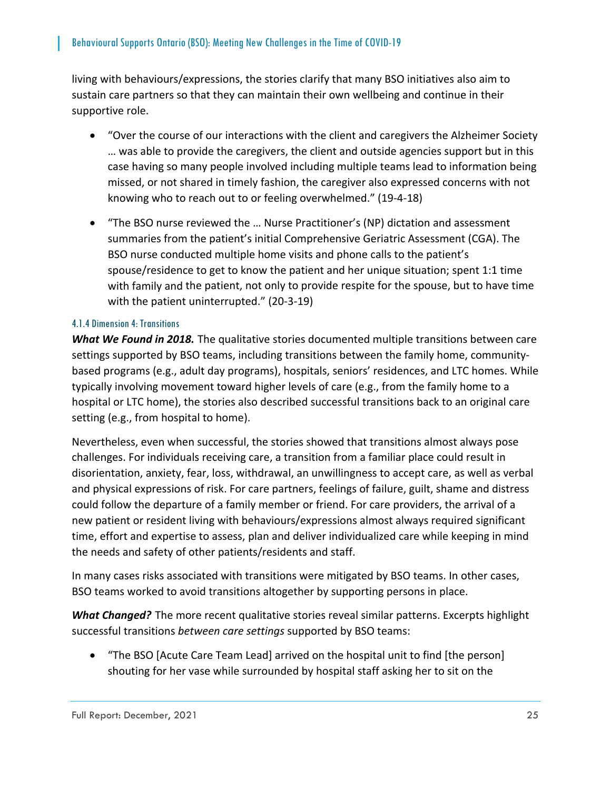living with behaviours/expressions, the stories clarify that many BSO initiatives also aim to sustain care partners so that they can maintain their own wellbeing and continue in their supportive role.

- "Over the course of our interactions with the client and caregivers the Alzheimer Society … was able to provide the caregivers, the client and outside agencies support but in this case having so many people involved including multiple teams lead to information being missed, or not shared in timely fashion, the caregiver also expressed concerns with not knowing who to reach out to or feeling overwhelmed." (19‐4‐18)
- "The BSO nurse reviewed the … Nurse Practitioner's (NP) dictation and assessment summaries from the patient's initial Comprehensive Geriatric Assessment (CGA). The BSO nurse conducted multiple home visits and phone calls to the patient's spouse/residence to get to know the patient and her unique situation; spent 1:1 time with family and the patient, not only to provide respite for the spouse, but to have time with the patient uninterrupted." (20-3-19)

#### 4.1.4 Dimension 4: Transitions

*What We Found in 2018.* The qualitative stories documented multiple transitions between care settings supported by BSO teams, including transitions between the family home, community‐ based programs (e.g., adult day programs), hospitals, seniors' residences, and LTC homes. While typically involving movement toward higher levels of care (e.g., from the family home to a hospital or LTC home), the stories also described successful transitions back to an original care setting (e.g., from hospital to home).

Nevertheless, even when successful, the stories showed that transitions almost always pose challenges. For individuals receiving care, a transition from a familiar place could result in disorientation, anxiety, fear, loss, withdrawal, an unwillingness to accept care, as well as verbal and physical expressions of risk. For care partners, feelings of failure, guilt, shame and distress could follow the departure of a family member or friend. For care providers, the arrival of a new patient or resident living with behaviours/expressions almost always required significant time, effort and expertise to assess, plan and deliver individualized care while keeping in mind the needs and safety of other patients/residents and staff.

In many cases risks associated with transitions were mitigated by BSO teams. In other cases, BSO teams worked to avoid transitions altogether by supporting persons in place.

*What Changed?* The more recent qualitative stories reveal similar patterns. Excerpts highlight successful transitions *between care settings* supported by BSO teams:

 "The BSO [Acute Care Team Lead] arrived on the hospital unit to find [the person] shouting for her vase while surrounded by hospital staff asking her to sit on the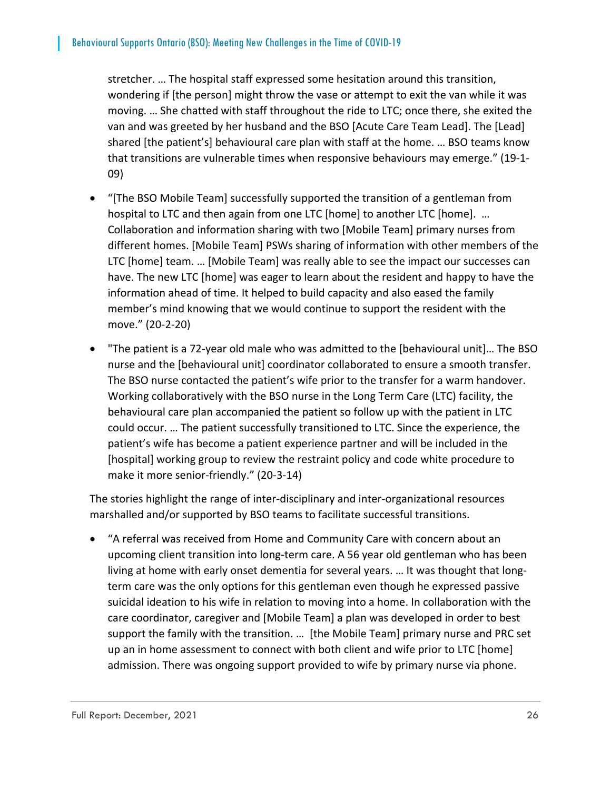stretcher. … The hospital staff expressed some hesitation around this transition, wondering if [the person] might throw the vase or attempt to exit the van while it was moving. … She chatted with staff throughout the ride to LTC; once there, she exited the van and was greeted by her husband and the BSO [Acute Care Team Lead]. The [Lead] shared [the patient's] behavioural care plan with staff at the home. … BSO teams know that transitions are vulnerable times when responsive behaviours may emerge." (19‐1‐ 09)

- "[The BSO Mobile Team] successfully supported the transition of a gentleman from hospital to LTC and then again from one LTC [home] to another LTC [home]. … Collaboration and information sharing with two [Mobile Team] primary nurses from different homes. [Mobile Team] PSWs sharing of information with other members of the LTC [home] team. … [Mobile Team] was really able to see the impact our successes can have. The new LTC [home] was eager to learn about the resident and happy to have the information ahead of time. It helped to build capacity and also eased the family member's mind knowing that we would continue to support the resident with the move." (20‐2‐20)
- "The patient is a 72‐year old male who was admitted to the [behavioural unit]… The BSO nurse and the [behavioural unit] coordinator collaborated to ensure a smooth transfer. The BSO nurse contacted the patient's wife prior to the transfer for a warm handover. Working collaboratively with the BSO nurse in the Long Term Care (LTC) facility, the behavioural care plan accompanied the patient so follow up with the patient in LTC could occur. … The patient successfully transitioned to LTC. Since the experience, the patient's wife has become a patient experience partner and will be included in the [hospital] working group to review the restraint policy and code white procedure to make it more senior‐friendly." (20‐3‐14)

The stories highlight the range of inter‐disciplinary and inter‐organizational resources marshalled and/or supported by BSO teams to facilitate successful transitions.

 "A referral was received from Home and Community Care with concern about an upcoming client transition into long‐term care. A 56 year old gentleman who has been living at home with early onset dementia for several years. … It was thought that long‐ term care was the only options for this gentleman even though he expressed passive suicidal ideation to his wife in relation to moving into a home. In collaboration with the care coordinator, caregiver and [Mobile Team] a plan was developed in order to best support the family with the transition. … [the Mobile Team] primary nurse and PRC set up an in home assessment to connect with both client and wife prior to LTC [home] admission. There was ongoing support provided to wife by primary nurse via phone.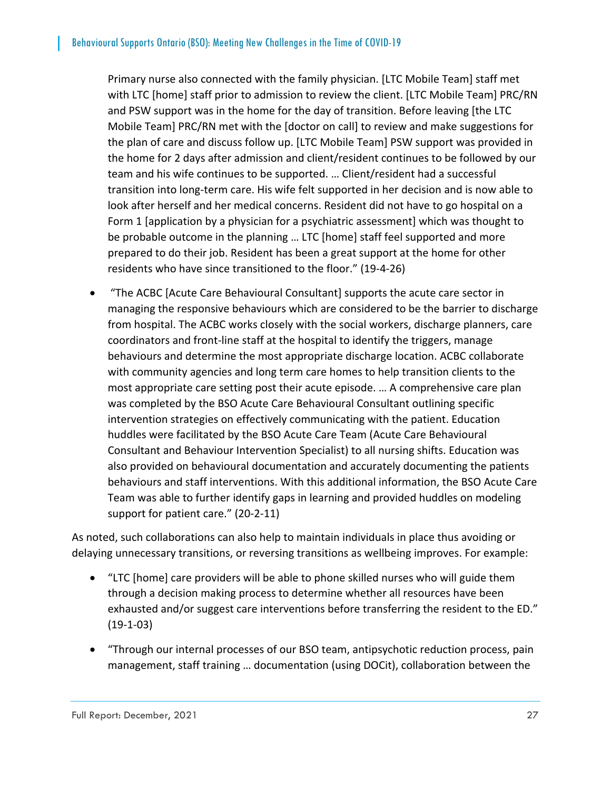Primary nurse also connected with the family physician. [LTC Mobile Team] staff met with LTC [home] staff prior to admission to review the client. [LTC Mobile Team] PRC/RN and PSW support was in the home for the day of transition. Before leaving [the LTC Mobile Team] PRC/RN met with the [doctor on call] to review and make suggestions for the plan of care and discuss follow up. [LTC Mobile Team] PSW support was provided in the home for 2 days after admission and client/resident continues to be followed by our team and his wife continues to be supported. … Client/resident had a successful transition into long‐term care. His wife felt supported in her decision and is now able to look after herself and her medical concerns. Resident did not have to go hospital on a Form 1 [application by a physician for a psychiatric assessment] which was thought to be probable outcome in the planning … LTC [home] staff feel supported and more prepared to do their job. Resident has been a great support at the home for other residents who have since transitioned to the floor." (19‐4‐26)

 "The ACBC [Acute Care Behavioural Consultant] supports the acute care sector in managing the responsive behaviours which are considered to be the barrier to discharge from hospital. The ACBC works closely with the social workers, discharge planners, care coordinators and front‐line staff at the hospital to identify the triggers, manage behaviours and determine the most appropriate discharge location. ACBC collaborate with community agencies and long term care homes to help transition clients to the most appropriate care setting post their acute episode. … A comprehensive care plan was completed by the BSO Acute Care Behavioural Consultant outlining specific intervention strategies on effectively communicating with the patient. Education huddles were facilitated by the BSO Acute Care Team (Acute Care Behavioural Consultant and Behaviour Intervention Specialist) to all nursing shifts. Education was also provided on behavioural documentation and accurately documenting the patients behaviours and staff interventions. With this additional information, the BSO Acute Care Team was able to further identify gaps in learning and provided huddles on modeling support for patient care." (20-2-11)

As noted, such collaborations can also help to maintain individuals in place thus avoiding or delaying unnecessary transitions, or reversing transitions as wellbeing improves. For example:

- "LTC [home] care providers will be able to phone skilled nurses who will guide them through a decision making process to determine whether all resources have been exhausted and/or suggest care interventions before transferring the resident to the ED."  $(19-1-03)$
- "Through our internal processes of our BSO team, antipsychotic reduction process, pain management, staff training … documentation (using DOCit), collaboration between the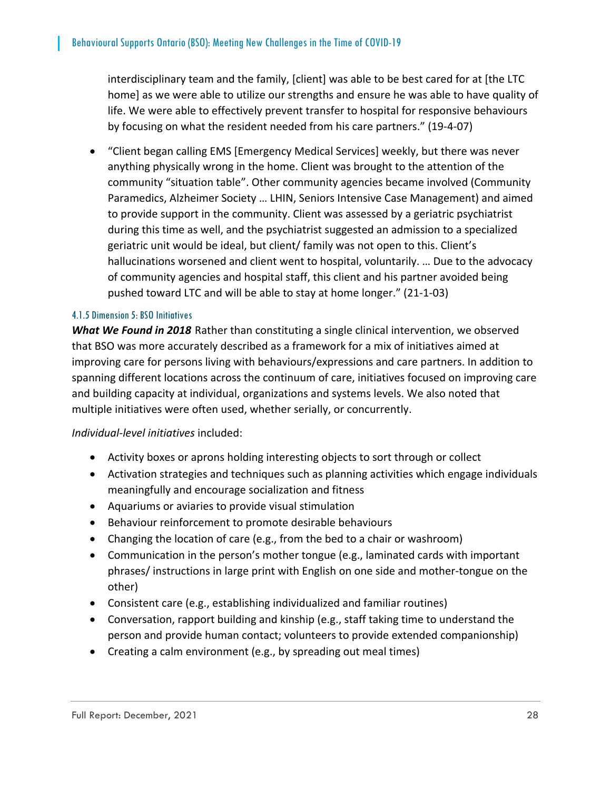interdisciplinary team and the family, [client] was able to be best cared for at [the LTC home] as we were able to utilize our strengths and ensure he was able to have quality of life. We were able to effectively prevent transfer to hospital for responsive behaviours by focusing on what the resident needed from his care partners." (19‐4‐07)

 "Client began calling EMS [Emergency Medical Services] weekly, but there was never anything physically wrong in the home. Client was brought to the attention of the community "situation table". Other community agencies became involved (Community Paramedics, Alzheimer Society … LHIN, Seniors Intensive Case Management) and aimed to provide support in the community. Client was assessed by a geriatric psychiatrist during this time as well, and the psychiatrist suggested an admission to a specialized geriatric unit would be ideal, but client/ family was not open to this. Client's hallucinations worsened and client went to hospital, voluntarily. … Due to the advocacy of community agencies and hospital staff, this client and his partner avoided being pushed toward LTC and will be able to stay at home longer." (21‐1‐03)

#### 4.1.5 Dimension 5: BSO Initiatives

*What We Found in 2018* Rather than constituting a single clinical intervention, we observed that BSO was more accurately described as a framework for a mix of initiatives aimed at improving care for persons living with behaviours/expressions and care partners. In addition to spanning different locations across the continuum of care, initiatives focused on improving care and building capacity at individual, organizations and systems levels. We also noted that multiple initiatives were often used, whether serially, or concurrently.

#### *Individual‐level initiatives* included:

- Activity boxes or aprons holding interesting objects to sort through or collect
- Activation strategies and techniques such as planning activities which engage individuals meaningfully and encourage socialization and fitness
- Aquariums or aviaries to provide visual stimulation
- Behaviour reinforcement to promote desirable behaviours
- Changing the location of care (e.g., from the bed to a chair or washroom)
- Communication in the person's mother tongue (e.g., laminated cards with important phrases/ instructions in large print with English on one side and mother‐tongue on the other)
- Consistent care (e.g., establishing individualized and familiar routines)
- Conversation, rapport building and kinship (e.g., staff taking time to understand the person and provide human contact; volunteers to provide extended companionship)
- Creating a calm environment (e.g., by spreading out meal times)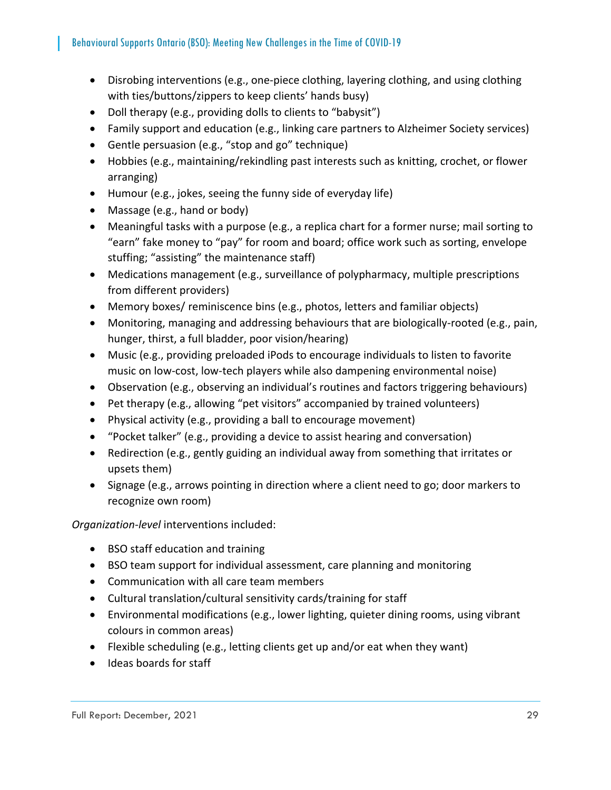- Disrobing interventions (e.g., one-piece clothing, layering clothing, and using clothing with ties/buttons/zippers to keep clients' hands busy)
- Doll therapy (e.g., providing dolls to clients to "babysit")
- Family support and education (e.g., linking care partners to Alzheimer Society services)
- Gentle persuasion (e.g., "stop and go" technique)
- Hobbies (e.g., maintaining/rekindling past interests such as knitting, crochet, or flower arranging)
- Humour (e.g., jokes, seeing the funny side of everyday life)
- Massage (e.g., hand or body)
- Meaningful tasks with a purpose (e.g., a replica chart for a former nurse; mail sorting to "earn" fake money to "pay" for room and board; office work such as sorting, envelope stuffing; "assisting" the maintenance staff)
- Medications management (e.g., surveillance of polypharmacy, multiple prescriptions from different providers)
- Memory boxes/ reminiscence bins (e.g., photos, letters and familiar objects)
- Monitoring, managing and addressing behaviours that are biologically-rooted (e.g., pain, hunger, thirst, a full bladder, poor vision/hearing)
- Music (e.g., providing preloaded iPods to encourage individuals to listen to favorite music on low‐cost, low‐tech players while also dampening environmental noise)
- Observation (e.g., observing an individual's routines and factors triggering behaviours)
- Pet therapy (e.g., allowing "pet visitors" accompanied by trained volunteers)
- Physical activity (e.g., providing a ball to encourage movement)
- "Pocket talker" (e.g., providing a device to assist hearing and conversation)
- Redirection (e.g., gently guiding an individual away from something that irritates or upsets them)
- Signage (e.g., arrows pointing in direction where a client need to go; door markers to recognize own room)

*Organization‐level* interventions included:

- BSO staff education and training
- BSO team support for individual assessment, care planning and monitoring
- Communication with all care team members
- Cultural translation/cultural sensitivity cards/training for staff
- Environmental modifications (e.g., lower lighting, quieter dining rooms, using vibrant colours in common areas)
- Flexible scheduling (e.g., letting clients get up and/or eat when they want)
- Ideas boards for staff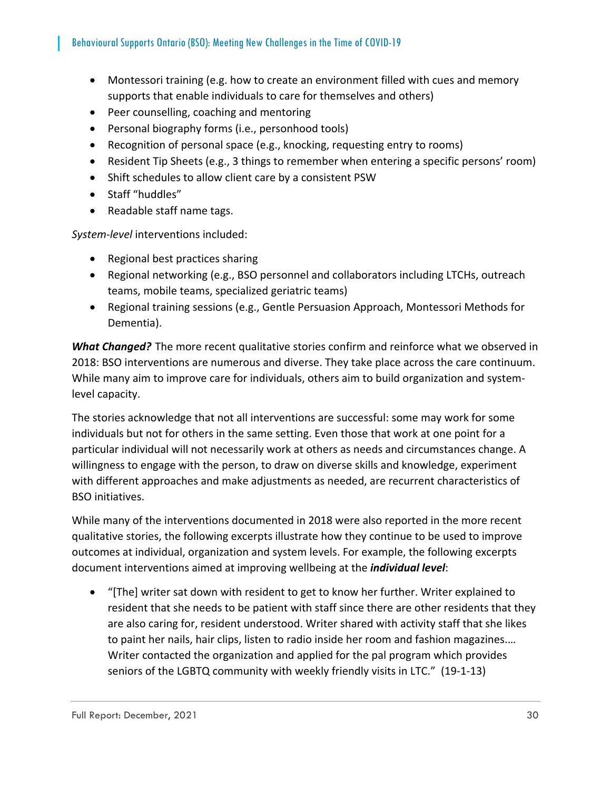- Montessori training (e.g. how to create an environment filled with cues and memory supports that enable individuals to care for themselves and others)
- Peer counselling, coaching and mentoring
- Personal biography forms (i.e., personhood tools)
- Recognition of personal space (e.g., knocking, requesting entry to rooms)
- Resident Tip Sheets (e.g., 3 things to remember when entering a specific persons' room)
- Shift schedules to allow client care by a consistent PSW
- Staff "huddles"
- Readable staff name tags.

*System‐level* interventions included:

- Regional best practices sharing
- Regional networking (e.g., BSO personnel and collaborators including LTCHs, outreach teams, mobile teams, specialized geriatric teams)
- Regional training sessions (e.g., Gentle Persuasion Approach, Montessori Methods for Dementia).

*What Changed?* The more recent qualitative stories confirm and reinforce what we observed in 2018: BSO interventions are numerous and diverse. They take place across the care continuum. While many aim to improve care for individuals, others aim to build organization and system‐ level capacity.

The stories acknowledge that not all interventions are successful: some may work for some individuals but not for others in the same setting. Even those that work at one point for a particular individual will not necessarily work at others as needs and circumstances change. A willingness to engage with the person, to draw on diverse skills and knowledge, experiment with different approaches and make adjustments as needed, are recurrent characteristics of BSO initiatives.

While many of the interventions documented in 2018 were also reported in the more recent qualitative stories, the following excerpts illustrate how they continue to be used to improve outcomes at individual, organization and system levels. For example, the following excerpts document interventions aimed at improving wellbeing at the *individual level*:

 "[The] writer sat down with resident to get to know her further. Writer explained to resident that she needs to be patient with staff since there are other residents that they are also caring for, resident understood. Writer shared with activity staff that she likes to paint her nails, hair clips, listen to radio inside her room and fashion magazines.… Writer contacted the organization and applied for the pal program which provides seniors of the LGBTQ community with weekly friendly visits in LTC." (19‐1‐13)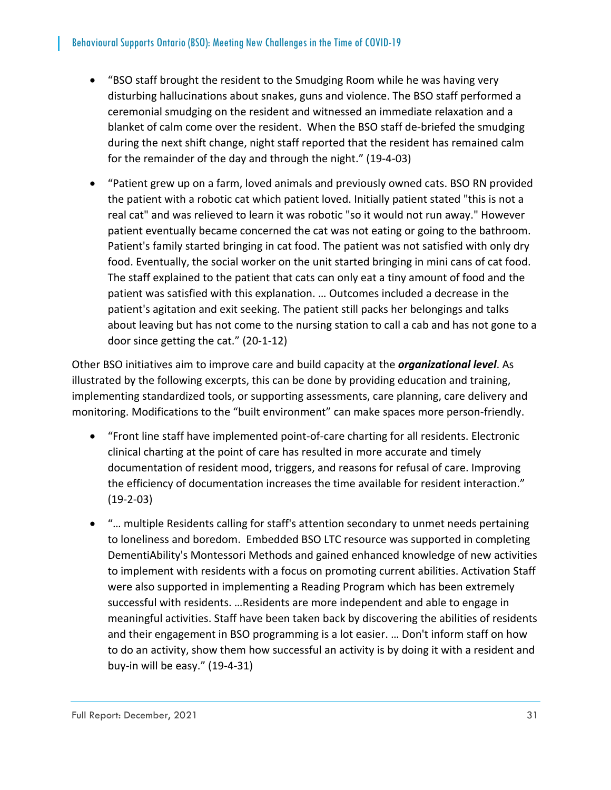- "BSO staff brought the resident to the Smudging Room while he was having very disturbing hallucinations about snakes, guns and violence. The BSO staff performed a ceremonial smudging on the resident and witnessed an immediate relaxation and a blanket of calm come over the resident. When the BSO staff de‐briefed the smudging during the next shift change, night staff reported that the resident has remained calm for the remainder of the day and through the night." (19‐4‐03)
- "Patient grew up on a farm, loved animals and previously owned cats. BSO RN provided the patient with a robotic cat which patient loved. Initially patient stated "this is not a real cat" and was relieved to learn it was robotic "so it would not run away." However patient eventually became concerned the cat was not eating or going to the bathroom. Patient's family started bringing in cat food. The patient was not satisfied with only dry food. Eventually, the social worker on the unit started bringing in mini cans of cat food. The staff explained to the patient that cats can only eat a tiny amount of food and the patient was satisfied with this explanation. … Outcomes included a decrease in the patient's agitation and exit seeking. The patient still packs her belongings and talks about leaving but has not come to the nursing station to call a cab and has not gone to a door since getting the cat." (20‐1‐12)

Other BSO initiatives aim to improve care and build capacity at the *organizational level*. As illustrated by the following excerpts, this can be done by providing education and training, implementing standardized tools, or supporting assessments, care planning, care delivery and monitoring. Modifications to the "built environment" can make spaces more person‐friendly.

- "Front line staff have implemented point‐of‐care charting for all residents. Electronic clinical charting at the point of care has resulted in more accurate and timely documentation of resident mood, triggers, and reasons for refusal of care. Improving the efficiency of documentation increases the time available for resident interaction."  $(19-2-03)$
- "… multiple Residents calling for staff's attention secondary to unmet needs pertaining to loneliness and boredom. Embedded BSO LTC resource was supported in completing DementiAbility's Montessori Methods and gained enhanced knowledge of new activities to implement with residents with a focus on promoting current abilities. Activation Staff were also supported in implementing a Reading Program which has been extremely successful with residents. …Residents are more independent and able to engage in meaningful activities. Staff have been taken back by discovering the abilities of residents and their engagement in BSO programming is a lot easier. … Don't inform staff on how to do an activity, show them how successful an activity is by doing it with a resident and buy‐in will be easy." (19‐4‐31)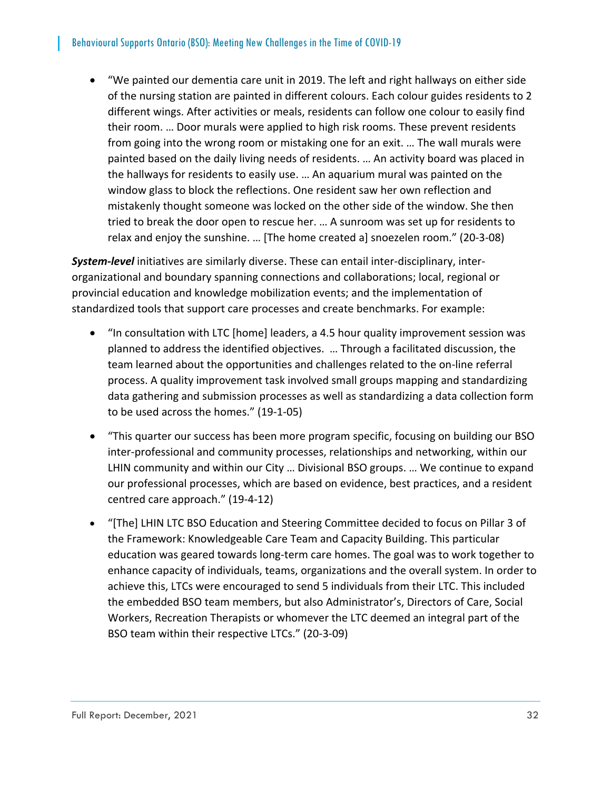"We painted our dementia care unit in 2019. The left and right hallways on either side of the nursing station are painted in different colours. Each colour guides residents to 2 different wings. After activities or meals, residents can follow one colour to easily find their room. … Door murals were applied to high risk rooms. These prevent residents from going into the wrong room or mistaking one for an exit. … The wall murals were painted based on the daily living needs of residents. … An activity board was placed in the hallways for residents to easily use. … An aquarium mural was painted on the window glass to block the reflections. One resident saw her own reflection and mistakenly thought someone was locked on the other side of the window. She then tried to break the door open to rescue her. … A sunroom was set up for residents to relax and enjoy the sunshine. … [The home created a] snoezelen room." (20‐3‐08)

*System‐level* initiatives are similarly diverse. These can entail inter‐disciplinary, inter‐ organizational and boundary spanning connections and collaborations; local, regional or provincial education and knowledge mobilization events; and the implementation of standardized tools that support care processes and create benchmarks. For example:

- "In consultation with LTC [home] leaders, a 4.5 hour quality improvement session was planned to address the identified objectives. … Through a facilitated discussion, the team learned about the opportunities and challenges related to the on‐line referral process. A quality improvement task involved small groups mapping and standardizing data gathering and submission processes as well as standardizing a data collection form to be used across the homes." (19‐1‐05)
- "This quarter our success has been more program specific, focusing on building our BSO inter‐professional and community processes, relationships and networking, within our LHIN community and within our City … Divisional BSO groups. … We continue to expand our professional processes, which are based on evidence, best practices, and a resident centred care approach." (19‐4‐12)
- "[The] LHIN LTC BSO Education and Steering Committee decided to focus on Pillar 3 of the Framework: Knowledgeable Care Team and Capacity Building. This particular education was geared towards long‐term care homes. The goal was to work together to enhance capacity of individuals, teams, organizations and the overall system. In order to achieve this, LTCs were encouraged to send 5 individuals from their LTC. This included the embedded BSO team members, but also Administrator's, Directors of Care, Social Workers, Recreation Therapists or whomever the LTC deemed an integral part of the BSO team within their respective LTCs." (20‐3‐09)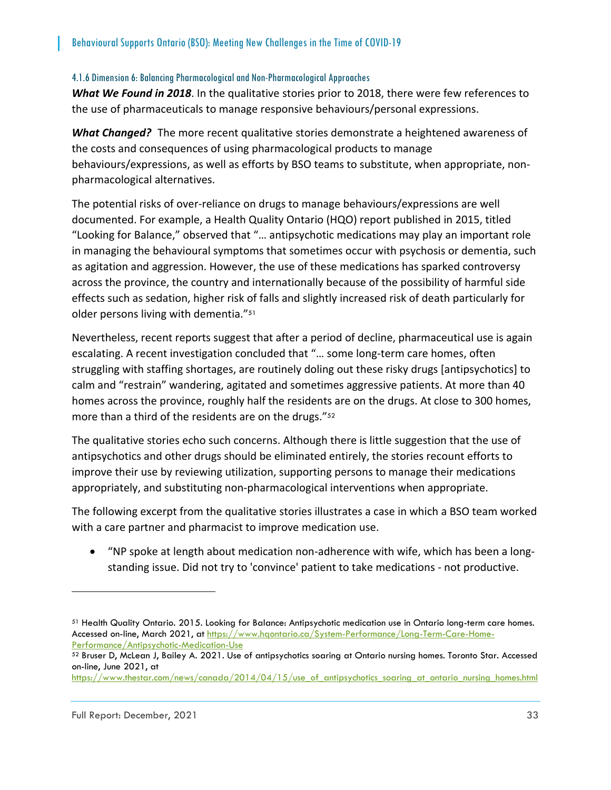#### 4.1.6 Dimension 6: Balancing Pharmacological and Non-Pharmacological Approaches

*What We Found in 2018*. In the qualitative stories prior to 2018, there were few references to the use of pharmaceuticals to manage responsive behaviours/personal expressions.

*What Changed?* The more recent qualitative stories demonstrate a heightened awareness of the costs and consequences of using pharmacological products to manage behaviours/expressions, as well as efforts by BSO teams to substitute, when appropriate, non‐ pharmacological alternatives.

The potential risks of over-reliance on drugs to manage behaviours/expressions are well documented. For example, a Health Quality Ontario (HQO) report published in 2015, titled "Looking for Balance," observed that "… antipsychotic medications may play an important role in managing the behavioural symptoms that sometimes occur with psychosis or dementia, such as agitation and aggression. However, the use of these medications has sparked controversy across the province, the country and internationally because of the possibility of harmful side effects such as sedation, higher risk of falls and slightly increased risk of death particularly for older persons living with dementia."<sup>51</sup>

Nevertheless, recent reports suggest that after a period of decline, pharmaceutical use is again escalating. A recent investigation concluded that "… some long‐term care homes, often struggling with staffing shortages, are routinely doling out these risky drugs [antipsychotics] to calm and "restrain" wandering, agitated and sometimes aggressive patients. At more than 40 homes across the province, roughly half the residents are on the drugs. At close to 300 homes, more than a third of the residents are on the drugs."<sup>52</sup>

The qualitative stories echo such concerns. Although there is little suggestion that the use of antipsychotics and other drugs should be eliminated entirely, the stories recount efforts to improve their use by reviewing utilization, supporting persons to manage their medications appropriately, and substituting non‐pharmacological interventions when appropriate.

The following excerpt from the qualitative stories illustrates a case in which a BSO team worked with a care partner and pharmacist to improve medication use.

■ "NP spoke at length about medication non-adherence with wife, which has been a longstanding issue. Did not try to 'convince' patient to take medications ‐ not productive.

<sup>51</sup> Health Quality Ontario. 2015. Looking for Balance: Antipsychotic medication use in Ontario long-term care homes. Accessed on-line, March 2021, at https://www.hqontario.ca/System-Performance/Long-Term-Care-Home-

Performance/Antipsychotic-Medication-Use<br><sup>52</sup> Bruser D, McLean J, Bailey A. 2021. Use of antipsychotics soaring at Ontario nursing homes. Toronto Star. Accessed on-line, June 2021, at

https://www.thestar.com/news/canada/2014/04/15/use\_of\_antipsychotics\_soaring\_at\_ontario\_nursing\_homes.html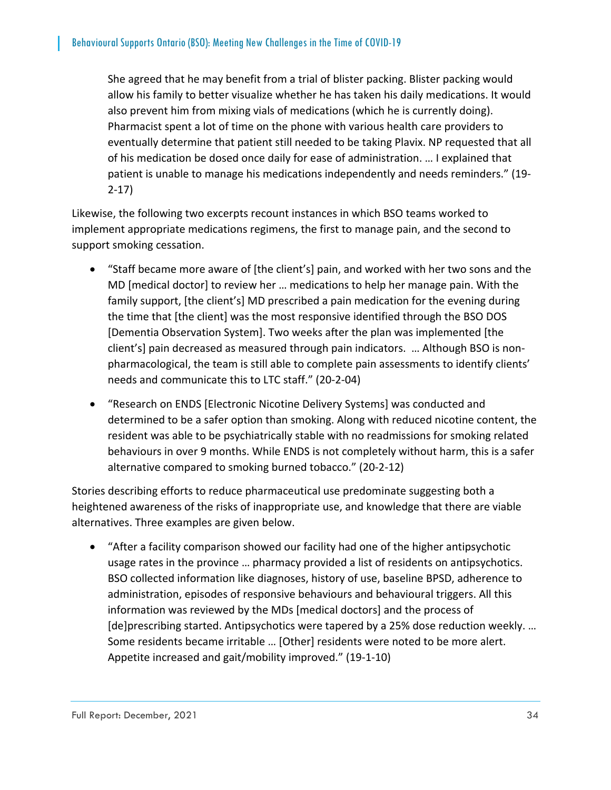She agreed that he may benefit from a trial of blister packing. Blister packing would allow his family to better visualize whether he has taken his daily medications. It would also prevent him from mixing vials of medications (which he is currently doing). Pharmacist spent a lot of time on the phone with various health care providers to eventually determine that patient still needed to be taking Plavix. NP requested that all of his medication be dosed once daily for ease of administration. … I explained that patient is unable to manage his medications independently and needs reminders." (19‐ 2‐17)

Likewise, the following two excerpts recount instances in which BSO teams worked to implement appropriate medications regimens, the first to manage pain, and the second to support smoking cessation.

- "Staff became more aware of [the client's] pain, and worked with her two sons and the MD [medical doctor] to review her … medications to help her manage pain. With the family support, [the client's] MD prescribed a pain medication for the evening during the time that [the client] was the most responsive identified through the BSO DOS [Dementia Observation System]. Two weeks after the plan was implemented [the client's] pain decreased as measured through pain indicators. … Although BSO is non‐ pharmacological, the team is still able to complete pain assessments to identify clients' needs and communicate this to LTC staff." (20‐2‐04)
- "Research on ENDS [Electronic Nicotine Delivery Systems] was conducted and determined to be a safer option than smoking. Along with reduced nicotine content, the resident was able to be psychiatrically stable with no readmissions for smoking related behaviours in over 9 months. While ENDS is not completely without harm, this is a safer alternative compared to smoking burned tobacco." (20‐2‐12)

Stories describing efforts to reduce pharmaceutical use predominate suggesting both a heightened awareness of the risks of inappropriate use, and knowledge that there are viable alternatives. Three examples are given below.

 "After a facility comparison showed our facility had one of the higher antipsychotic usage rates in the province … pharmacy provided a list of residents on antipsychotics. BSO collected information like diagnoses, history of use, baseline BPSD, adherence to administration, episodes of responsive behaviours and behavioural triggers. All this information was reviewed by the MDs [medical doctors] and the process of [de]prescribing started. Antipsychotics were tapered by a 25% dose reduction weekly. … Some residents became irritable … [Other] residents were noted to be more alert. Appetite increased and gait/mobility improved." (19‐1‐10)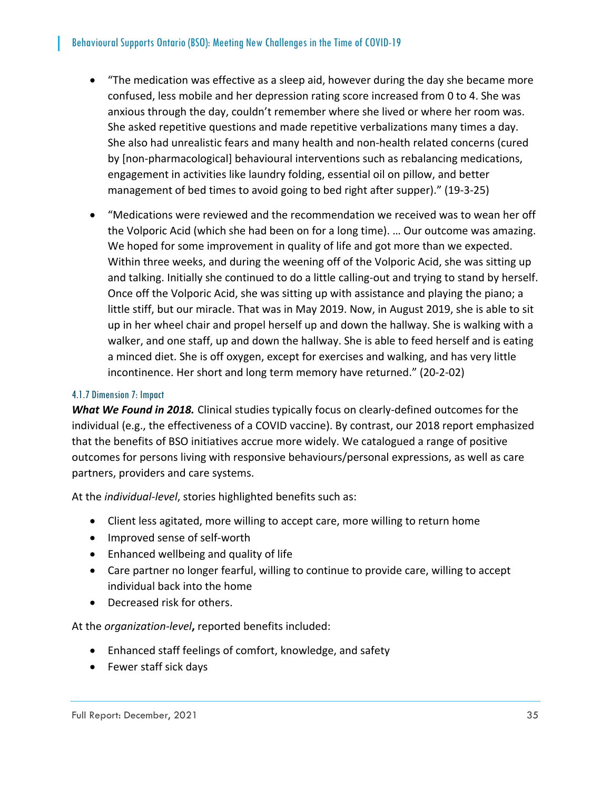- "The medication was effective as a sleep aid, however during the day she became more confused, less mobile and her depression rating score increased from 0 to 4. She was anxious through the day, couldn't remember where she lived or where her room was. She asked repetitive questions and made repetitive verbalizations many times a day. She also had unrealistic fears and many health and non‐health related concerns (cured by [non‐pharmacological] behavioural interventions such as rebalancing medications, engagement in activities like laundry folding, essential oil on pillow, and better management of bed times to avoid going to bed right after supper)." (19‐3‐25)
- "Medications were reviewed and the recommendation we received was to wean her off the Volporic Acid (which she had been on for a long time). … Our outcome was amazing. We hoped for some improvement in quality of life and got more than we expected. Within three weeks, and during the weening off of the Volporic Acid, she was sitting up and talking. Initially she continued to do a little calling‐out and trying to stand by herself. Once off the Volporic Acid, she was sitting up with assistance and playing the piano; a little stiff, but our miracle. That was in May 2019. Now, in August 2019, she is able to sit up in her wheel chair and propel herself up and down the hallway. She is walking with a walker, and one staff, up and down the hallway. She is able to feed herself and is eating a minced diet. She is off oxygen, except for exercises and walking, and has very little incontinence. Her short and long term memory have returned." (20‐2‐02)

# 4.1.7 Dimension 7: Impact

*What We Found in 2018.* Clinical studies typically focus on clearly‐defined outcomes for the individual (e.g., the effectiveness of a COVID vaccine). By contrast, our 2018 report emphasized that the benefits of BSO initiatives accrue more widely. We catalogued a range of positive outcomes for persons living with responsive behaviours/personal expressions, as well as care partners, providers and care systems.

At the *individual‐level*, stories highlighted benefits such as:

- Client less agitated, more willing to accept care, more willing to return home
- Improved sense of self-worth
- Enhanced wellbeing and quality of life
- Care partner no longer fearful, willing to continue to provide care, willing to accept individual back into the home
- Decreased risk for others.

At the *organization‐level***,** reported benefits included:

- Enhanced staff feelings of comfort, knowledge, and safety
- Fewer staff sick days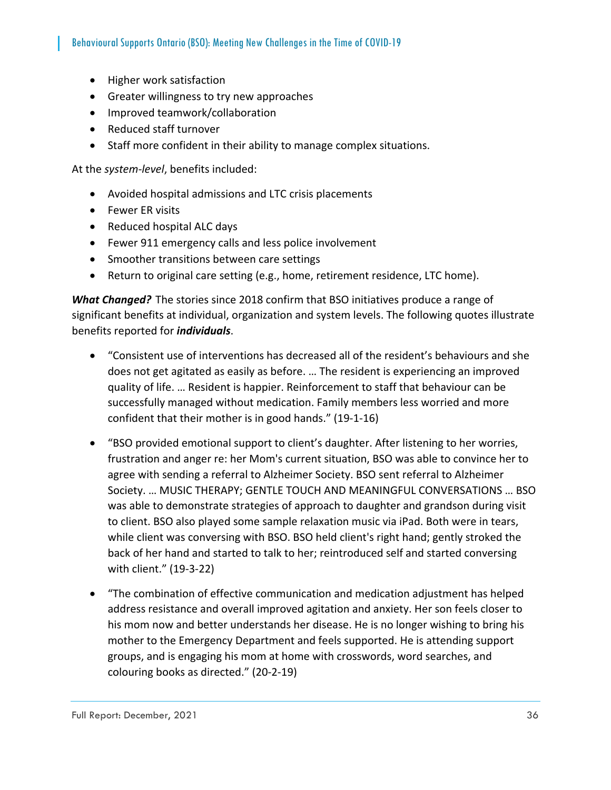- Higher work satisfaction
- Greater willingness to try new approaches
- Improved teamwork/collaboration
- Reduced staff turnover
- Staff more confident in their ability to manage complex situations.

At the *system‐level*, benefits included:

- Avoided hospital admissions and LTC crisis placements
- Fewer ER visits
- Reduced hospital ALC days
- Fewer 911 emergency calls and less police involvement
- Smoother transitions between care settings
- Return to original care setting (e.g., home, retirement residence, LTC home).

*What Changed?* The stories since 2018 confirm that BSO initiatives produce a range of significant benefits at individual, organization and system levels. The following quotes illustrate benefits reported for *individuals*.

- "Consistent use of interventions has decreased all of the resident's behaviours and she does not get agitated as easily as before. … The resident is experiencing an improved quality of life. … Resident is happier. Reinforcement to staff that behaviour can be successfully managed without medication. Family members less worried and more confident that their mother is in good hands." (19‐1‐16)
- "BSO provided emotional support to client's daughter. After listening to her worries, frustration and anger re: her Mom's current situation, BSO was able to convince her to agree with sending a referral to Alzheimer Society. BSO sent referral to Alzheimer Society. … MUSIC THERAPY; GENTLE TOUCH AND MEANINGFUL CONVERSATIONS … BSO was able to demonstrate strategies of approach to daughter and grandson during visit to client. BSO also played some sample relaxation music via iPad. Both were in tears, while client was conversing with BSO. BSO held client's right hand; gently stroked the back of her hand and started to talk to her; reintroduced self and started conversing with client." (19‐3‐22)
- "The combination of effective communication and medication adjustment has helped address resistance and overall improved agitation and anxiety. Her son feels closer to his mom now and better understands her disease. He is no longer wishing to bring his mother to the Emergency Department and feels supported. He is attending support groups, and is engaging his mom at home with crosswords, word searches, and colouring books as directed." (20‐2‐19)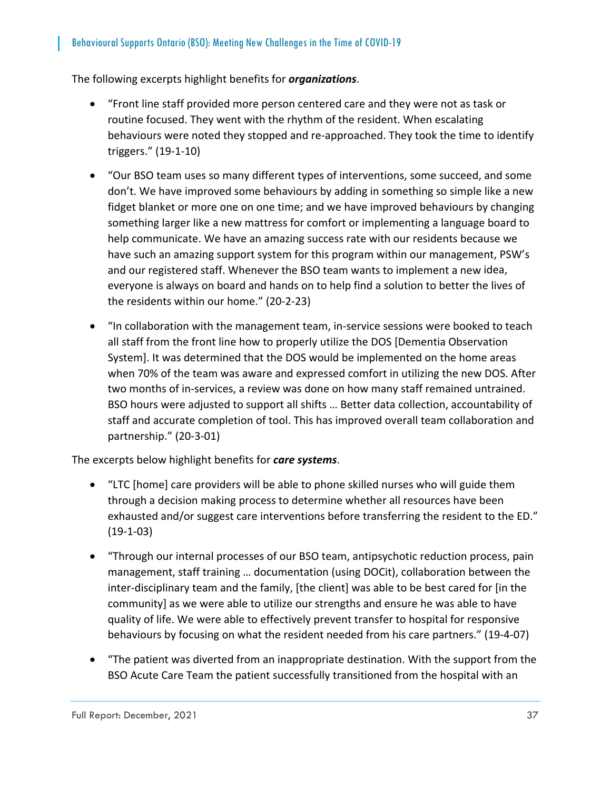The following excerpts highlight benefits for *organizations*.

- "Front line staff provided more person centered care and they were not as task or routine focused. They went with the rhythm of the resident. When escalating behaviours were noted they stopped and re‐approached. They took the time to identify triggers." (19‐1‐10)
- "Our BSO team uses so many different types of interventions, some succeed, and some don't. We have improved some behaviours by adding in something so simple like a new fidget blanket or more one on one time; and we have improved behaviours by changing something larger like a new mattress for comfort or implementing a language board to help communicate. We have an amazing success rate with our residents because we have such an amazing support system for this program within our management, PSW's and our registered staff. Whenever the BSO team wants to implement a new idea, everyone is always on board and hands on to help find a solution to better the lives of the residents within our home." (20‐2‐23)
- "In collaboration with the management team, in-service sessions were booked to teach all staff from the front line how to properly utilize the DOS [Dementia Observation System]. It was determined that the DOS would be implemented on the home areas when 70% of the team was aware and expressed comfort in utilizing the new DOS. After two months of in‐services, a review was done on how many staff remained untrained. BSO hours were adjusted to support all shifts … Better data collection, accountability of staff and accurate completion of tool. This has improved overall team collaboration and partnership." (20‐3‐01)

The excerpts below highlight benefits for *care systems*.

- "LTC [home] care providers will be able to phone skilled nurses who will guide them through a decision making process to determine whether all resources have been exhausted and/or suggest care interventions before transferring the resident to the ED."  $(19-1-03)$
- "Through our internal processes of our BSO team, antipsychotic reduction process, pain management, staff training … documentation (using DOCit), collaboration between the inter‐disciplinary team and the family, [the client] was able to be best cared for [in the community] as we were able to utilize our strengths and ensure he was able to have quality of life. We were able to effectively prevent transfer to hospital for responsive behaviours by focusing on what the resident needed from his care partners." (19‐4‐07)
- "The patient was diverted from an inappropriate destination. With the support from the BSO Acute Care Team the patient successfully transitioned from the hospital with an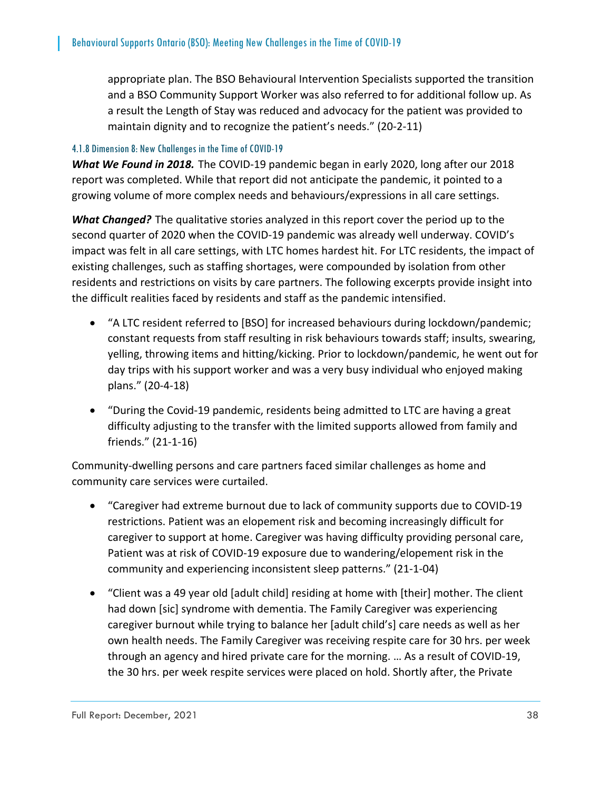appropriate plan. The BSO Behavioural Intervention Specialists supported the transition and a BSO Community Support Worker was also referred to for additional follow up. As a result the Length of Stay was reduced and advocacy for the patient was provided to maintain dignity and to recognize the patient's needs." (20‐2‐11)

# 4.1.8 Dimension 8: New Challenges in the Time of COVID-19

*What We Found in 2018.* The COVID‐19 pandemic began in early 2020, long after our 2018 report was completed. While that report did not anticipate the pandemic, it pointed to a growing volume of more complex needs and behaviours/expressions in all care settings.

*What Changed?* The qualitative stories analyzed in this report cover the period up to the second quarter of 2020 when the COVID‐19 pandemic was already well underway. COVID's impact was felt in all care settings, with LTC homes hardest hit. For LTC residents, the impact of existing challenges, such as staffing shortages, were compounded by isolation from other residents and restrictions on visits by care partners. The following excerpts provide insight into the difficult realities faced by residents and staff as the pandemic intensified.

- "A LTC resident referred to [BSO] for increased behaviours during lockdown/pandemic; constant requests from staff resulting in risk behaviours towards staff; insults, swearing, yelling, throwing items and hitting/kicking. Prior to lockdown/pandemic, he went out for day trips with his support worker and was a very busy individual who enjoyed making plans." (20‐4‐18)
- "During the Covid-19 pandemic, residents being admitted to LTC are having a great difficulty adjusting to the transfer with the limited supports allowed from family and friends." (21‐1‐16)

Community‐dwelling persons and care partners faced similar challenges as home and community care services were curtailed.

- "Caregiver had extreme burnout due to lack of community supports due to COVID‐19 restrictions. Patient was an elopement risk and becoming increasingly difficult for caregiver to support at home. Caregiver was having difficulty providing personal care, Patient was at risk of COVID‐19 exposure due to wandering/elopement risk in the community and experiencing inconsistent sleep patterns." (21‐1‐04)
- "Client was a 49 year old [adult child] residing at home with [their] mother. The client had down [sic] syndrome with dementia. The Family Caregiver was experiencing caregiver burnout while trying to balance her [adult child's] care needs as well as her own health needs. The Family Caregiver was receiving respite care for 30 hrs. per week through an agency and hired private care for the morning. … As a result of COVID‐19, the 30 hrs. per week respite services were placed on hold. Shortly after, the Private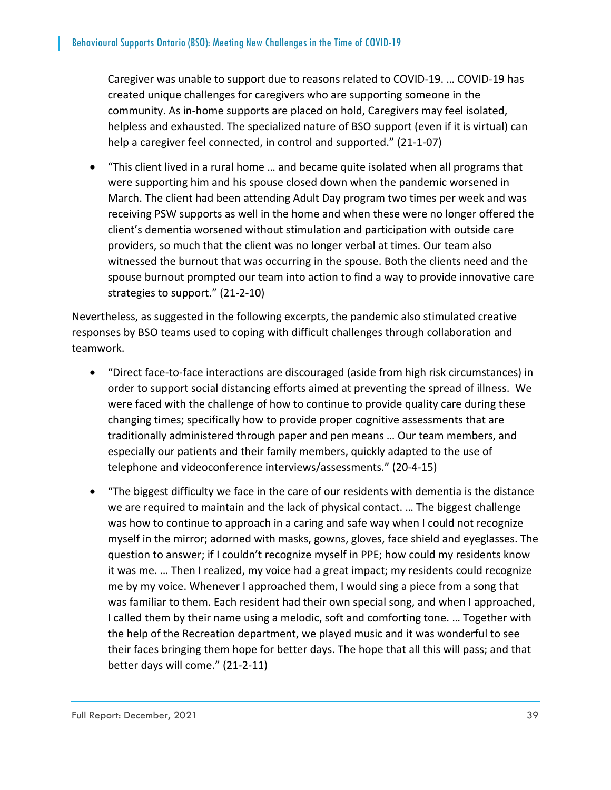Caregiver was unable to support due to reasons related to COVID‐19. … COVID‐19 has created unique challenges for caregivers who are supporting someone in the community. As in‐home supports are placed on hold, Caregivers may feel isolated, helpless and exhausted. The specialized nature of BSO support (even if it is virtual) can help a caregiver feel connected, in control and supported." (21-1-07)

 "This client lived in a rural home … and became quite isolated when all programs that were supporting him and his spouse closed down when the pandemic worsened in March. The client had been attending Adult Day program two times per week and was receiving PSW supports as well in the home and when these were no longer offered the client's dementia worsened without stimulation and participation with outside care providers, so much that the client was no longer verbal at times. Our team also witnessed the burnout that was occurring in the spouse. Both the clients need and the spouse burnout prompted our team into action to find a way to provide innovative care strategies to support." (21‐2‐10)

Nevertheless, as suggested in the following excerpts, the pandemic also stimulated creative responses by BSO teams used to coping with difficult challenges through collaboration and teamwork.

- "Direct face‐to‐face interactions are discouraged (aside from high risk circumstances) in order to support social distancing efforts aimed at preventing the spread of illness. We were faced with the challenge of how to continue to provide quality care during these changing times; specifically how to provide proper cognitive assessments that are traditionally administered through paper and pen means … Our team members, and especially our patients and their family members, quickly adapted to the use of telephone and videoconference interviews/assessments." (20‐4‐15)
- "The biggest difficulty we face in the care of our residents with dementia is the distance we are required to maintain and the lack of physical contact. … The biggest challenge was how to continue to approach in a caring and safe way when I could not recognize myself in the mirror; adorned with masks, gowns, gloves, face shield and eyeglasses. The question to answer; if I couldn't recognize myself in PPE; how could my residents know it was me. … Then I realized, my voice had a great impact; my residents could recognize me by my voice. Whenever I approached them, I would sing a piece from a song that was familiar to them. Each resident had their own special song, and when I approached, I called them by their name using a melodic, soft and comforting tone. … Together with the help of the Recreation department, we played music and it was wonderful to see their faces bringing them hope for better days. The hope that all this will pass; and that better days will come." (21‐2‐11)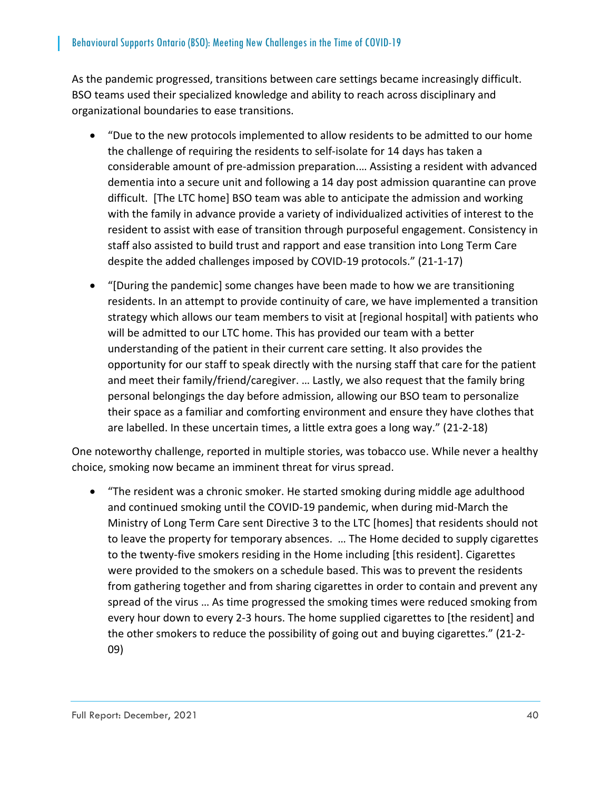As the pandemic progressed, transitions between care settings became increasingly difficult. BSO teams used their specialized knowledge and ability to reach across disciplinary and organizational boundaries to ease transitions.

- "Due to the new protocols implemented to allow residents to be admitted to our home the challenge of requiring the residents to self‐isolate for 14 days has taken a considerable amount of pre‐admission preparation.… Assisting a resident with advanced dementia into a secure unit and following a 14 day post admission quarantine can prove difficult. [The LTC home] BSO team was able to anticipate the admission and working with the family in advance provide a variety of individualized activities of interest to the resident to assist with ease of transition through purposeful engagement. Consistency in staff also assisted to build trust and rapport and ease transition into Long Term Care despite the added challenges imposed by COVID‐19 protocols." (21‐1‐17)
- "[During the pandemic] some changes have been made to how we are transitioning residents. In an attempt to provide continuity of care, we have implemented a transition strategy which allows our team members to visit at [regional hospital] with patients who will be admitted to our LTC home. This has provided our team with a better understanding of the patient in their current care setting. It also provides the opportunity for our staff to speak directly with the nursing staff that care for the patient and meet their family/friend/caregiver. … Lastly, we also request that the family bring personal belongings the day before admission, allowing our BSO team to personalize their space as a familiar and comforting environment and ensure they have clothes that are labelled. In these uncertain times, a little extra goes a long way." (21‐2‐18)

One noteworthy challenge, reported in multiple stories, was tobacco use. While never a healthy choice, smoking now became an imminent threat for virus spread.

 "The resident was a chronic smoker. He started smoking during middle age adulthood and continued smoking until the COVID‐19 pandemic, when during mid‐March the Ministry of Long Term Care sent Directive 3 to the LTC [homes] that residents should not to leave the property for temporary absences. … The Home decided to supply cigarettes to the twenty‐five smokers residing in the Home including [this resident]. Cigarettes were provided to the smokers on a schedule based. This was to prevent the residents from gathering together and from sharing cigarettes in order to contain and prevent any spread of the virus … As time progressed the smoking times were reduced smoking from every hour down to every 2‐3 hours. The home supplied cigarettes to [the resident] and the other smokers to reduce the possibility of going out and buying cigarettes." (21‐2‐ 09)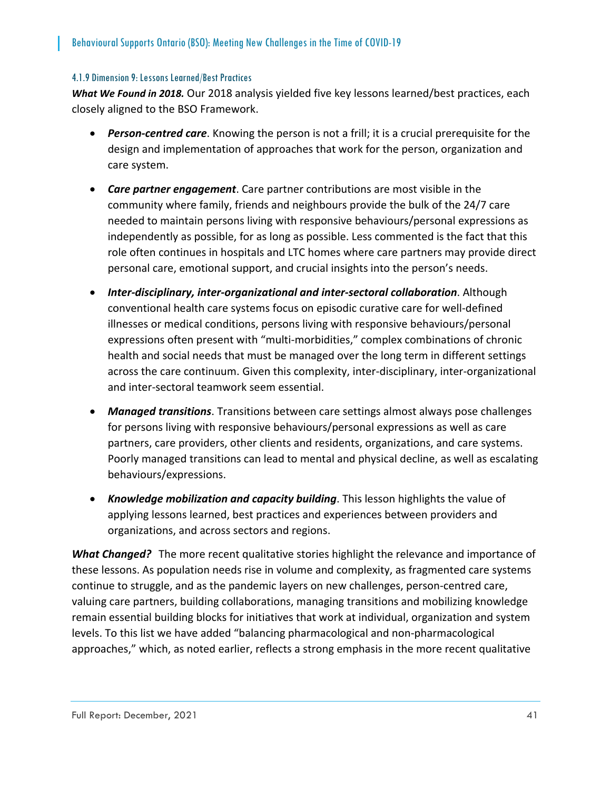#### 4.1.9 Dimension 9: Lessons Learned/Best Practices

*What We Found in 2018.* Our 2018 analysis yielded five key lessons learned/best practices, each closely aligned to the BSO Framework.

- **Person-centred care**. Knowing the person is not a frill; it is a crucial prerequisite for the design and implementation of approaches that work for the person, organization and care system.
- *Care partner engagement*. Care partner contributions are most visible in the community where family, friends and neighbours provide the bulk of the 24/7 care needed to maintain persons living with responsive behaviours/personal expressions as independently as possible, for as long as possible. Less commented is the fact that this role often continues in hospitals and LTC homes where care partners may provide direct personal care, emotional support, and crucial insights into the person's needs.
- *Inter‐disciplinary, inter‐organizational and inter‐sectoral collaboration*. Although conventional health care systems focus on episodic curative care for well‐defined illnesses or medical conditions, persons living with responsive behaviours/personal expressions often present with "multi‐morbidities," complex combinations of chronic health and social needs that must be managed over the long term in different settings across the care continuum. Given this complexity, inter‐disciplinary, inter‐organizational and inter‐sectoral teamwork seem essential.
- *Managed transitions*. Transitions between care settings almost always pose challenges for persons living with responsive behaviours/personal expressions as well as care partners, care providers, other clients and residents, organizations, and care systems. Poorly managed transitions can lead to mental and physical decline, as well as escalating behaviours/expressions.
- *Knowledge mobilization and capacity building*. This lesson highlights the value of applying lessons learned, best practices and experiences between providers and organizations, and across sectors and regions.

*What Changed?* The more recent qualitative stories highlight the relevance and importance of these lessons. As population needs rise in volume and complexity, as fragmented care systems continue to struggle, and as the pandemic layers on new challenges, person‐centred care, valuing care partners, building collaborations, managing transitions and mobilizing knowledge remain essential building blocks for initiatives that work at individual, organization and system levels. To this list we have added "balancing pharmacological and non‐pharmacological approaches," which, as noted earlier, reflects a strong emphasis in the more recent qualitative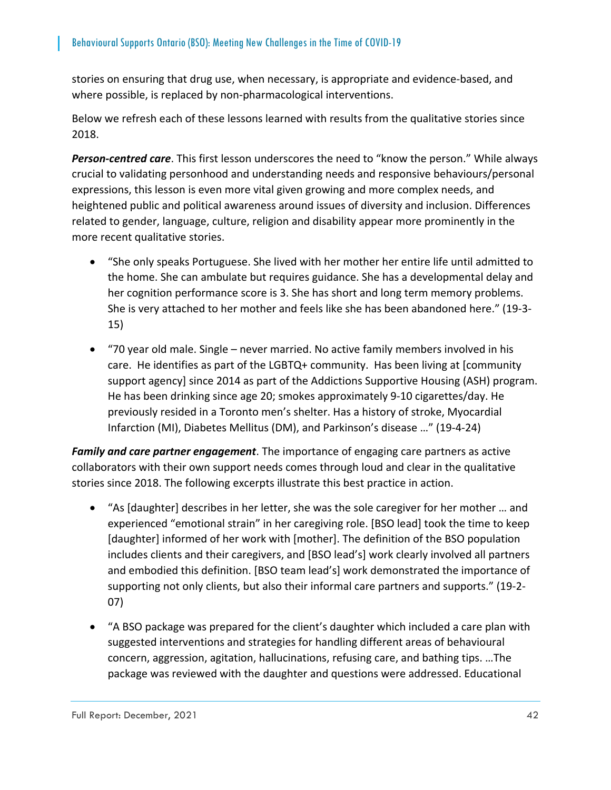stories on ensuring that drug use, when necessary, is appropriate and evidence‐based, and where possible, is replaced by non-pharmacological interventions.

Below we refresh each of these lessons learned with results from the qualitative stories since 2018.

*Person‐centred care*. This first lesson underscores the need to "know the person." While always crucial to validating personhood and understanding needs and responsive behaviours/personal expressions, this lesson is even more vital given growing and more complex needs, and heightened public and political awareness around issues of diversity and inclusion. Differences related to gender, language, culture, religion and disability appear more prominently in the more recent qualitative stories.

- "She only speaks Portuguese. She lived with her mother her entire life until admitted to the home. She can ambulate but requires guidance. She has a developmental delay and her cognition performance score is 3. She has short and long term memory problems. She is very attached to her mother and feels like she has been abandoned here." (19‐3‐ 15)
- "70 year old male. Single never married. No active family members involved in his care. He identifies as part of the LGBTQ+ community. Has been living at [community support agency] since 2014 as part of the Addictions Supportive Housing (ASH) program. He has been drinking since age 20; smokes approximately 9‐10 cigarettes/day. He previously resided in a Toronto men's shelter. Has a history of stroke, Myocardial Infarction (MI), Diabetes Mellitus (DM), and Parkinson's disease …" (19‐4‐24)

*Family and care partner engagement*. The importance of engaging care partners as active collaborators with their own support needs comes through loud and clear in the qualitative stories since 2018. The following excerpts illustrate this best practice in action.

- "As [daughter] describes in her letter, she was the sole caregiver for her mother … and experienced "emotional strain" in her caregiving role. [BSO lead] took the time to keep [daughter] informed of her work with [mother]. The definition of the BSO population includes clients and their caregivers, and [BSO lead's] work clearly involved all partners and embodied this definition. [BSO team lead's] work demonstrated the importance of supporting not only clients, but also their informal care partners and supports." (19‐2‐ 07)
- "A BSO package was prepared for the client's daughter which included a care plan with suggested interventions and strategies for handling different areas of behavioural concern, aggression, agitation, hallucinations, refusing care, and bathing tips. …The package was reviewed with the daughter and questions were addressed. Educational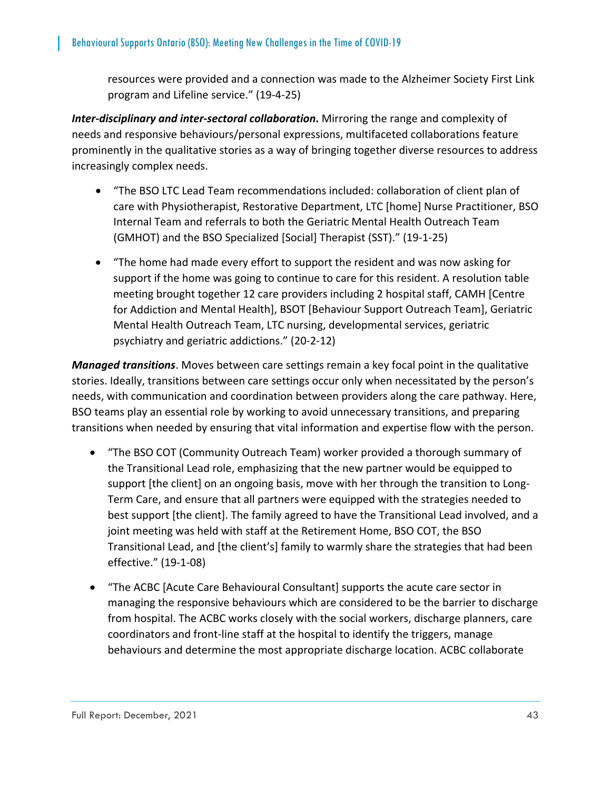resources were provided and a connection was made to the Alzheimer Society First Link program and Lifeline service." (19‐4‐25)

*Inter‐disciplinary and inter‐sectoral collaboration***.** Mirroring the range and complexity of needs and responsive behaviours/personal expressions, multifaceted collaborations feature prominently in the qualitative stories as a way of bringing together diverse resources to address increasingly complex needs.

- "The BSO LTC Lead Team recommendations included: collaboration of client plan of care with Physiotherapist, Restorative Department, LTC [home] Nurse Practitioner, BSO Internal Team and referrals to both the Geriatric Mental Health Outreach Team (GMHOT) and the BSO Specialized [Social] Therapist (SST)." (19‐1‐25)
- "The home had made every effort to support the resident and was now asking for support if the home was going to continue to care for this resident. A resolution table meeting brought together 12 care providers including 2 hospital staff, CAMH [Centre for Addiction and Mental Health], BSOT [Behaviour Support Outreach Team], Geriatric Mental Health Outreach Team, LTC nursing, developmental services, geriatric psychiatry and geriatric addictions." (20‐2‐12)

*Managed transitions*. Moves between care settings remain a key focal point in the qualitative stories. Ideally, transitions between care settings occur only when necessitated by the person's needs, with communication and coordination between providers along the care pathway. Here, BSO teams play an essential role by working to avoid unnecessary transitions, and preparing transitions when needed by ensuring that vital information and expertise flow with the person.

- "The BSO COT (Community Outreach Team) worker provided a thorough summary of the Transitional Lead role, emphasizing that the new partner would be equipped to support [the client] on an ongoing basis, move with her through the transition to Long-Term Care, and ensure that all partners were equipped with the strategies needed to best support [the client]. The family agreed to have the Transitional Lead involved, and a joint meeting was held with staff at the Retirement Home, BSO COT, the BSO Transitional Lead, and [the client's] family to warmly share the strategies that had been effective." (19‐1‐08)
- "The ACBC [Acute Care Behavioural Consultant] supports the acute care sector in managing the responsive behaviours which are considered to be the barrier to discharge from hospital. The ACBC works closely with the social workers, discharge planners, care coordinators and front‐line staff at the hospital to identify the triggers, manage behaviours and determine the most appropriate discharge location. ACBC collaborate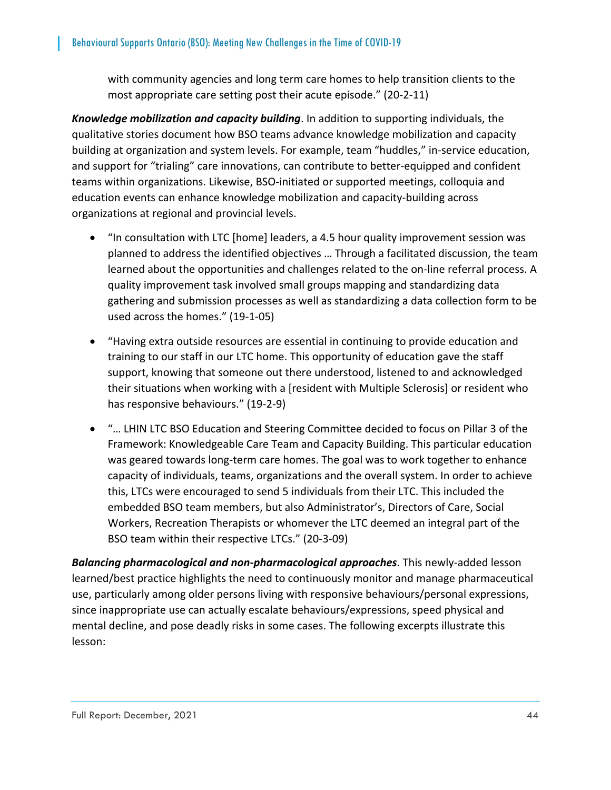with community agencies and long term care homes to help transition clients to the most appropriate care setting post their acute episode." (20‐2‐11)

*Knowledge mobilization and capacity building*. In addition to supporting individuals, the qualitative stories document how BSO teams advance knowledge mobilization and capacity building at organization and system levels. For example, team "huddles," in‐service education, and support for "trialing" care innovations, can contribute to better-equipped and confident teams within organizations. Likewise, BSO‐initiated or supported meetings, colloquia and education events can enhance knowledge mobilization and capacity‐building across organizations at regional and provincial levels.

- "In consultation with LTC [home] leaders, a 4.5 hour quality improvement session was planned to address the identified objectives … Through a facilitated discussion, the team learned about the opportunities and challenges related to the on‐line referral process. A quality improvement task involved small groups mapping and standardizing data gathering and submission processes as well as standardizing a data collection form to be used across the homes." (19‐1‐05)
- "Having extra outside resources are essential in continuing to provide education and training to our staff in our LTC home. This opportunity of education gave the staff support, knowing that someone out there understood, listened to and acknowledged their situations when working with a [resident with Multiple Sclerosis] or resident who has responsive behaviours." (19‐2‐9)
- "… LHIN LTC BSO Education and Steering Committee decided to focus on Pillar 3 of the Framework: Knowledgeable Care Team and Capacity Building. This particular education was geared towards long-term care homes. The goal was to work together to enhance capacity of individuals, teams, organizations and the overall system. In order to achieve this, LTCs were encouraged to send 5 individuals from their LTC. This included the embedded BSO team members, but also Administrator's, Directors of Care, Social Workers, Recreation Therapists or whomever the LTC deemed an integral part of the BSO team within their respective LTCs." (20‐3‐09)

*Balancing pharmacological and non‐pharmacological approaches*. This newly‐added lesson learned/best practice highlights the need to continuously monitor and manage pharmaceutical use, particularly among older persons living with responsive behaviours/personal expressions, since inappropriate use can actually escalate behaviours/expressions, speed physical and mental decline, and pose deadly risks in some cases. The following excerpts illustrate this lesson: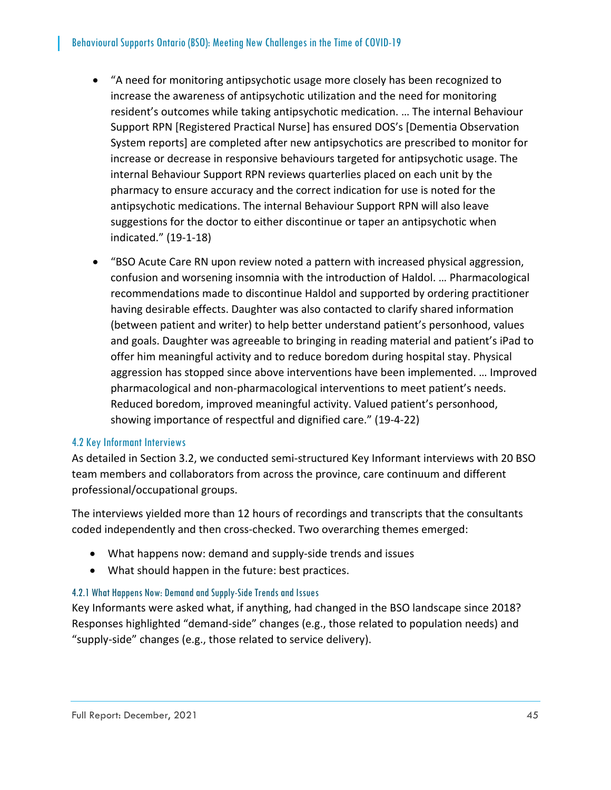- "A need for monitoring antipsychotic usage more closely has been recognized to increase the awareness of antipsychotic utilization and the need for monitoring resident's outcomes while taking antipsychotic medication. … The internal Behaviour Support RPN [Registered Practical Nurse] has ensured DOS's [Dementia Observation System reports] are completed after new antipsychotics are prescribed to monitor for increase or decrease in responsive behaviours targeted for antipsychotic usage. The internal Behaviour Support RPN reviews quarterlies placed on each unit by the pharmacy to ensure accuracy and the correct indication for use is noted for the antipsychotic medications. The internal Behaviour Support RPN will also leave suggestions for the doctor to either discontinue or taper an antipsychotic when indicated." (19‐1‐18)
- "BSO Acute Care RN upon review noted a pattern with increased physical aggression, confusion and worsening insomnia with the introduction of Haldol. … Pharmacological recommendations made to discontinue Haldol and supported by ordering practitioner having desirable effects. Daughter was also contacted to clarify shared information (between patient and writer) to help better understand patient's personhood, values and goals. Daughter was agreeable to bringing in reading material and patient's iPad to offer him meaningful activity and to reduce boredom during hospital stay. Physical aggression has stopped since above interventions have been implemented. … Improved pharmacological and non‐pharmacological interventions to meet patient's needs. Reduced boredom, improved meaningful activity. Valued patient's personhood, showing importance of respectful and dignified care." (19‐4‐22)

# 4.2 Key Informant Interviews

As detailed in Section 3.2, we conducted semi‐structured Key Informant interviews with 20 BSO team members and collaborators from across the province, care continuum and different professional/occupational groups.

The interviews yielded more than 12 hours of recordings and transcripts that the consultants coded independently and then cross‐checked. Two overarching themes emerged:

- What happens now: demand and supply-side trends and issues
- What should happen in the future: best practices.

# 4.2.1 What Happens Now: Demand and Supply-Side Trends and Issues

Key Informants were asked what, if anything, had changed in the BSO landscape since 2018? Responses highlighted "demand‐side" changes (e.g., those related to population needs) and "supply‐side" changes (e.g., those related to service delivery).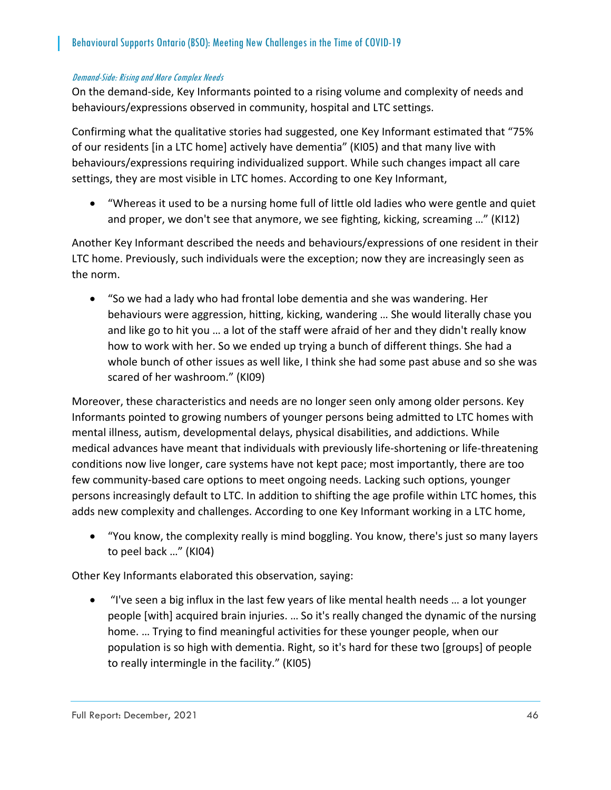#### Demand-Side: Rising and More Complex Needs

On the demand‐side, Key Informants pointed to a rising volume and complexity of needs and behaviours/expressions observed in community, hospital and LTC settings.

Confirming what the qualitative stories had suggested, one Key Informant estimated that "75% of our residents [in a LTC home] actively have dementia" (KI05) and that many live with behaviours/expressions requiring individualized support. While such changes impact all care settings, they are most visible in LTC homes. According to one Key Informant,

 "Whereas it used to be a nursing home full of little old ladies who were gentle and quiet and proper, we don't see that anymore, we see fighting, kicking, screaming …" (KI12)

Another Key Informant described the needs and behaviours/expressions of one resident in their LTC home. Previously, such individuals were the exception; now they are increasingly seen as the norm.

 "So we had a lady who had frontal lobe dementia and she was wandering. Her behaviours were aggression, hitting, kicking, wandering … She would literally chase you and like go to hit you … a lot of the staff were afraid of her and they didn't really know how to work with her. So we ended up trying a bunch of different things. She had a whole bunch of other issues as well like, I think she had some past abuse and so she was scared of her washroom." (KI09)

Moreover, these characteristics and needs are no longer seen only among older persons. Key Informants pointed to growing numbers of younger persons being admitted to LTC homes with mental illness, autism, developmental delays, physical disabilities, and addictions. While medical advances have meant that individuals with previously life‐shortening or life‐threatening conditions now live longer, care systems have not kept pace; most importantly, there are too few community‐based care options to meet ongoing needs. Lacking such options, younger persons increasingly default to LTC. In addition to shifting the age profile within LTC homes, this adds new complexity and challenges. According to one Key Informant working in a LTC home,

 "You know, the complexity really is mind boggling. You know, there's just so many layers to peel back …" (KI04)

Other Key Informants elaborated this observation, saying:

 "I've seen a big influx in the last few years of like mental health needs … a lot younger people [with] acquired brain injuries. … So it's really changed the dynamic of the nursing home. … Trying to find meaningful activities for these younger people, when our population is so high with dementia. Right, so it's hard for these two [groups] of people to really intermingle in the facility." (KI05)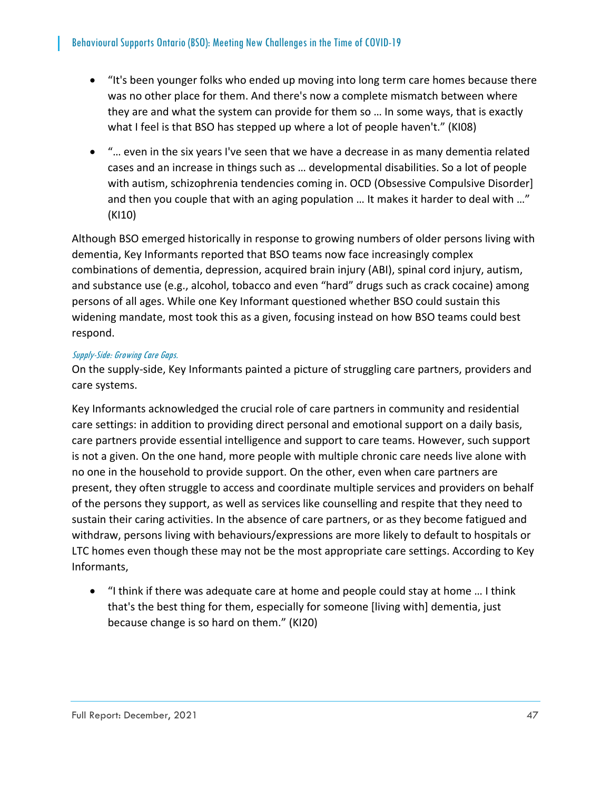- "It's been younger folks who ended up moving into long term care homes because there was no other place for them. And there's now a complete mismatch between where they are and what the system can provide for them so … In some ways, that is exactly what I feel is that BSO has stepped up where a lot of people haven't." (KI08)
- "… even in the six years I've seen that we have a decrease in as many dementia related cases and an increase in things such as … developmental disabilities. So a lot of people with autism, schizophrenia tendencies coming in. OCD (Obsessive Compulsive Disorder] and then you couple that with an aging population … It makes it harder to deal with …" (KI10)

Although BSO emerged historically in response to growing numbers of older persons living with dementia, Key Informants reported that BSO teams now face increasingly complex combinations of dementia, depression, acquired brain injury (ABI), spinal cord injury, autism, and substance use (e.g., alcohol, tobacco and even "hard" drugs such as crack cocaine) among persons of all ages. While one Key Informant questioned whether BSO could sustain this widening mandate, most took this as a given, focusing instead on how BSO teams could best respond.

# Supply-Side: Growing Care Gaps.

On the supply‐side, Key Informants painted a picture of struggling care partners, providers and care systems.

Key Informants acknowledged the crucial role of care partners in community and residential care settings: in addition to providing direct personal and emotional support on a daily basis, care partners provide essential intelligence and support to care teams. However, such support is not a given. On the one hand, more people with multiple chronic care needs live alone with no one in the household to provide support. On the other, even when care partners are present, they often struggle to access and coordinate multiple services and providers on behalf of the persons they support, as well as services like counselling and respite that they need to sustain their caring activities. In the absence of care partners, or as they become fatigued and withdraw, persons living with behaviours/expressions are more likely to default to hospitals or LTC homes even though these may not be the most appropriate care settings. According to Key Informants,

 "I think if there was adequate care at home and people could stay at home … I think that's the best thing for them, especially for someone [living with] dementia, just because change is so hard on them." (KI20)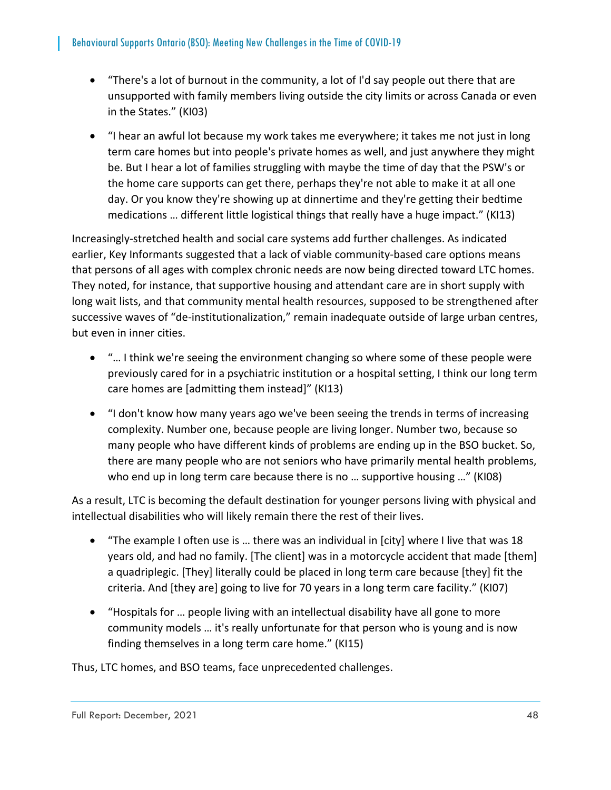- "There's a lot of burnout in the community, a lot of I'd say people out there that are unsupported with family members living outside the city limits or across Canada or even in the States." (KI03)
- "I hear an awful lot because my work takes me everywhere; it takes me not just in long term care homes but into people's private homes as well, and just anywhere they might be. But I hear a lot of families struggling with maybe the time of day that the PSW's or the home care supports can get there, perhaps they're not able to make it at all one day. Or you know they're showing up at dinnertime and they're getting their bedtime medications … different little logistical things that really have a huge impact." (KI13)

Increasingly‐stretched health and social care systems add further challenges. As indicated earlier, Key Informants suggested that a lack of viable community-based care options means that persons of all ages with complex chronic needs are now being directed toward LTC homes. They noted, for instance, that supportive housing and attendant care are in short supply with long wait lists, and that community mental health resources, supposed to be strengthened after successive waves of "de-institutionalization," remain inadequate outside of large urban centres, but even in inner cities.

- "… I think we're seeing the environment changing so where some of these people were previously cared for in a psychiatric institution or a hospital setting, I think our long term care homes are [admitting them instead]" (KI13)
- "I don't know how many years ago we've been seeing the trends in terms of increasing complexity. Number one, because people are living longer. Number two, because so many people who have different kinds of problems are ending up in the BSO bucket. So, there are many people who are not seniors who have primarily mental health problems, who end up in long term care because there is no … supportive housing …" (KI08)

As a result, LTC is becoming the default destination for younger persons living with physical and intellectual disabilities who will likely remain there the rest of their lives.

- "The example I often use is … there was an individual in [city] where I live that was 18 years old, and had no family. [The client] was in a motorcycle accident that made [them] a quadriplegic. [They] literally could be placed in long term care because [they] fit the criteria. And [they are] going to live for 70 years in a long term care facility." (KI07)
- "Hospitals for … people living with an intellectual disability have all gone to more community models … it's really unfortunate for that person who is young and is now finding themselves in a long term care home." (KI15)

Thus, LTC homes, and BSO teams, face unprecedented challenges.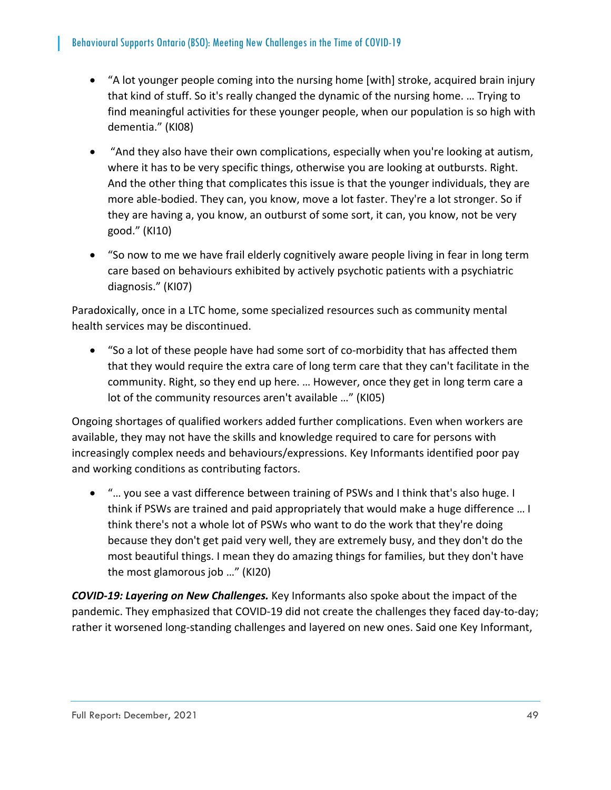- "A lot younger people coming into the nursing home [with] stroke, acquired brain injury that kind of stuff. So it's really changed the dynamic of the nursing home. … Trying to find meaningful activities for these younger people, when our population is so high with dementia." (KI08)
- "And they also have their own complications, especially when you're looking at autism, where it has to be very specific things, otherwise you are looking at outbursts. Right. And the other thing that complicates this issue is that the younger individuals, they are more able‐bodied. They can, you know, move a lot faster. They're a lot stronger. So if they are having a, you know, an outburst of some sort, it can, you know, not be very good." (KI10)
- "So now to me we have frail elderly cognitively aware people living in fear in long term care based on behaviours exhibited by actively psychotic patients with a psychiatric diagnosis." (KI07)

Paradoxically, once in a LTC home, some specialized resources such as community mental health services may be discontinued.

■ "So a lot of these people have had some sort of co-morbidity that has affected them that they would require the extra care of long term care that they can't facilitate in the community. Right, so they end up here. … However, once they get in long term care a lot of the community resources aren't available …" (KI05)

Ongoing shortages of qualified workers added further complications. Even when workers are available, they may not have the skills and knowledge required to care for persons with increasingly complex needs and behaviours/expressions. Key Informants identified poor pay and working conditions as contributing factors.

 "… you see a vast difference between training of PSWs and I think that's also huge. I think if PSWs are trained and paid appropriately that would make a huge difference … I think there's not a whole lot of PSWs who want to do the work that they're doing because they don't get paid very well, they are extremely busy, and they don't do the most beautiful things. I mean they do amazing things for families, but they don't have the most glamorous job …" (KI20)

*COVID‐19: Layering on New Challenges.* Key Informants also spoke about the impact of the pandemic. They emphasized that COVID-19 did not create the challenges they faced day-to-day; rather it worsened long-standing challenges and layered on new ones. Said one Key Informant,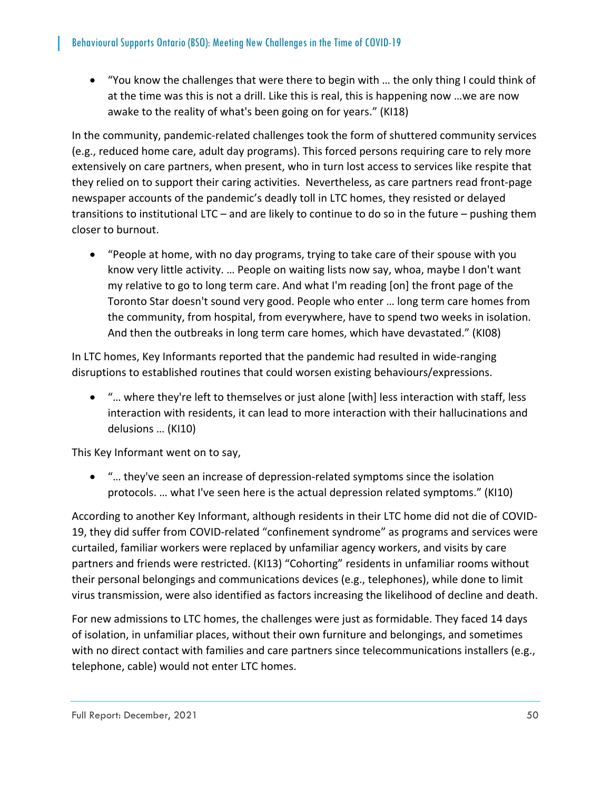"You know the challenges that were there to begin with … the only thing I could think of at the time was this is not a drill. Like this is real, this is happening now …we are now awake to the reality of what's been going on for years." (KI18)

In the community, pandemic‐related challenges took the form of shuttered community services (e.g., reduced home care, adult day programs). This forced persons requiring care to rely more extensively on care partners, when present, who in turn lost access to services like respite that they relied on to support their caring activities. Nevertheless, as care partners read front‐page newspaper accounts of the pandemic's deadly toll in LTC homes, they resisted or delayed transitions to institutional LTC – and are likely to continue to do so in the future – pushing them closer to burnout.

 "People at home, with no day programs, trying to take care of their spouse with you know very little activity. … People on waiting lists now say, whoa, maybe I don't want my relative to go to long term care. And what I'm reading [on] the front page of the Toronto Star doesn't sound very good. People who enter … long term care homes from the community, from hospital, from everywhere, have to spend two weeks in isolation. And then the outbreaks in long term care homes, which have devastated." (KI08)

In LTC homes, Key Informants reported that the pandemic had resulted in wide-ranging disruptions to established routines that could worsen existing behaviours/expressions.

 "… where they're left to themselves or just alone [with] less interaction with staff, less interaction with residents, it can lead to more interaction with their hallucinations and delusions … (KI10)

This Key Informant went on to say,

 "… they've seen an increase of depression‐related symptoms since the isolation protocols. … what I've seen here is the actual depression related symptoms." (KI10)

According to another Key Informant, although residents in their LTC home did not die of COVID‐ 19, they did suffer from COVID‐related "confinement syndrome" as programs and services were curtailed, familiar workers were replaced by unfamiliar agency workers, and visits by care partners and friends were restricted. (KI13) "Cohorting" residents in unfamiliar rooms without their personal belongings and communications devices (e.g., telephones), while done to limit virus transmission, were also identified as factors increasing the likelihood of decline and death.

For new admissions to LTC homes, the challenges were just as formidable. They faced 14 days of isolation, in unfamiliar places, without their own furniture and belongings, and sometimes with no direct contact with families and care partners since telecommunications installers (e.g., telephone, cable) would not enter LTC homes.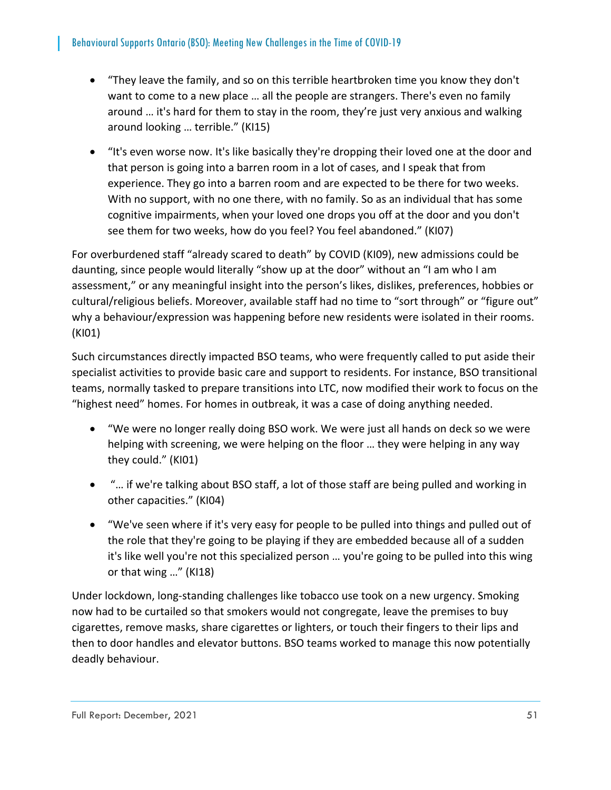- "They leave the family, and so on this terrible heartbroken time you know they don't want to come to a new place … all the people are strangers. There's even no family around … it's hard for them to stay in the room, they're just very anxious and walking around looking … terrible." (KI15)
- "It's even worse now. It's like basically they're dropping their loved one at the door and that person is going into a barren room in a lot of cases, and I speak that from experience. They go into a barren room and are expected to be there for two weeks. With no support, with no one there, with no family. So as an individual that has some cognitive impairments, when your loved one drops you off at the door and you don't see them for two weeks, how do you feel? You feel abandoned." (KI07)

For overburdened staff "already scared to death" by COVID (KI09), new admissions could be daunting, since people would literally "show up at the door" without an "I am who I am assessment," or any meaningful insight into the person's likes, dislikes, preferences, hobbies or cultural/religious beliefs. Moreover, available staff had no time to "sort through" or "figure out" why a behaviour/expression was happening before new residents were isolated in their rooms. (KI01)

Such circumstances directly impacted BSO teams, who were frequently called to put aside their specialist activities to provide basic care and support to residents. For instance, BSO transitional teams, normally tasked to prepare transitions into LTC, now modified their work to focus on the "highest need" homes. For homes in outbreak, it was a case of doing anything needed.

- "We were no longer really doing BSO work. We were just all hands on deck so we were helping with screening, we were helping on the floor … they were helping in any way they could." (KI01)
- "… if we're talking about BSO staff, a lot of those staff are being pulled and working in other capacities." (KI04)
- "We've seen where if it's very easy for people to be pulled into things and pulled out of the role that they're going to be playing if they are embedded because all of a sudden it's like well you're not this specialized person … you're going to be pulled into this wing or that wing …" (KI18)

Under lockdown, long‐standing challenges like tobacco use took on a new urgency. Smoking now had to be curtailed so that smokers would not congregate, leave the premises to buy cigarettes, remove masks, share cigarettes or lighters, or touch their fingers to their lips and then to door handles and elevator buttons. BSO teams worked to manage this now potentially deadly behaviour.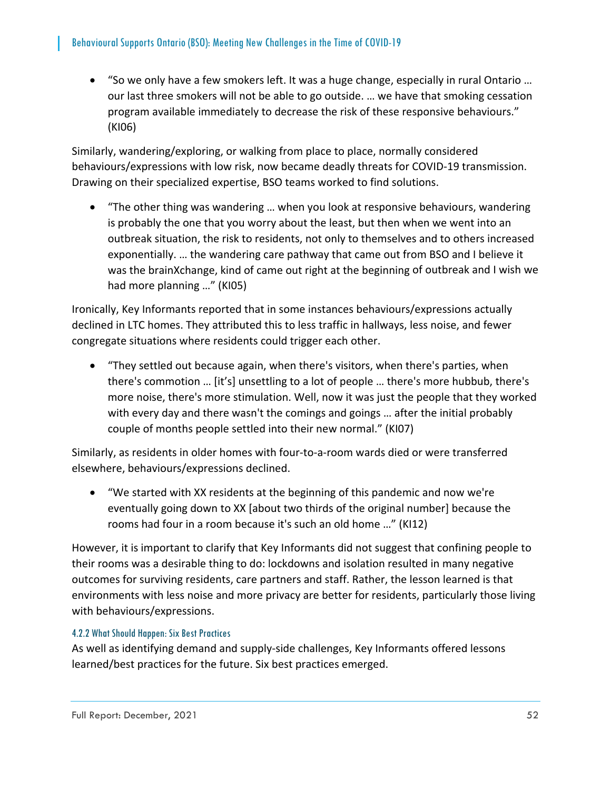"So we only have a few smokers left. It was a huge change, especially in rural Ontario … our last three smokers will not be able to go outside. … we have that smoking cessation program available immediately to decrease the risk of these responsive behaviours." (KI06)

Similarly, wandering/exploring, or walking from place to place, normally considered behaviours/expressions with low risk, now became deadly threats for COVID‐19 transmission. Drawing on their specialized expertise, BSO teams worked to find solutions.

 "The other thing was wandering … when you look at responsive behaviours, wandering is probably the one that you worry about the least, but then when we went into an outbreak situation, the risk to residents, not only to themselves and to others increased exponentially. … the wandering care pathway that came out from BSO and I believe it was the brainXchange, kind of came out right at the beginning of outbreak and I wish we had more planning …" (KI05)

Ironically, Key Informants reported that in some instances behaviours/expressions actually declined in LTC homes. They attributed this to less traffic in hallways, less noise, and fewer congregate situations where residents could trigger each other.

 "They settled out because again, when there's visitors, when there's parties, when there's commotion … [it's] unsettling to a lot of people … there's more hubbub, there's more noise, there's more stimulation. Well, now it was just the people that they worked with every day and there wasn't the comings and goings … after the initial probably couple of months people settled into their new normal." (KI07)

Similarly, as residents in older homes with four‐to‐a‐room wards died or were transferred elsewhere, behaviours/expressions declined.

 "We started with XX residents at the beginning of this pandemic and now we're eventually going down to XX [about two thirds of the original number] because the rooms had four in a room because it's such an old home …" (KI12)

However, it is important to clarify that Key Informants did not suggest that confining people to their rooms was a desirable thing to do: lockdowns and isolation resulted in many negative outcomes for surviving residents, care partners and staff. Rather, the lesson learned is that environments with less noise and more privacy are better for residents, particularly those living with behaviours/expressions.

# 4.2.2 What Should Happen: Six Best Practices

As well as identifying demand and supply‐side challenges, Key Informants offered lessons learned/best practices for the future. Six best practices emerged.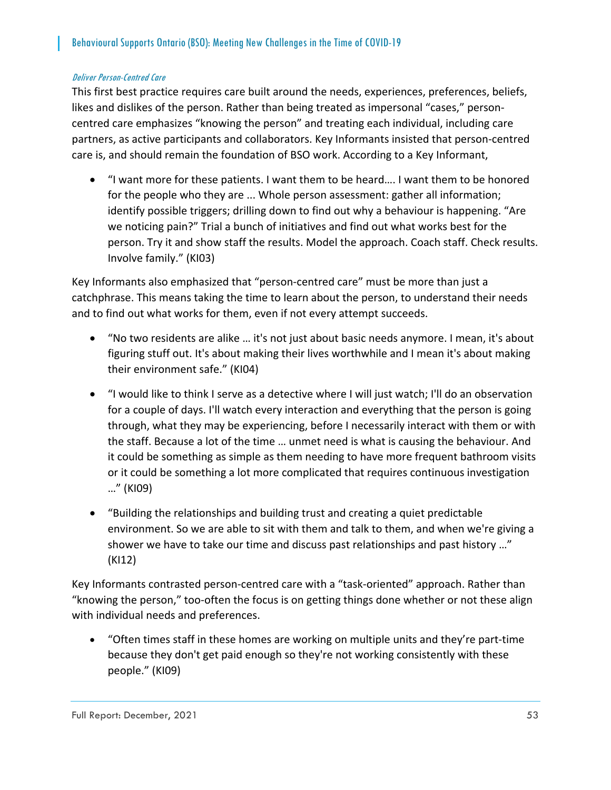#### Deliver Person-Centred Care

This first best practice requires care built around the needs, experiences, preferences, beliefs, likes and dislikes of the person. Rather than being treated as impersonal "cases," person‐ centred care emphasizes "knowing the person" and treating each individual, including care partners, as active participants and collaborators. Key Informants insisted that person‐centred care is, and should remain the foundation of BSO work. According to a Key Informant,

 "I want more for these patients. I want them to be heard…. I want them to be honored for the people who they are ... Whole person assessment: gather all information; identify possible triggers; drilling down to find out why a behaviour is happening. "Are we noticing pain?" Trial a bunch of initiatives and find out what works best for the person. Try it and show staff the results. Model the approach. Coach staff. Check results. Involve family." (KI03)

Key Informants also emphasized that "person‐centred care" must be more than just a catchphrase. This means taking the time to learn about the person, to understand their needs and to find out what works for them, even if not every attempt succeeds.

- "No two residents are alike … it's not just about basic needs anymore. I mean, it's about figuring stuff out. It's about making their lives worthwhile and I mean it's about making their environment safe." (KI04)
- "I would like to think I serve as a detective where I will just watch; I'll do an observation for a couple of days. I'll watch every interaction and everything that the person is going through, what they may be experiencing, before I necessarily interact with them or with the staff. Because a lot of the time … unmet need is what is causing the behaviour. And it could be something as simple as them needing to have more frequent bathroom visits or it could be something a lot more complicated that requires continuous investigation …" (KI09)
- "Building the relationships and building trust and creating a quiet predictable environment. So we are able to sit with them and talk to them, and when we're giving a shower we have to take our time and discuss past relationships and past history …" (KI12)

Key Informants contrasted person‐centred care with a "task‐oriented" approach. Rather than "knowing the person," too‐often the focus is on getting things done whether or not these align with individual needs and preferences.

 "Often times staff in these homes are working on multiple units and they're part‐time because they don't get paid enough so they're not working consistently with these people." (KI09)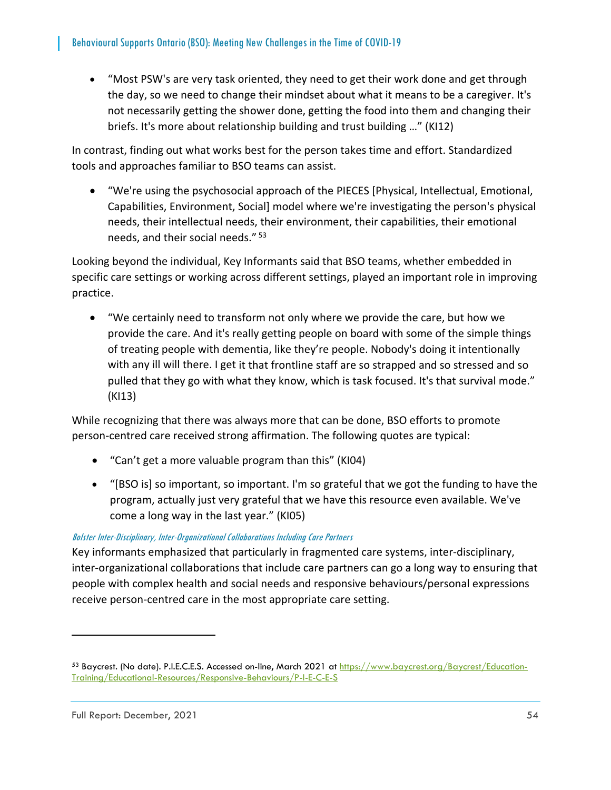"Most PSW's are very task oriented, they need to get their work done and get through the day, so we need to change their mindset about what it means to be a caregiver. It's not necessarily getting the shower done, getting the food into them and changing their briefs. It's more about relationship building and trust building …" (KI12)

In contrast, finding out what works best for the person takes time and effort. Standardized tools and approaches familiar to BSO teams can assist.

 "We're using the psychosocial approach of the PIECES [Physical, Intellectual, Emotional, Capabilities, Environment, Social] model where we're investigating the person's physical needs, their intellectual needs, their environment, their capabilities, their emotional needs, and their social needs." <sup>53</sup>

Looking beyond the individual, Key Informants said that BSO teams, whether embedded in specific care settings or working across different settings, played an important role in improving practice.

 "We certainly need to transform not only where we provide the care, but how we provide the care. And it's really getting people on board with some of the simple things of treating people with dementia, like they're people. Nobody's doing it intentionally with any ill will there. I get it that frontline staff are so strapped and so stressed and so pulled that they go with what they know, which is task focused. It's that survival mode." (KI13)

While recognizing that there was always more that can be done, BSO efforts to promote person‐centred care received strong affirmation. The following quotes are typical:

- "Can't get a more valuable program than this" (KI04)
- "[BSO is] so important, so important. I'm so grateful that we got the funding to have the program, actually just very grateful that we have this resource even available. We've come a long way in the last year." (KI05)

# Bolster Inter-Disciplinary, Inter-Organizational Collaborations Including Care Partners

Key informants emphasized that particularly in fragmented care systems, inter-disciplinary, inter‐organizational collaborations that include care partners can go a long way to ensuring that people with complex health and social needs and responsive behaviours/personal expressions receive person‐centred care in the most appropriate care setting.

 $\overline{a}$ 

<sup>53</sup> Baycrest. (No date). P.I.E.C.E.S. Accessed on-line, March 2021 at https://www.baycrest.org/Baycrest/Education-Training/Educational-Resources/Responsive-Behaviours/P-I-E-C-E-S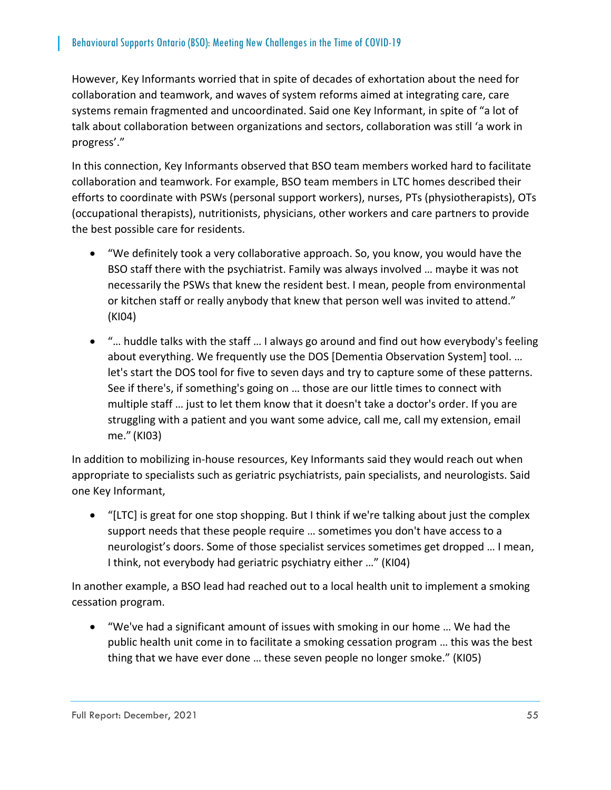However, Key Informants worried that in spite of decades of exhortation about the need for collaboration and teamwork, and waves of system reforms aimed at integrating care, care systems remain fragmented and uncoordinated. Said one Key Informant, in spite of "a lot of talk about collaboration between organizations and sectors, collaboration was still 'a work in progress'."

In this connection, Key Informants observed that BSO team members worked hard to facilitate collaboration and teamwork. For example, BSO team members in LTC homes described their efforts to coordinate with PSWs (personal support workers), nurses, PTs (physiotherapists), OTs (occupational therapists), nutritionists, physicians, other workers and care partners to provide the best possible care for residents.

- "We definitely took a very collaborative approach. So, you know, you would have the BSO staff there with the psychiatrist. Family was always involved … maybe it was not necessarily the PSWs that knew the resident best. I mean, people from environmental or kitchen staff or really anybody that knew that person well was invited to attend." (KI04)
- "… huddle talks with the staff … I always go around and find out how everybody's feeling about everything. We frequently use the DOS [Dementia Observation System] tool. … let's start the DOS tool for five to seven days and try to capture some of these patterns. See if there's, if something's going on … those are our little times to connect with multiple staff … just to let them know that it doesn't take a doctor's order. If you are struggling with a patient and you want some advice, call me, call my extension, email me." (KI03)

In addition to mobilizing in‐house resources, Key Informants said they would reach out when appropriate to specialists such as geriatric psychiatrists, pain specialists, and neurologists. Said one Key Informant,

 "[LTC] is great for one stop shopping. But I think if we're talking about just the complex support needs that these people require … sometimes you don't have access to a neurologist's doors. Some of those specialist services sometimes get dropped … I mean, I think, not everybody had geriatric psychiatry either …" (KI04)

In another example, a BSO lead had reached out to a local health unit to implement a smoking cessation program.

 "We've had a significant amount of issues with smoking in our home … We had the public health unit come in to facilitate a smoking cessation program … this was the best thing that we have ever done … these seven people no longer smoke." (KI05)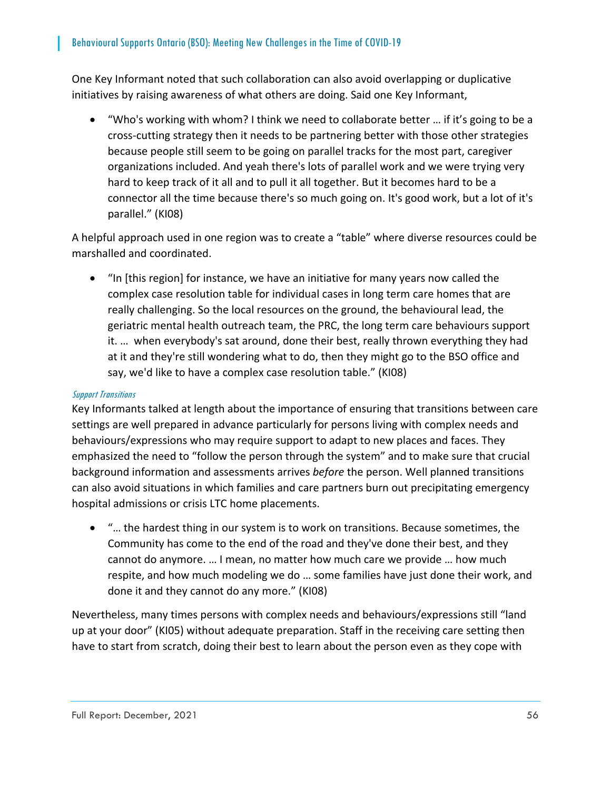One Key Informant noted that such collaboration can also avoid overlapping or duplicative initiatives by raising awareness of what others are doing. Said one Key Informant,

 "Who's working with whom? I think we need to collaborate better … if it's going to be a cross‐cutting strategy then it needs to be partnering better with those other strategies because people still seem to be going on parallel tracks for the most part, caregiver organizations included. And yeah there's lots of parallel work and we were trying very hard to keep track of it all and to pull it all together. But it becomes hard to be a connector all the time because there's so much going on. It's good work, but a lot of it's parallel." (KI08)

A helpful approach used in one region was to create a "table" where diverse resources could be marshalled and coordinated.

 "In [this region] for instance, we have an initiative for many years now called the complex case resolution table for individual cases in long term care homes that are really challenging. So the local resources on the ground, the behavioural lead, the geriatric mental health outreach team, the PRC, the long term care behaviours support it. … when everybody's sat around, done their best, really thrown everything they had at it and they're still wondering what to do, then they might go to the BSO office and say, we'd like to have a complex case resolution table." (KI08)

# Support Transitions

Key Informants talked at length about the importance of ensuring that transitions between care settings are well prepared in advance particularly for persons living with complex needs and behaviours/expressions who may require support to adapt to new places and faces. They emphasized the need to "follow the person through the system" and to make sure that crucial background information and assessments arrives *before* the person. Well planned transitions can also avoid situations in which families and care partners burn out precipitating emergency hospital admissions or crisis LTC home placements.

 "… the hardest thing in our system is to work on transitions. Because sometimes, the Community has come to the end of the road and they've done their best, and they cannot do anymore. … I mean, no matter how much care we provide … how much respite, and how much modeling we do … some families have just done their work, and done it and they cannot do any more." (KI08)

Nevertheless, many times persons with complex needs and behaviours/expressions still "land up at your door" (KI05) without adequate preparation. Staff in the receiving care setting then have to start from scratch, doing their best to learn about the person even as they cope with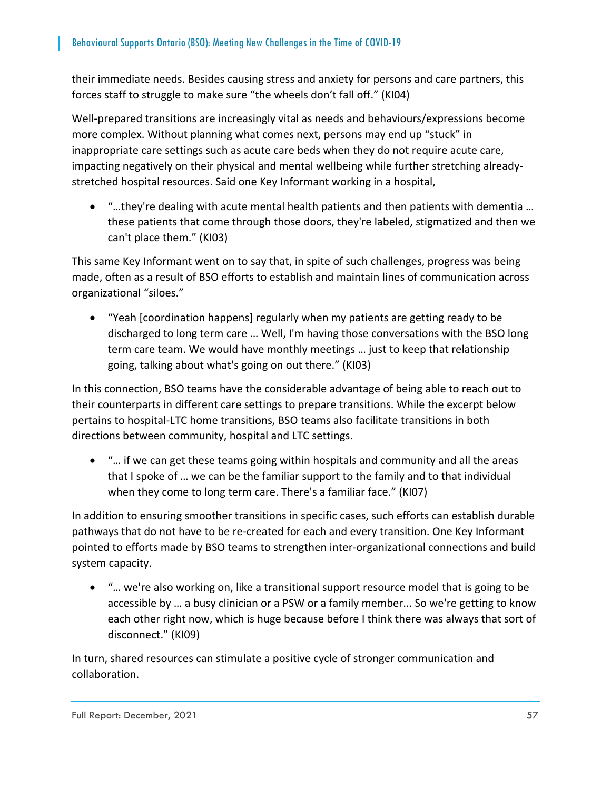their immediate needs. Besides causing stress and anxiety for persons and care partners, this forces staff to struggle to make sure "the wheels don't fall off." (KI04)

Well-prepared transitions are increasingly vital as needs and behaviours/expressions become more complex. Without planning what comes next, persons may end up "stuck" in inappropriate care settings such as acute care beds when they do not require acute care, impacting negatively on their physical and mental wellbeing while further stretching already‐ stretched hospital resources. Said one Key Informant working in a hospital,

 "…they're dealing with acute mental health patients and then patients with dementia … these patients that come through those doors, they're labeled, stigmatized and then we can't place them." (KI03)

This same Key Informant went on to say that, in spite of such challenges, progress was being made, often as a result of BSO efforts to establish and maintain lines of communication across organizational "siloes."

 "Yeah [coordination happens] regularly when my patients are getting ready to be discharged to long term care … Well, I'm having those conversations with the BSO long term care team. We would have monthly meetings … just to keep that relationship going, talking about what's going on out there." (KI03)

In this connection, BSO teams have the considerable advantage of being able to reach out to their counterparts in different care settings to prepare transitions. While the excerpt below pertains to hospital‐LTC home transitions, BSO teams also facilitate transitions in both directions between community, hospital and LTC settings.

 "… if we can get these teams going within hospitals and community and all the areas that I spoke of … we can be the familiar support to the family and to that individual when they come to long term care. There's a familiar face." (KI07)

In addition to ensuring smoother transitions in specific cases, such efforts can establish durable pathways that do not have to be re‐created for each and every transition. One Key Informant pointed to efforts made by BSO teams to strengthen inter‐organizational connections and build system capacity.

 "… we're also working on, like a transitional support resource model that is going to be accessible by … a busy clinician or a PSW or a family member... So we're getting to know each other right now, which is huge because before I think there was always that sort of disconnect." (KI09)

In turn, shared resources can stimulate a positive cycle of stronger communication and collaboration.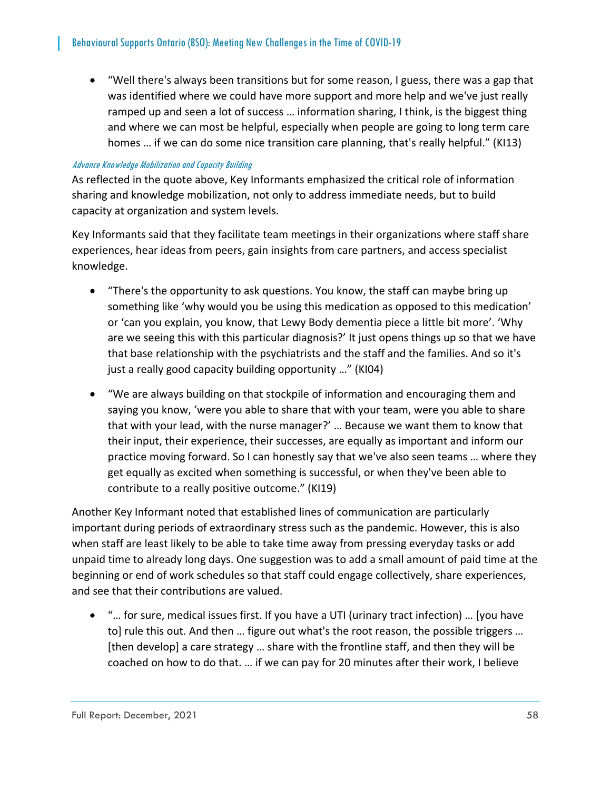"Well there's always been transitions but for some reason, I guess, there was a gap that was identified where we could have more support and more help and we've just really ramped up and seen a lot of success … information sharing, I think, is the biggest thing and where we can most be helpful, especially when people are going to long term care homes ... if we can do some nice transition care planning, that's really helpful." (KI13)

#### Advance Knowledge Mobilization and Capacity Building

As reflected in the quote above, Key Informants emphasized the critical role of information sharing and knowledge mobilization, not only to address immediate needs, but to build capacity at organization and system levels.

Key Informants said that they facilitate team meetings in their organizations where staff share experiences, hear ideas from peers, gain insights from care partners, and access specialist knowledge.

- "There's the opportunity to ask questions. You know, the staff can maybe bring up something like 'why would you be using this medication as opposed to this medication' or 'can you explain, you know, that Lewy Body dementia piece a little bit more'. 'Why are we seeing this with this particular diagnosis?' It just opens things up so that we have that base relationship with the psychiatrists and the staff and the families. And so it's just a really good capacity building opportunity …" (KI04)
- "We are always building on that stockpile of information and encouraging them and saying you know, 'were you able to share that with your team, were you able to share that with your lead, with the nurse manager?' … Because we want them to know that their input, their experience, their successes, are equally as important and inform our practice moving forward. So I can honestly say that we've also seen teams … where they get equally as excited when something is successful, or when they've been able to contribute to a really positive outcome." (KI19)

Another Key Informant noted that established lines of communication are particularly important during periods of extraordinary stress such as the pandemic. However, this is also when staff are least likely to be able to take time away from pressing everyday tasks or add unpaid time to already long days. One suggestion was to add a small amount of paid time at the beginning or end of work schedules so that staff could engage collectively, share experiences, and see that their contributions are valued.

 "… for sure, medical issues first. If you have a UTI (urinary tract infection) … [you have to] rule this out. And then … figure out what's the root reason, the possible triggers … [then develop] a care strategy … share with the frontline staff, and then they will be coached on how to do that. … if we can pay for 20 minutes after their work, I believe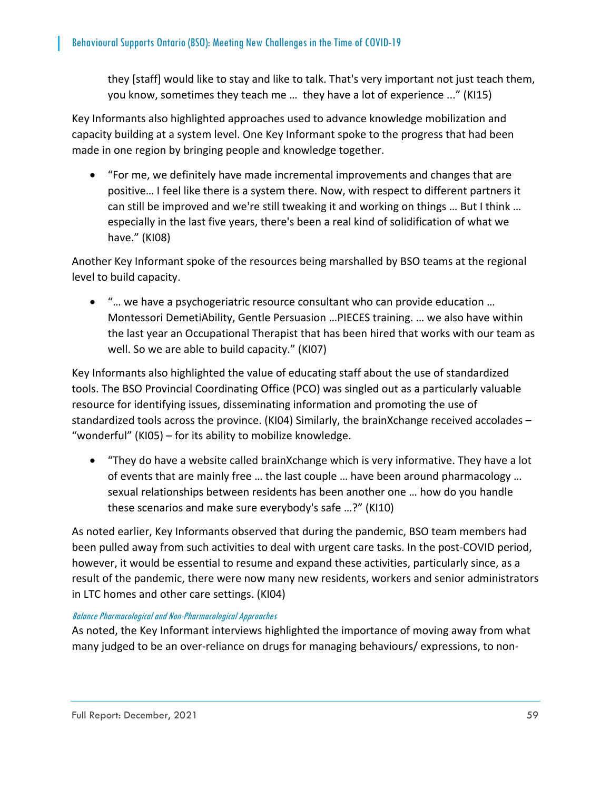they [staff] would like to stay and like to talk. That's very important not just teach them, you know, sometimes they teach me … they have a lot of experience ..." (KI15)

Key Informants also highlighted approaches used to advance knowledge mobilization and capacity building at a system level. One Key Informant spoke to the progress that had been made in one region by bringing people and knowledge together.

 "For me, we definitely have made incremental improvements and changes that are positive… I feel like there is a system there. Now, with respect to different partners it can still be improved and we're still tweaking it and working on things … But I think … especially in the last five years, there's been a real kind of solidification of what we have." (KI08)

Another Key Informant spoke of the resources being marshalled by BSO teams at the regional level to build capacity.

 "… we have a psychogeriatric resource consultant who can provide education … Montessori DemetiAbility, Gentle Persuasion …PIECES training. … we also have within the last year an Occupational Therapist that has been hired that works with our team as well. So we are able to build capacity." (KI07)

Key Informants also highlighted the value of educating staff about the use of standardized tools. The BSO Provincial Coordinating Office (PCO) was singled out as a particularly valuable resource for identifying issues, disseminating information and promoting the use of standardized tools across the province. (KI04) Similarly, the brainXchange received accolades – "wonderful" (KI05) – for its ability to mobilize knowledge.

 "They do have a website called brainXchange which is very informative. They have a lot of events that are mainly free … the last couple … have been around pharmacology … sexual relationships between residents has been another one … how do you handle these scenarios and make sure everybody's safe …?" (KI10)

As noted earlier, Key Informants observed that during the pandemic, BSO team members had been pulled away from such activities to deal with urgent care tasks. In the post-COVID period, however, it would be essential to resume and expand these activities, particularly since, as a result of the pandemic, there were now many new residents, workers and senior administrators in LTC homes and other care settings. (KI04)

# Balance Pharmacological and Non-Pharmacological Approaches

As noted, the Key Informant interviews highlighted the importance of moving away from what many judged to be an over-reliance on drugs for managing behaviours/ expressions, to non-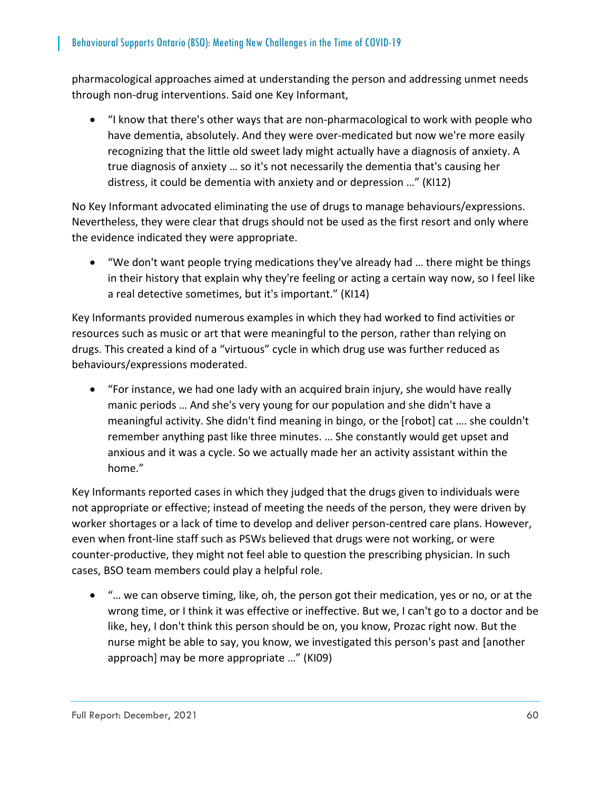pharmacological approaches aimed at understanding the person and addressing unmet needs through non‐drug interventions. Said one Key Informant,

■ "I know that there's other ways that are non-pharmacological to work with people who have dementia, absolutely. And they were over‐medicated but now we're more easily recognizing that the little old sweet lady might actually have a diagnosis of anxiety. A true diagnosis of anxiety … so it's not necessarily the dementia that's causing her distress, it could be dementia with anxiety and or depression …" (KI12)

No Key Informant advocated eliminating the use of drugs to manage behaviours/expressions. Nevertheless, they were clear that drugs should not be used as the first resort and only where the evidence indicated they were appropriate.

 "We don't want people trying medications they've already had … there might be things in their history that explain why they're feeling or acting a certain way now, so I feel like a real detective sometimes, but it's important." (KI14)

Key Informants provided numerous examples in which they had worked to find activities or resources such as music or art that were meaningful to the person, rather than relying on drugs. This created a kind of a "virtuous" cycle in which drug use was further reduced as behaviours/expressions moderated.

 "For instance, we had one lady with an acquired brain injury, she would have really manic periods … And she's very young for our population and she didn't have a meaningful activity. She didn't find meaning in bingo, or the [robot] cat …. she couldn't remember anything past like three minutes. … She constantly would get upset and anxious and it was a cycle. So we actually made her an activity assistant within the home."

Key Informants reported cases in which they judged that the drugs given to individuals were not appropriate or effective; instead of meeting the needs of the person, they were driven by worker shortages or a lack of time to develop and deliver person-centred care plans. However, even when front‐line staff such as PSWs believed that drugs were not working, or were counter‐productive, they might not feel able to question the prescribing physician. In such cases, BSO team members could play a helpful role.

 "… we can observe timing, like, oh, the person got their medication, yes or no, or at the wrong time, or I think it was effective or ineffective. But we, I can't go to a doctor and be like, hey, I don't think this person should be on, you know, Prozac right now. But the nurse might be able to say, you know, we investigated this person's past and [another approach] may be more appropriate …" (KI09)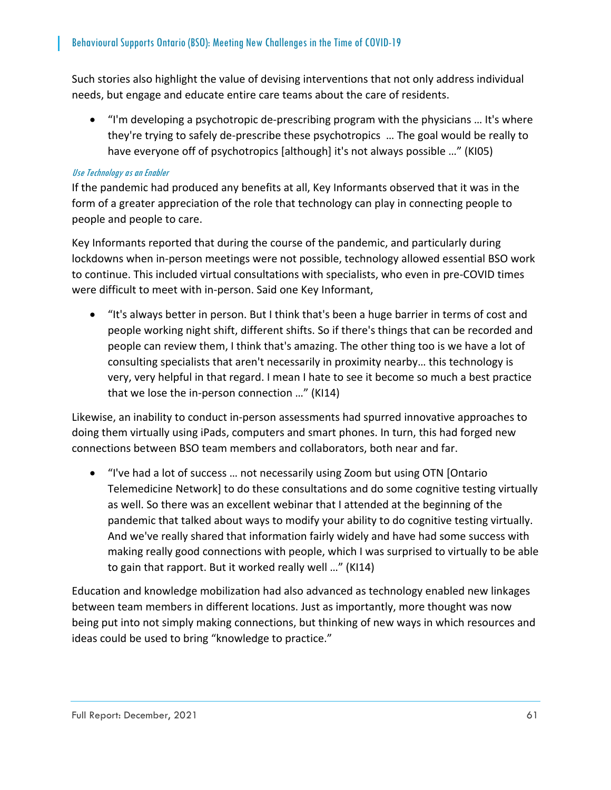Such stories also highlight the value of devising interventions that not only address individual needs, but engage and educate entire care teams about the care of residents.

■ "I'm developing a psychotropic de-prescribing program with the physicians ... It's where they're trying to safely de‐prescribe these psychotropics … The goal would be really to have everyone off of psychotropics [although] it's not always possible …" (KI05)

# Use Technology as an Enabler

If the pandemic had produced any benefits at all, Key Informants observed that it was in the form of a greater appreciation of the role that technology can play in connecting people to people and people to care.

Key Informants reported that during the course of the pandemic, and particularly during lockdowns when in‐person meetings were not possible, technology allowed essential BSO work to continue. This included virtual consultations with specialists, who even in pre‐COVID times were difficult to meet with in-person. Said one Key Informant,

 "It's always better in person. But I think that's been a huge barrier in terms of cost and people working night shift, different shifts. So if there's things that can be recorded and people can review them, I think that's amazing. The other thing too is we have a lot of consulting specialists that aren't necessarily in proximity nearby… this technology is very, very helpful in that regard. I mean I hate to see it become so much a best practice that we lose the in‐person connection …" (KI14)

Likewise, an inability to conduct in‐person assessments had spurred innovative approaches to doing them virtually using iPads, computers and smart phones. In turn, this had forged new connections between BSO team members and collaborators, both near and far.

 "I've had a lot of success … not necessarily using Zoom but using OTN [Ontario Telemedicine Network] to do these consultations and do some cognitive testing virtually as well. So there was an excellent webinar that I attended at the beginning of the pandemic that talked about ways to modify your ability to do cognitive testing virtually. And we've really shared that information fairly widely and have had some success with making really good connections with people, which I was surprised to virtually to be able to gain that rapport. But it worked really well …" (KI14)

Education and knowledge mobilization had also advanced as technology enabled new linkages between team members in different locations. Just as importantly, more thought was now being put into not simply making connections, but thinking of new ways in which resources and ideas could be used to bring "knowledge to practice."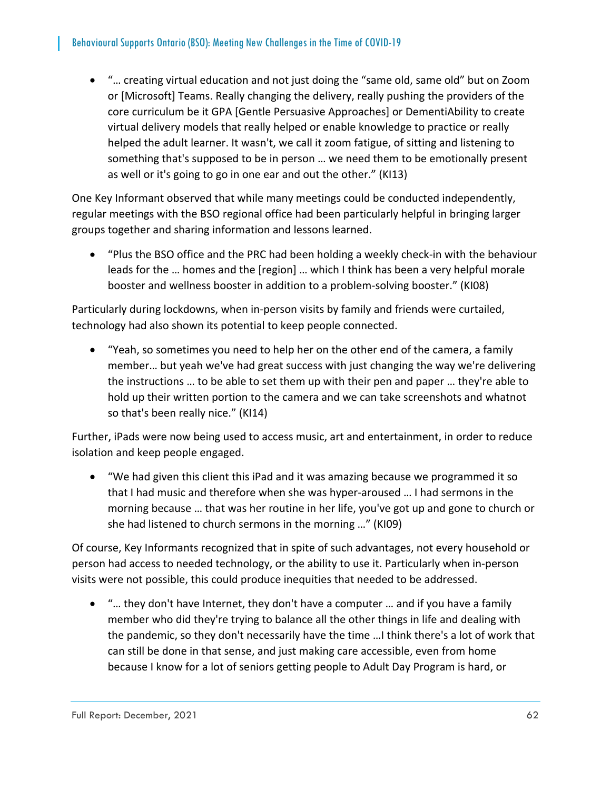"… creating virtual education and not just doing the "same old, same old" but on Zoom or [Microsoft] Teams. Really changing the delivery, really pushing the providers of the core curriculum be it GPA [Gentle Persuasive Approaches] or DementiAbility to create virtual delivery models that really helped or enable knowledge to practice or really helped the adult learner. It wasn't, we call it zoom fatigue, of sitting and listening to something that's supposed to be in person … we need them to be emotionally present as well or it's going to go in one ear and out the other." (KI13)

One Key Informant observed that while many meetings could be conducted independently, regular meetings with the BSO regional office had been particularly helpful in bringing larger groups together and sharing information and lessons learned.

■ "Plus the BSO office and the PRC had been holding a weekly check-in with the behaviour leads for the … homes and the [region] … which I think has been a very helpful morale booster and wellness booster in addition to a problem‐solving booster." (KI08)

Particularly during lockdowns, when in‐person visits by family and friends were curtailed, technology had also shown its potential to keep people connected.

 "Yeah, so sometimes you need to help her on the other end of the camera, a family member… but yeah we've had great success with just changing the way we're delivering the instructions … to be able to set them up with their pen and paper … they're able to hold up their written portion to the camera and we can take screenshots and whatnot so that's been really nice." (KI14)

Further, iPads were now being used to access music, art and entertainment, in order to reduce isolation and keep people engaged.

 "We had given this client this iPad and it was amazing because we programmed it so that I had music and therefore when she was hyper‐aroused … I had sermons in the morning because … that was her routine in her life, you've got up and gone to church or she had listened to church sermons in the morning …" (KI09)

Of course, Key Informants recognized that in spite of such advantages, not every household or person had access to needed technology, or the ability to use it. Particularly when in‐person visits were not possible, this could produce inequities that needed to be addressed.

 "… they don't have Internet, they don't have a computer … and if you have a family member who did they're trying to balance all the other things in life and dealing with the pandemic, so they don't necessarily have the time …I think there's a lot of work that can still be done in that sense, and just making care accessible, even from home because I know for a lot of seniors getting people to Adult Day Program is hard, or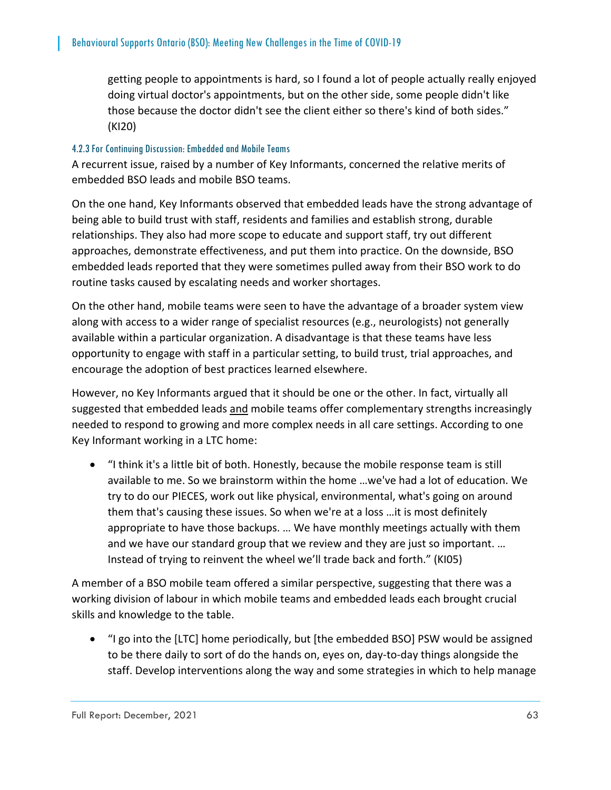getting people to appointments is hard, so I found a lot of people actually really enjoyed doing virtual doctor's appointments, but on the other side, some people didn't like those because the doctor didn't see the client either so there's kind of both sides." (KI20)

# 4.2.3 For Continuing Discussion: Embedded and Mobile Teams

A recurrent issue, raised by a number of Key Informants, concerned the relative merits of embedded BSO leads and mobile BSO teams.

On the one hand, Key Informants observed that embedded leads have the strong advantage of being able to build trust with staff, residents and families and establish strong, durable relationships. They also had more scope to educate and support staff, try out different approaches, demonstrate effectiveness, and put them into practice. On the downside, BSO embedded leads reported that they were sometimes pulled away from their BSO work to do routine tasks caused by escalating needs and worker shortages.

On the other hand, mobile teams were seen to have the advantage of a broader system view along with access to a wider range of specialist resources (e.g., neurologists) not generally available within a particular organization. A disadvantage is that these teams have less opportunity to engage with staff in a particular setting, to build trust, trial approaches, and encourage the adoption of best practices learned elsewhere.

However, no Key Informants argued that it should be one or the other. In fact, virtually all suggested that embedded leads and mobile teams offer complementary strengths increasingly needed to respond to growing and more complex needs in all care settings. According to one Key Informant working in a LTC home:

 "I think it's a little bit of both. Honestly, because the mobile response team is still available to me. So we brainstorm within the home …we've had a lot of education. We try to do our PIECES, work out like physical, environmental, what's going on around them that's causing these issues. So when we're at a loss …it is most definitely appropriate to have those backups. … We have monthly meetings actually with them and we have our standard group that we review and they are just so important. … Instead of trying to reinvent the wheel we'll trade back and forth." (KI05)

A member of a BSO mobile team offered a similar perspective, suggesting that there was a working division of labour in which mobile teams and embedded leads each brought crucial skills and knowledge to the table.

 "I go into the [LTC] home periodically, but [the embedded BSO] PSW would be assigned to be there daily to sort of do the hands on, eyes on, day‐to‐day things alongside the staff. Develop interventions along the way and some strategies in which to help manage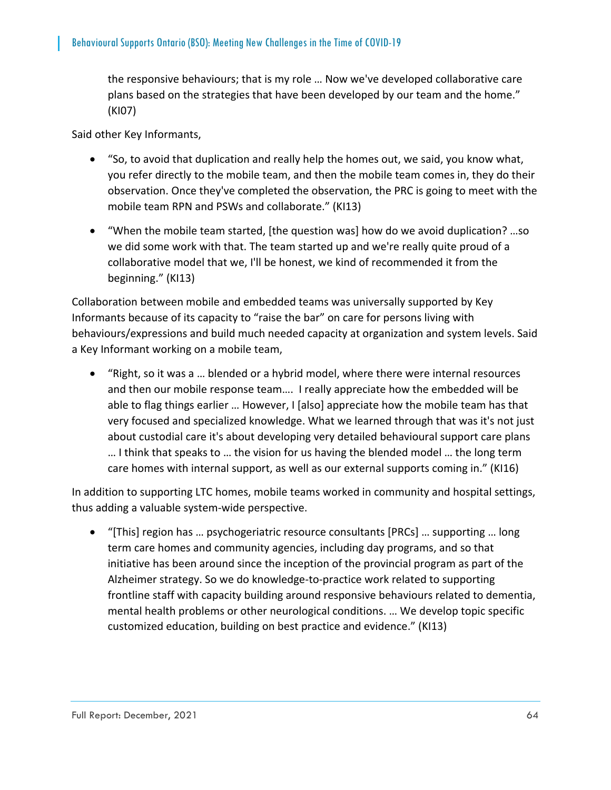the responsive behaviours; that is my role … Now we've developed collaborative care plans based on the strategies that have been developed by our team and the home." (KI07)

Said other Key Informants,

- "So, to avoid that duplication and really help the homes out, we said, you know what, you refer directly to the mobile team, and then the mobile team comes in, they do their observation. Once they've completed the observation, the PRC is going to meet with the mobile team RPN and PSWs and collaborate." (KI13)
- "When the mobile team started, [the question was] how do we avoid duplication? …so we did some work with that. The team started up and we're really quite proud of a collaborative model that we, I'll be honest, we kind of recommended it from the beginning." (KI13)

Collaboration between mobile and embedded teams was universally supported by Key Informants because of its capacity to "raise the bar" on care for persons living with behaviours/expressions and build much needed capacity at organization and system levels. Said a Key Informant working on a mobile team,

 "Right, so it was a … blended or a hybrid model, where there were internal resources and then our mobile response team…. I really appreciate how the embedded will be able to flag things earlier … However, I [also] appreciate how the mobile team has that very focused and specialized knowledge. What we learned through that was it's not just about custodial care it's about developing very detailed behavioural support care plans … I think that speaks to … the vision for us having the blended model … the long term care homes with internal support, as well as our external supports coming in." (KI16)

In addition to supporting LTC homes, mobile teams worked in community and hospital settings, thus adding a valuable system‐wide perspective.

 "[This] region has … psychogeriatric resource consultants [PRCs] … supporting … long term care homes and community agencies, including day programs, and so that initiative has been around since the inception of the provincial program as part of the Alzheimer strategy. So we do knowledge‐to‐practice work related to supporting frontline staff with capacity building around responsive behaviours related to dementia, mental health problems or other neurological conditions. … We develop topic specific customized education, building on best practice and evidence." (KI13)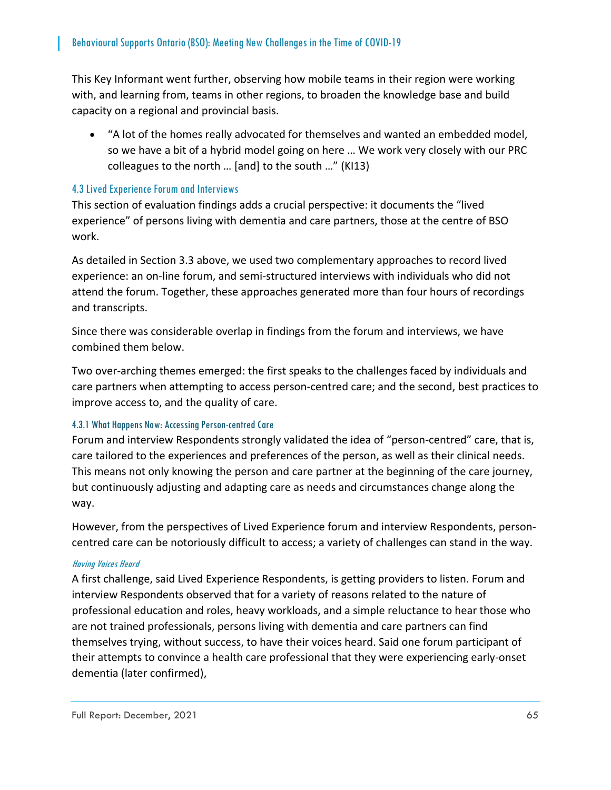This Key Informant went further, observing how mobile teams in their region were working with, and learning from, teams in other regions, to broaden the knowledge base and build capacity on a regional and provincial basis.

 "A lot of the homes really advocated for themselves and wanted an embedded model, so we have a bit of a hybrid model going on here … We work very closely with our PRC colleagues to the north … [and] to the south …" (KI13)

# 4.3 Lived Experience Forum and Interviews

This section of evaluation findings adds a crucial perspective: it documents the "lived experience" of persons living with dementia and care partners, those at the centre of BSO work.

As detailed in Section 3.3 above, we used two complementary approaches to record lived experience: an on‐line forum, and semi‐structured interviews with individuals who did not attend the forum. Together, these approaches generated more than four hours of recordings and transcripts.

Since there was considerable overlap in findings from the forum and interviews, we have combined them below.

Two over‐arching themes emerged: the first speaks to the challenges faced by individuals and care partners when attempting to access person‐centred care; and the second, best practices to improve access to, and the quality of care.

# 4.3.1 What Happens Now: Accessing Person-centred Care

Forum and interview Respondents strongly validated the idea of "person-centred" care, that is, care tailored to the experiences and preferences of the person, as well as their clinical needs. This means not only knowing the person and care partner at the beginning of the care journey, but continuously adjusting and adapting care as needs and circumstances change along the way.

However, from the perspectives of Lived Experience forum and interview Respondents, person‐ centred care can be notoriously difficult to access; a variety of challenges can stand in the way.

# Having Voices Heard

A first challenge, said Lived Experience Respondents, is getting providers to listen. Forum and interview Respondents observed that for a variety of reasons related to the nature of professional education and roles, heavy workloads, and a simple reluctance to hear those who are not trained professionals, persons living with dementia and care partners can find themselves trying, without success, to have their voices heard. Said one forum participant of their attempts to convince a health care professional that they were experiencing early‐onset dementia (later confirmed),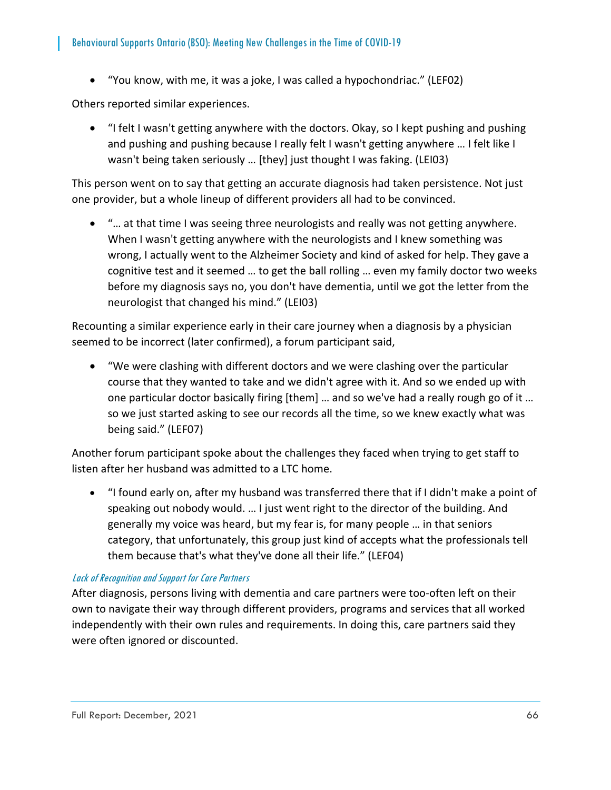"You know, with me, it was a joke, I was called a hypochondriac." (LEF02)

Others reported similar experiences.

 "I felt I wasn't getting anywhere with the doctors. Okay, so I kept pushing and pushing and pushing and pushing because I really felt I wasn't getting anywhere … I felt like I wasn't being taken seriously … [they] just thought I was faking. (LEI03)

This person went on to say that getting an accurate diagnosis had taken persistence. Not just one provider, but a whole lineup of different providers all had to be convinced.

 "… at that time I was seeing three neurologists and really was not getting anywhere. When I wasn't getting anywhere with the neurologists and I knew something was wrong, I actually went to the Alzheimer Society and kind of asked for help. They gave a cognitive test and it seemed … to get the ball rolling … even my family doctor two weeks before my diagnosis says no, you don't have dementia, until we got the letter from the neurologist that changed his mind." (LEI03)

Recounting a similar experience early in their care journey when a diagnosis by a physician seemed to be incorrect (later confirmed), a forum participant said,

 "We were clashing with different doctors and we were clashing over the particular course that they wanted to take and we didn't agree with it. And so we ended up with one particular doctor basically firing [them] … and so we've had a really rough go of it … so we just started asking to see our records all the time, so we knew exactly what was being said." (LEF07)

Another forum participant spoke about the challenges they faced when trying to get staff to listen after her husband was admitted to a LTC home.

 "I found early on, after my husband was transferred there that if I didn't make a point of speaking out nobody would. … I just went right to the director of the building. And generally my voice was heard, but my fear is, for many people … in that seniors category, that unfortunately, this group just kind of accepts what the professionals tell them because that's what they've done all their life." (LEF04)

# Lack of Recognition and Support for Care Partners

After diagnosis, persons living with dementia and care partners were too‐often left on their own to navigate their way through different providers, programs and services that all worked independently with their own rules and requirements. In doing this, care partners said they were often ignored or discounted.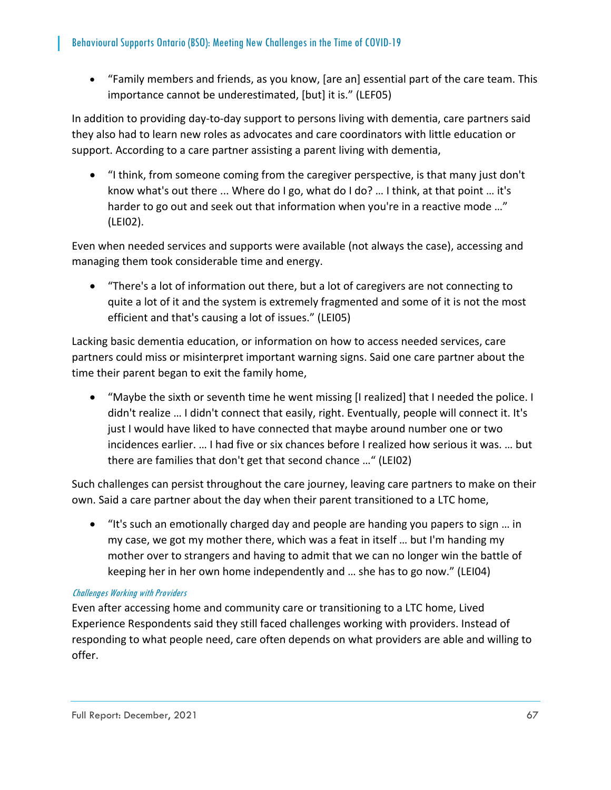"Family members and friends, as you know, [are an] essential part of the care team. This importance cannot be underestimated, [but] it is." (LEF05)

In addition to providing day‐to‐day support to persons living with dementia, care partners said they also had to learn new roles as advocates and care coordinators with little education or support. According to a care partner assisting a parent living with dementia,

 "I think, from someone coming from the caregiver perspective, is that many just don't know what's out there ... Where do I go, what do I do? … I think, at that point … it's harder to go out and seek out that information when you're in a reactive mode ..." (LEI02).

Even when needed services and supports were available (not always the case), accessing and managing them took considerable time and energy.

 "There's a lot of information out there, but a lot of caregivers are not connecting to quite a lot of it and the system is extremely fragmented and some of it is not the most efficient and that's causing a lot of issues." (LEI05)

Lacking basic dementia education, or information on how to access needed services, care partners could miss or misinterpret important warning signs. Said one care partner about the time their parent began to exit the family home,

 "Maybe the sixth or seventh time he went missing [I realized] that I needed the police. I didn't realize … I didn't connect that easily, right. Eventually, people will connect it. It's just I would have liked to have connected that maybe around number one or two incidences earlier. … I had five or six chances before I realized how serious it was. … but there are families that don't get that second chance …" (LEI02)

Such challenges can persist throughout the care journey, leaving care partners to make on their own. Said a care partner about the day when their parent transitioned to a LTC home,

 "It's such an emotionally charged day and people are handing you papers to sign … in my case, we got my mother there, which was a feat in itself … but I'm handing my mother over to strangers and having to admit that we can no longer win the battle of keeping her in her own home independently and … she has to go now." (LEI04)

# Challenges Working with Providers

Even after accessing home and community care or transitioning to a LTC home, Lived Experience Respondents said they still faced challenges working with providers. Instead of responding to what people need, care often depends on what providers are able and willing to offer.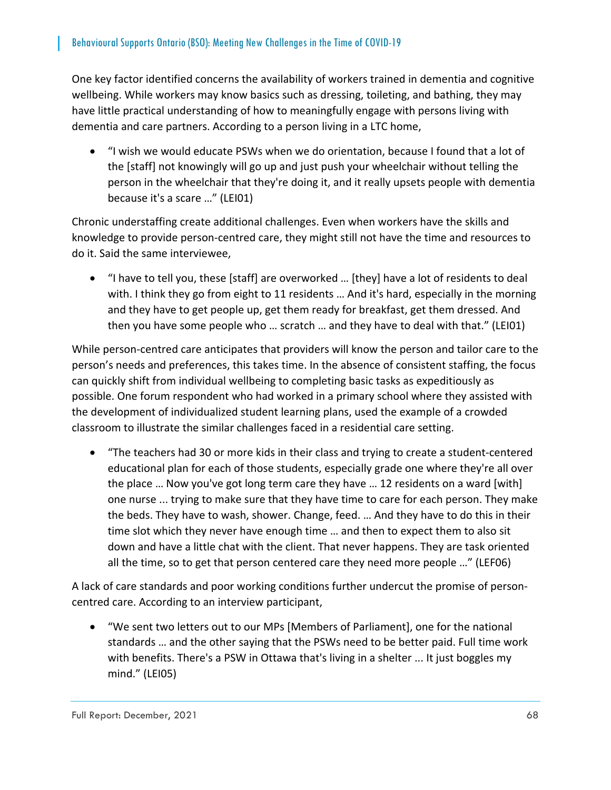One key factor identified concerns the availability of workers trained in dementia and cognitive wellbeing. While workers may know basics such as dressing, toileting, and bathing, they may have little practical understanding of how to meaningfully engage with persons living with dementia and care partners. According to a person living in a LTC home,

 "I wish we would educate PSWs when we do orientation, because I found that a lot of the [staff] not knowingly will go up and just push your wheelchair without telling the person in the wheelchair that they're doing it, and it really upsets people with dementia because it's a scare …" (LEI01)

Chronic understaffing create additional challenges. Even when workers have the skills and knowledge to provide person‐centred care, they might still not have the time and resources to do it. Said the same interviewee,

 "I have to tell you, these [staff] are overworked … [they] have a lot of residents to deal with. I think they go from eight to 11 residents … And it's hard, especially in the morning and they have to get people up, get them ready for breakfast, get them dressed. And then you have some people who … scratch … and they have to deal with that." (LEI01)

While person-centred care anticipates that providers will know the person and tailor care to the person's needs and preferences, this takes time. In the absence of consistent staffing, the focus can quickly shift from individual wellbeing to completing basic tasks as expeditiously as possible. One forum respondent who had worked in a primary school where they assisted with the development of individualized student learning plans, used the example of a crowded classroom to illustrate the similar challenges faced in a residential care setting.

 "The teachers had 30 or more kids in their class and trying to create a student‐centered educational plan for each of those students, especially grade one where they're all over the place … Now you've got long term care they have … 12 residents on a ward [with] one nurse ... trying to make sure that they have time to care for each person. They make the beds. They have to wash, shower. Change, feed. … And they have to do this in their time slot which they never have enough time … and then to expect them to also sit down and have a little chat with the client. That never happens. They are task oriented all the time, so to get that person centered care they need more people …" (LEF06)

A lack of care standards and poor working conditions further undercut the promise of person‐ centred care. According to an interview participant,

 "We sent two letters out to our MPs [Members of Parliament], one for the national standards … and the other saying that the PSWs need to be better paid. Full time work with benefits. There's a PSW in Ottawa that's living in a shelter ... It just boggles my mind." (LEI05)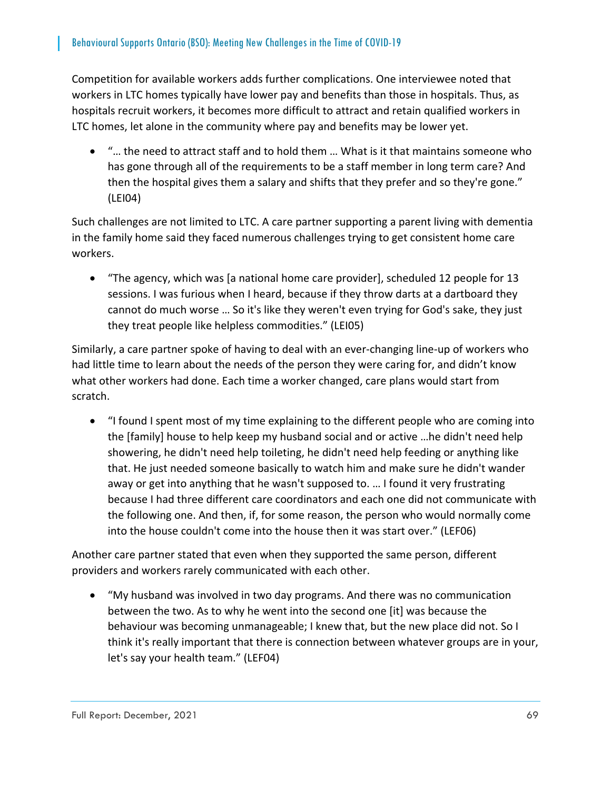Competition for available workers adds further complications. One interviewee noted that workers in LTC homes typically have lower pay and benefits than those in hospitals. Thus, as hospitals recruit workers, it becomes more difficult to attract and retain qualified workers in LTC homes, let alone in the community where pay and benefits may be lower yet.

 "… the need to attract staff and to hold them … What is it that maintains someone who has gone through all of the requirements to be a staff member in long term care? And then the hospital gives them a salary and shifts that they prefer and so they're gone." (LEI04)

Such challenges are not limited to LTC. A care partner supporting a parent living with dementia in the family home said they faced numerous challenges trying to get consistent home care workers.

 "The agency, which was [a national home care provider], scheduled 12 people for 13 sessions. I was furious when I heard, because if they throw darts at a dartboard they cannot do much worse … So it's like they weren't even trying for God's sake, they just they treat people like helpless commodities." (LEI05)

Similarly, a care partner spoke of having to deal with an ever‐changing line‐up of workers who had little time to learn about the needs of the person they were caring for, and didn't know what other workers had done. Each time a worker changed, care plans would start from scratch.

 "I found I spent most of my time explaining to the different people who are coming into the [family] house to help keep my husband social and or active …he didn't need help showering, he didn't need help toileting, he didn't need help feeding or anything like that. He just needed someone basically to watch him and make sure he didn't wander away or get into anything that he wasn't supposed to. … I found it very frustrating because I had three different care coordinators and each one did not communicate with the following one. And then, if, for some reason, the person who would normally come into the house couldn't come into the house then it was start over." (LEF06)

Another care partner stated that even when they supported the same person, different providers and workers rarely communicated with each other.

 "My husband was involved in two day programs. And there was no communication between the two. As to why he went into the second one [it] was because the behaviour was becoming unmanageable; I knew that, but the new place did not. So I think it's really important that there is connection between whatever groups are in your, let's say your health team." (LEF04)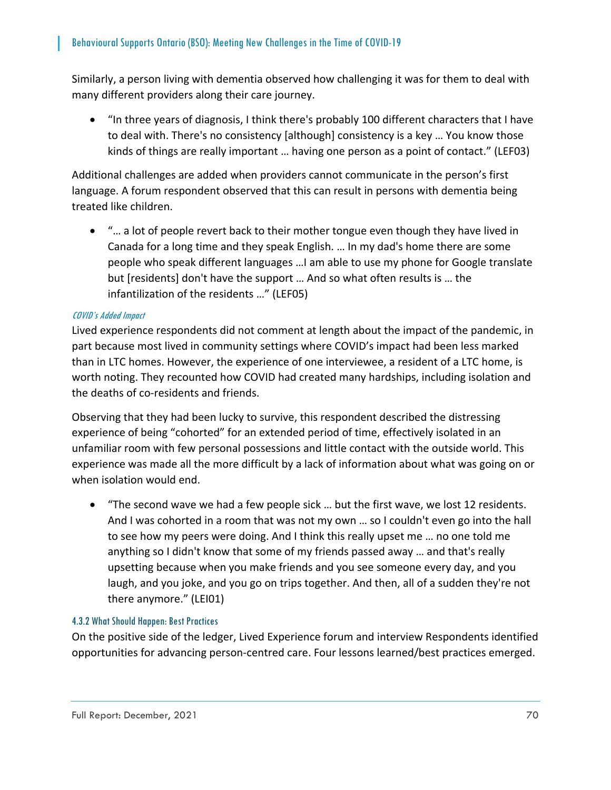Similarly, a person living with dementia observed how challenging it was for them to deal with many different providers along their care journey.

 "In three years of diagnosis, I think there's probably 100 different characters that I have to deal with. There's no consistency [although] consistency is a key … You know those kinds of things are really important … having one person as a point of contact." (LEF03)

Additional challenges are added when providers cannot communicate in the person's first language. A forum respondent observed that this can result in persons with dementia being treated like children.

 "… a lot of people revert back to their mother tongue even though they have lived in Canada for a long time and they speak English. … In my dad's home there are some people who speak different languages …I am able to use my phone for Google translate but [residents] don't have the support … And so what often results is … the infantilization of the residents …" (LEF05)

## COVID's Added Impact

Lived experience respondents did not comment at length about the impact of the pandemic, in part because most lived in community settings where COVID's impact had been less marked than in LTC homes. However, the experience of one interviewee, a resident of a LTC home, is worth noting. They recounted how COVID had created many hardships, including isolation and the deaths of co‐residents and friends.

Observing that they had been lucky to survive, this respondent described the distressing experience of being "cohorted" for an extended period of time, effectively isolated in an unfamiliar room with few personal possessions and little contact with the outside world. This experience was made all the more difficult by a lack of information about what was going on or when isolation would end.

 "The second wave we had a few people sick … but the first wave, we lost 12 residents. And I was cohorted in a room that was not my own … so I couldn't even go into the hall to see how my peers were doing. And I think this really upset me … no one told me anything so I didn't know that some of my friends passed away … and that's really upsetting because when you make friends and you see someone every day, and you laugh, and you joke, and you go on trips together. And then, all of a sudden they're not there anymore." (LEI01)

## 4.3.2 What Should Happen: Best Practices

On the positive side of the ledger, Lived Experience forum and interview Respondents identified opportunities for advancing person‐centred care. Four lessons learned/best practices emerged.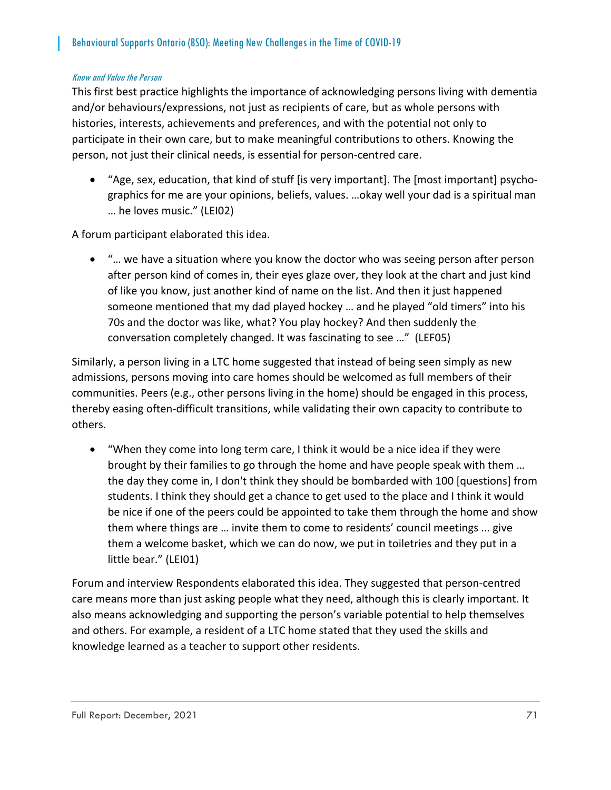#### Know and Value the Person

This first best practice highlights the importance of acknowledging persons living with dementia and/or behaviours/expressions, not just as recipients of care, but as whole persons with histories, interests, achievements and preferences, and with the potential not only to participate in their own care, but to make meaningful contributions to others. Knowing the person, not just their clinical needs, is essential for person-centred care.

■ "Age, sex, education, that kind of stuff [is very important]. The [most important] psychographics for me are your opinions, beliefs, values. …okay well your dad is a spiritual man … he loves music." (LEI02)

A forum participant elaborated this idea.

 "… we have a situation where you know the doctor who was seeing person after person after person kind of comes in, their eyes glaze over, they look at the chart and just kind of like you know, just another kind of name on the list. And then it just happened someone mentioned that my dad played hockey … and he played "old timers" into his 70s and the doctor was like, what? You play hockey? And then suddenly the conversation completely changed. It was fascinating to see …" (LEF05)

Similarly, a person living in a LTC home suggested that instead of being seen simply as new admissions, persons moving into care homes should be welcomed as full members of their communities. Peers (e.g., other persons living in the home) should be engaged in this process, thereby easing often‐difficult transitions, while validating their own capacity to contribute to others.

 "When they come into long term care, I think it would be a nice idea if they were brought by their families to go through the home and have people speak with them … the day they come in, I don't think they should be bombarded with 100 [questions] from students. I think they should get a chance to get used to the place and I think it would be nice if one of the peers could be appointed to take them through the home and show them where things are … invite them to come to residents' council meetings ... give them a welcome basket, which we can do now, we put in toiletries and they put in a little bear." (LEI01)

Forum and interview Respondents elaborated this idea. They suggested that person‐centred care means more than just asking people what they need, although this is clearly important. It also means acknowledging and supporting the person's variable potential to help themselves and others. For example, a resident of a LTC home stated that they used the skills and knowledge learned as a teacher to support other residents.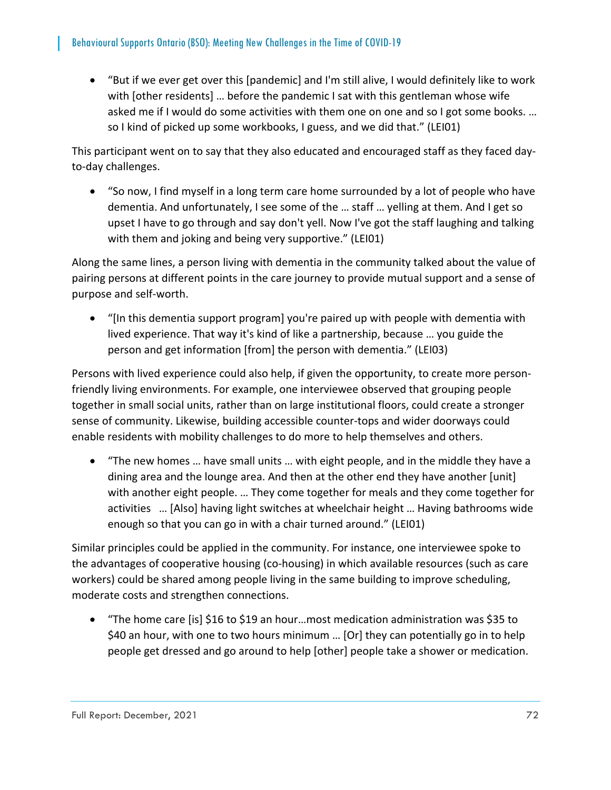"But if we ever get over this [pandemic] and I'm still alive, I would definitely like to work with [other residents] … before the pandemic I sat with this gentleman whose wife asked me if I would do some activities with them one on one and so I got some books. … so I kind of picked up some workbooks, I guess, and we did that." (LEI01)

This participant went on to say that they also educated and encouraged staff as they faced day‐ to‐day challenges.

 "So now, I find myself in a long term care home surrounded by a lot of people who have dementia. And unfortunately, I see some of the … staff … yelling at them. And I get so upset I have to go through and say don't yell. Now I've got the staff laughing and talking with them and joking and being very supportive." (LEI01)

Along the same lines, a person living with dementia in the community talked about the value of pairing persons at different points in the care journey to provide mutual support and a sense of purpose and self‐worth.

 "[In this dementia support program] you're paired up with people with dementia with lived experience. That way it's kind of like a partnership, because … you guide the person and get information [from] the person with dementia." (LEI03)

Persons with lived experience could also help, if given the opportunity, to create more person‐ friendly living environments. For example, one interviewee observed that grouping people together in small social units, rather than on large institutional floors, could create a stronger sense of community. Likewise, building accessible counter‐tops and wider doorways could enable residents with mobility challenges to do more to help themselves and others.

 "The new homes … have small units … with eight people, and in the middle they have a dining area and the lounge area. And then at the other end they have another [unit] with another eight people. … They come together for meals and they come together for activities … [Also] having light switches at wheelchair height … Having bathrooms wide enough so that you can go in with a chair turned around." (LEI01)

Similar principles could be applied in the community. For instance, one interviewee spoke to the advantages of cooperative housing (co‐housing) in which available resources (such as care workers) could be shared among people living in the same building to improve scheduling, moderate costs and strengthen connections.

 "The home care [is] \$16 to \$19 an hour…most medication administration was \$35 to \$40 an hour, with one to two hours minimum … [Or] they can potentially go in to help people get dressed and go around to help [other] people take a shower or medication.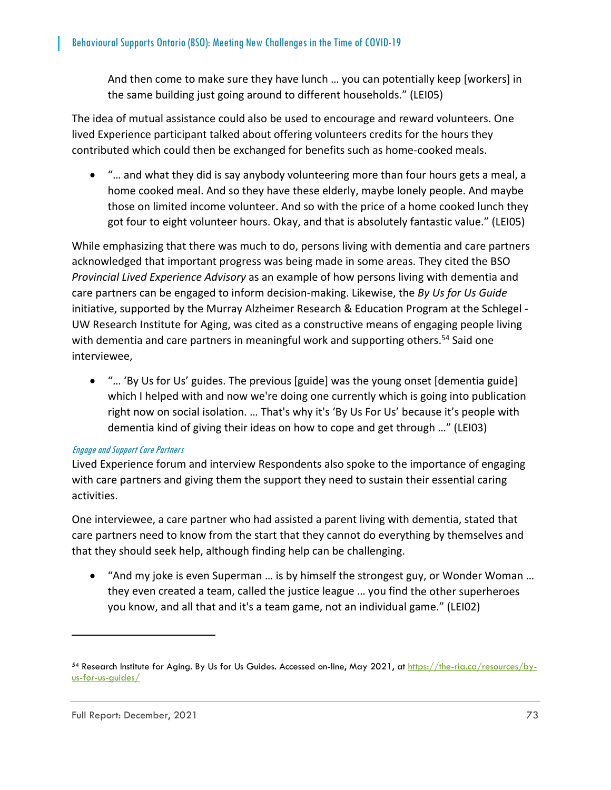And then come to make sure they have lunch … you can potentially keep [workers] in the same building just going around to different households." (LEI05)

The idea of mutual assistance could also be used to encourage and reward volunteers. One lived Experience participant talked about offering volunteers credits for the hours they contributed which could then be exchanged for benefits such as home‐cooked meals.

 "… and what they did is say anybody volunteering more than four hours gets a meal, a home cooked meal. And so they have these elderly, maybe lonely people. And maybe those on limited income volunteer. And so with the price of a home cooked lunch they got four to eight volunteer hours. Okay, and that is absolutely fantastic value." (LEI05)

While emphasizing that there was much to do, persons living with dementia and care partners acknowledged that important progress was being made in some areas. They cited the BSO *Provincial Lived Experience Advisory* as an example of how persons living with dementia and care partners can be engaged to inform decision‐making. Likewise, the *By Us for Us Guide* initiative, supported by the Murray Alzheimer Research & Education Program at the Schlegel ‐ UW Research Institute for Aging, was cited as a constructive means of engaging people living with dementia and care partners in meaningful work and supporting others.<sup>54</sup> Said one interviewee,

 "… 'By Us for Us' guides. The previous [guide] was the young onset [dementia guide] which I helped with and now we're doing one currently which is going into publication right now on social isolation. … That's why it's 'By Us For Us' because it's people with dementia kind of giving their ideas on how to cope and get through …" (LEI03)

#### Engage and Support Care Partners

Lived Experience forum and interview Respondents also spoke to the importance of engaging with care partners and giving them the support they need to sustain their essential caring activities.

One interviewee, a care partner who had assisted a parent living with dementia, stated that care partners need to know from the start that they cannot do everything by themselves and that they should seek help, although finding help can be challenging.

 "And my joke is even Superman … is by himself the strongest guy, or Wonder Woman … they even created a team, called the justice league … you find the other superheroes you know, and all that and it's a team game, not an individual game." (LEI02)

 $\overline{a}$ 

<sup>54</sup> Research Institute for Aging. By Us for Us Guides. Accessed on-line, May 2021, at https://the-ria.ca/resources/byus-for-us-guides/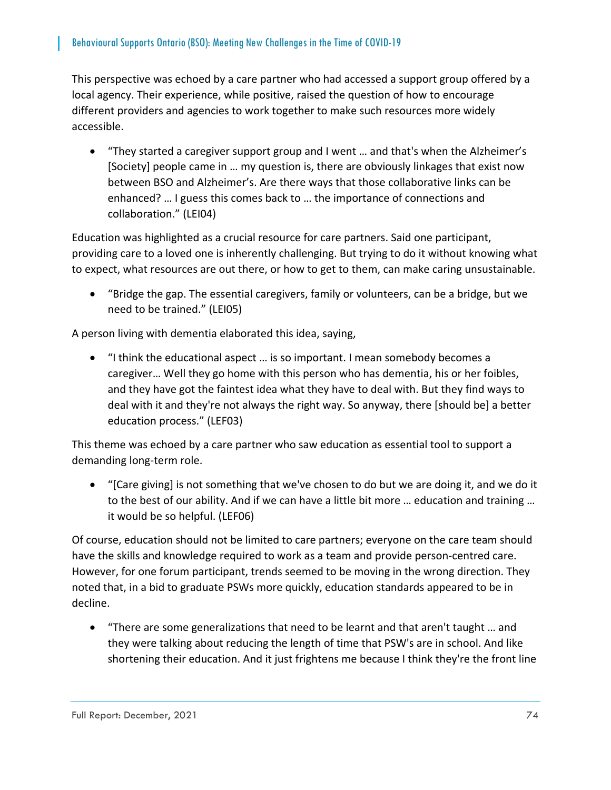This perspective was echoed by a care partner who had accessed a support group offered by a local agency. Their experience, while positive, raised the question of how to encourage different providers and agencies to work together to make such resources more widely accessible.

 "They started a caregiver support group and I went … and that's when the Alzheimer's [Society] people came in … my question is, there are obviously linkages that exist now between BSO and Alzheimer's. Are there ways that those collaborative links can be enhanced? … I guess this comes back to … the importance of connections and collaboration." (LEI04)

Education was highlighted as a crucial resource for care partners. Said one participant, providing care to a loved one is inherently challenging. But trying to do it without knowing what to expect, what resources are out there, or how to get to them, can make caring unsustainable.

 "Bridge the gap. The essential caregivers, family or volunteers, can be a bridge, but we need to be trained." (LEI05)

A person living with dementia elaborated this idea, saying,

 "I think the educational aspect … is so important. I mean somebody becomes a caregiver… Well they go home with this person who has dementia, his or her foibles, and they have got the faintest idea what they have to deal with. But they find ways to deal with it and they're not always the right way. So anyway, there [should be] a better education process." (LEF03)

This theme was echoed by a care partner who saw education as essential tool to support a demanding long‐term role.

 "[Care giving] is not something that we've chosen to do but we are doing it, and we do it to the best of our ability. And if we can have a little bit more … education and training … it would be so helpful. (LEF06)

Of course, education should not be limited to care partners; everyone on the care team should have the skills and knowledge required to work as a team and provide person-centred care. However, for one forum participant, trends seemed to be moving in the wrong direction. They noted that, in a bid to graduate PSWs more quickly, education standards appeared to be in decline.

 "There are some generalizations that need to be learnt and that aren't taught … and they were talking about reducing the length of time that PSW's are in school. And like shortening their education. And it just frightens me because I think they're the front line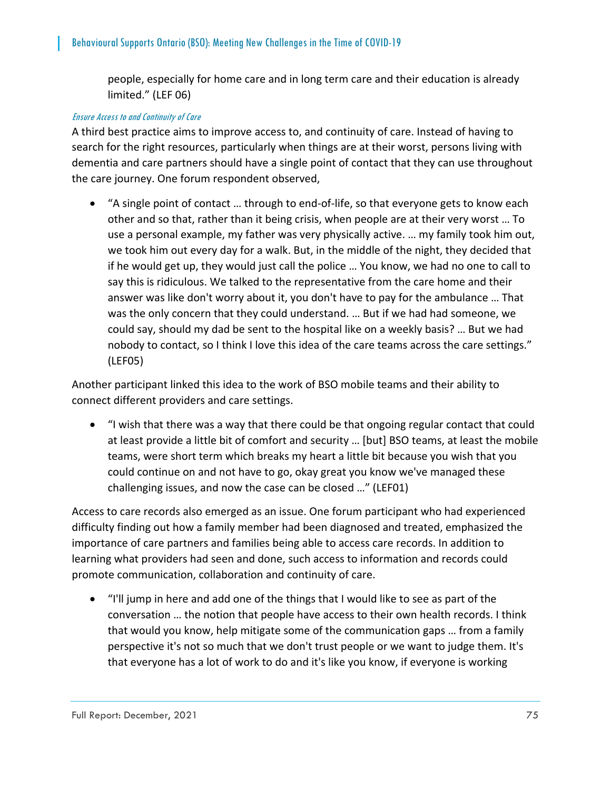people, especially for home care and in long term care and their education is already limited." (LEF 06)

#### Ensure Access to and Continuity of Care

A third best practice aims to improve access to, and continuity of care. Instead of having to search for the right resources, particularly when things are at their worst, persons living with dementia and care partners should have a single point of contact that they can use throughout the care journey. One forum respondent observed,

■ "A single point of contact ... through to end-of-life, so that everyone gets to know each other and so that, rather than it being crisis, when people are at their very worst … To use a personal example, my father was very physically active. … my family took him out, we took him out every day for a walk. But, in the middle of the night, they decided that if he would get up, they would just call the police … You know, we had no one to call to say this is ridiculous. We talked to the representative from the care home and their answer was like don't worry about it, you don't have to pay for the ambulance … That was the only concern that they could understand. … But if we had had someone, we could say, should my dad be sent to the hospital like on a weekly basis? … But we had nobody to contact, so I think I love this idea of the care teams across the care settings." (LEF05)

Another participant linked this idea to the work of BSO mobile teams and their ability to connect different providers and care settings.

 "I wish that there was a way that there could be that ongoing regular contact that could at least provide a little bit of comfort and security … [but] BSO teams, at least the mobile teams, were short term which breaks my heart a little bit because you wish that you could continue on and not have to go, okay great you know we've managed these challenging issues, and now the case can be closed …" (LEF01)

Access to care records also emerged as an issue. One forum participant who had experienced difficulty finding out how a family member had been diagnosed and treated, emphasized the importance of care partners and families being able to access care records. In addition to learning what providers had seen and done, such access to information and records could promote communication, collaboration and continuity of care.

 "I'll jump in here and add one of the things that I would like to see as part of the conversation … the notion that people have access to their own health records. I think that would you know, help mitigate some of the communication gaps … from a family perspective it's not so much that we don't trust people or we want to judge them. It's that everyone has a lot of work to do and it's like you know, if everyone is working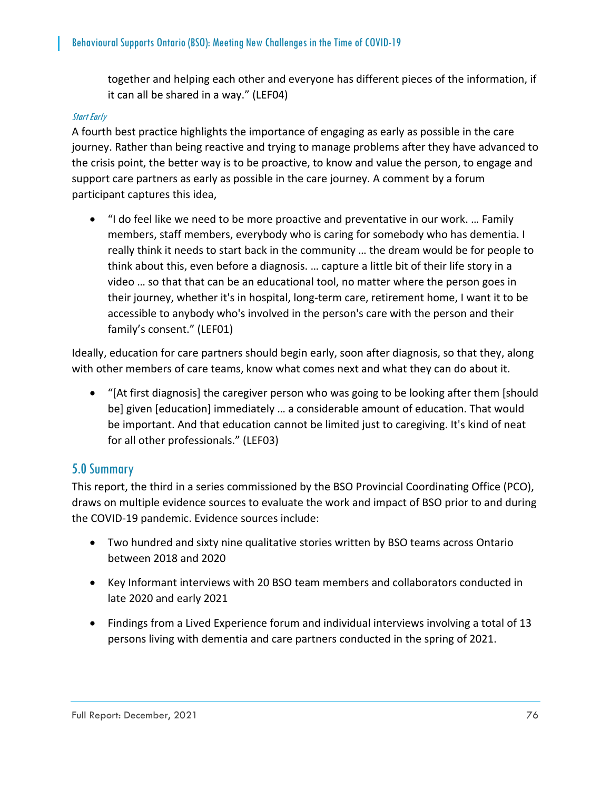together and helping each other and everyone has different pieces of the information, if it can all be shared in a way." (LEF04)

## Start Early

A fourth best practice highlights the importance of engaging as early as possible in the care journey. Rather than being reactive and trying to manage problems after they have advanced to the crisis point, the better way is to be proactive, to know and value the person, to engage and support care partners as early as possible in the care journey. A comment by a forum participant captures this idea,

 "I do feel like we need to be more proactive and preventative in our work. … Family members, staff members, everybody who is caring for somebody who has dementia. I really think it needs to start back in the community … the dream would be for people to think about this, even before a diagnosis. … capture a little bit of their life story in a video … so that that can be an educational tool, no matter where the person goes in their journey, whether it's in hospital, long‐term care, retirement home, I want it to be accessible to anybody who's involved in the person's care with the person and their family's consent." (LEF01)

Ideally, education for care partners should begin early, soon after diagnosis, so that they, along with other members of care teams, know what comes next and what they can do about it.

 "[At first diagnosis] the caregiver person who was going to be looking after them [should be] given [education] immediately … a considerable amount of education. That would be important. And that education cannot be limited just to caregiving. It's kind of neat for all other professionals." (LEF03)

# 5.0 Summary

This report, the third in a series commissioned by the BSO Provincial Coordinating Office (PCO), draws on multiple evidence sources to evaluate the work and impact of BSO prior to and during the COVID‐19 pandemic. Evidence sources include:

- Two hundred and sixty nine qualitative stories written by BSO teams across Ontario between 2018 and 2020
- Key Informant interviews with 20 BSO team members and collaborators conducted in late 2020 and early 2021
- Findings from a Lived Experience forum and individual interviews involving a total of 13 persons living with dementia and care partners conducted in the spring of 2021.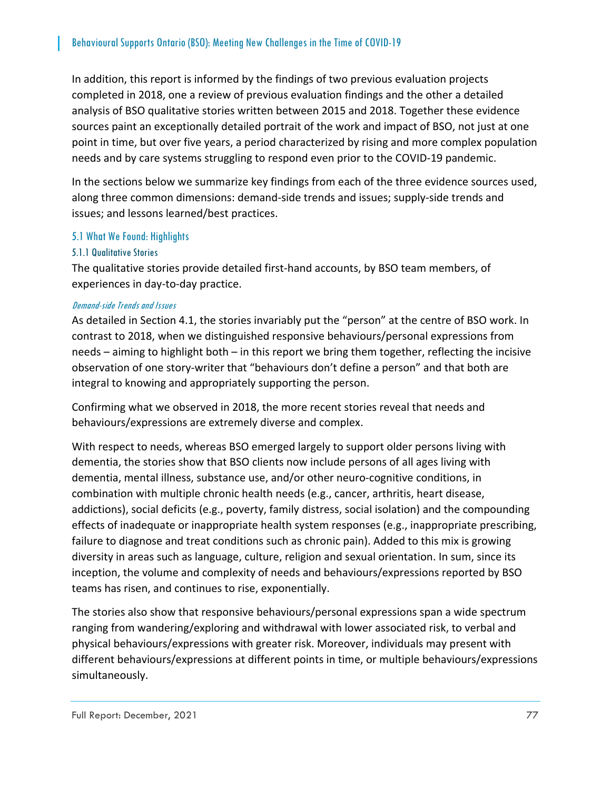In addition, this report is informed by the findings of two previous evaluation projects completed in 2018, one a review of previous evaluation findings and the other a detailed analysis of BSO qualitative stories written between 2015 and 2018. Together these evidence sources paint an exceptionally detailed portrait of the work and impact of BSO, not just at one point in time, but over five years, a period characterized by rising and more complex population needs and by care systems struggling to respond even prior to the COVID‐19 pandemic.

In the sections below we summarize key findings from each of the three evidence sources used, along three common dimensions: demand‐side trends and issues; supply‐side trends and issues; and lessons learned/best practices.

## 5.1 What We Found: Highlights

#### 5.1.1 Qualitative Stories

The qualitative stories provide detailed first‐hand accounts, by BSO team members, of experiences in day‐to‐day practice.

#### Demand-side Trends and Issues

As detailed in Section 4.1, the stories invariably put the "person" at the centre of BSO work. In contrast to 2018, when we distinguished responsive behaviours/personal expressions from needs – aiming to highlight both – in this report we bring them together, reflecting the incisive observation of one story‐writer that "behaviours don't define a person" and that both are integral to knowing and appropriately supporting the person.

Confirming what we observed in 2018, the more recent stories reveal that needs and behaviours/expressions are extremely diverse and complex.

With respect to needs, whereas BSO emerged largely to support older persons living with dementia, the stories show that BSO clients now include persons of all ages living with dementia, mental illness, substance use, and/or other neuro‐cognitive conditions, in combination with multiple chronic health needs (e.g., cancer, arthritis, heart disease, addictions), social deficits (e.g., poverty, family distress, social isolation) and the compounding effects of inadequate or inappropriate health system responses (e.g., inappropriate prescribing, failure to diagnose and treat conditions such as chronic pain). Added to this mix is growing diversity in areas such as language, culture, religion and sexual orientation. In sum, since its inception, the volume and complexity of needs and behaviours/expressions reported by BSO teams has risen, and continues to rise, exponentially.

The stories also show that responsive behaviours/personal expressions span a wide spectrum ranging from wandering/exploring and withdrawal with lower associated risk, to verbal and physical behaviours/expressions with greater risk. Moreover, individuals may present with different behaviours/expressions at different points in time, or multiple behaviours/expressions simultaneously.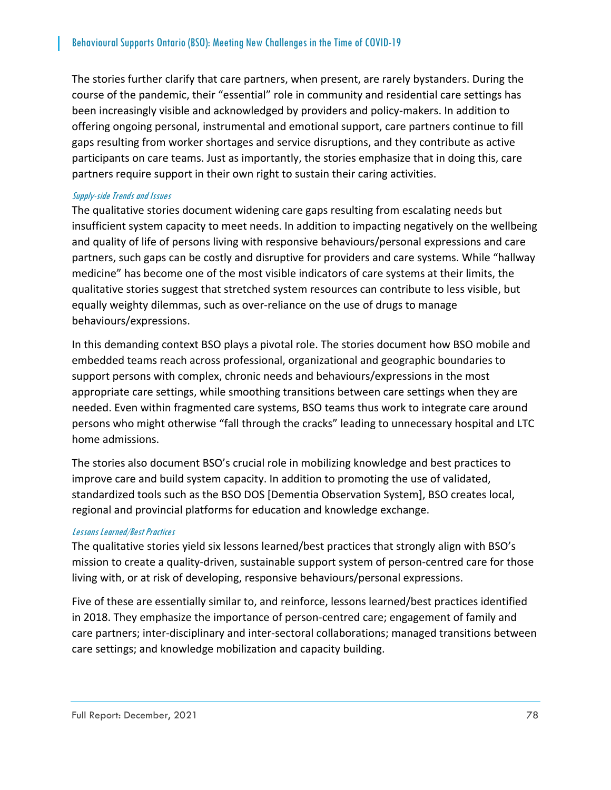The stories further clarify that care partners, when present, are rarely bystanders. During the course of the pandemic, their "essential" role in community and residential care settings has been increasingly visible and acknowledged by providers and policy-makers. In addition to offering ongoing personal, instrumental and emotional support, care partners continue to fill gaps resulting from worker shortages and service disruptions, and they contribute as active participants on care teams. Just as importantly, the stories emphasize that in doing this, care partners require support in their own right to sustain their caring activities.

#### Supply-side Trends and Issues

The qualitative stories document widening care gaps resulting from escalating needs but insufficient system capacity to meet needs. In addition to impacting negatively on the wellbeing and quality of life of persons living with responsive behaviours/personal expressions and care partners, such gaps can be costly and disruptive for providers and care systems. While "hallway medicine" has become one of the most visible indicators of care systems at their limits, the qualitative stories suggest that stretched system resources can contribute to less visible, but equally weighty dilemmas, such as over‐reliance on the use of drugs to manage behaviours/expressions.

In this demanding context BSO plays a pivotal role. The stories document how BSO mobile and embedded teams reach across professional, organizational and geographic boundaries to support persons with complex, chronic needs and behaviours/expressions in the most appropriate care settings, while smoothing transitions between care settings when they are needed. Even within fragmented care systems, BSO teams thus work to integrate care around persons who might otherwise "fall through the cracks" leading to unnecessary hospital and LTC home admissions.

The stories also document BSO's crucial role in mobilizing knowledge and best practices to improve care and build system capacity. In addition to promoting the use of validated, standardized tools such as the BSO DOS [Dementia Observation System], BSO creates local, regional and provincial platforms for education and knowledge exchange.

#### Lessons Learned/Best Practices

The qualitative stories yield six lessons learned/best practices that strongly align with BSO's mission to create a quality‐driven, sustainable support system of person‐centred care for those living with, or at risk of developing, responsive behaviours/personal expressions.

Five of these are essentially similar to, and reinforce, lessons learned/best practices identified in 2018. They emphasize the importance of person‐centred care; engagement of family and care partners; inter-disciplinary and inter-sectoral collaborations; managed transitions between care settings; and knowledge mobilization and capacity building.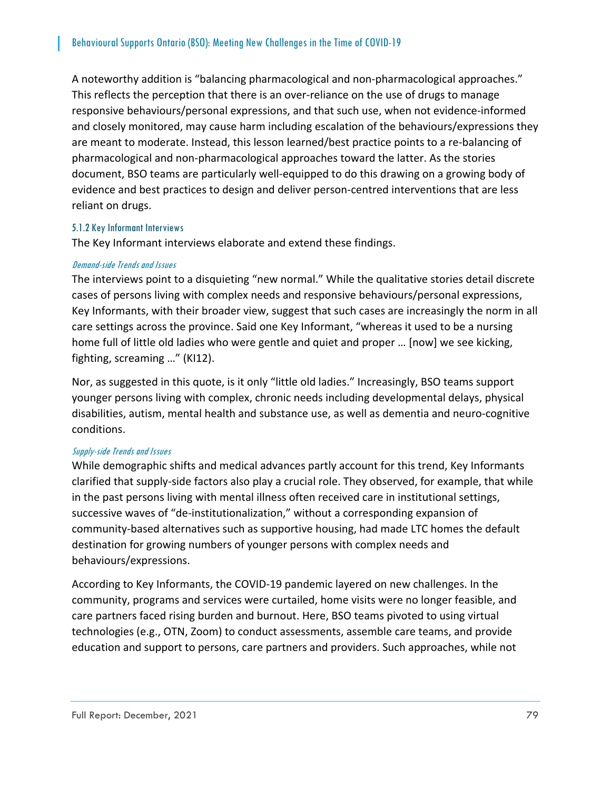A noteworthy addition is "balancing pharmacological and non‐pharmacological approaches." This reflects the perception that there is an over‐reliance on the use of drugs to manage responsive behaviours/personal expressions, and that such use, when not evidence-informed and closely monitored, may cause harm including escalation of the behaviours/expressions they are meant to moderate. Instead, this lesson learned/best practice points to a re‐balancing of pharmacological and non‐pharmacological approaches toward the latter. As the stories document, BSO teams are particularly well‐equipped to do this drawing on a growing body of evidence and best practices to design and deliver person‐centred interventions that are less reliant on drugs.

#### 5.1.2 Key Informant Interviews

The Key Informant interviews elaborate and extend these findings.

#### Demand-side Trends and Issues

The interviews point to a disquieting "new normal." While the qualitative stories detail discrete cases of persons living with complex needs and responsive behaviours/personal expressions, Key Informants, with their broader view, suggest that such cases are increasingly the norm in all care settings across the province. Said one Key Informant, "whereas it used to be a nursing home full of little old ladies who were gentle and quiet and proper … [now] we see kicking, fighting, screaming ..." (KI12).

Nor, as suggested in this quote, is it only "little old ladies." Increasingly, BSO teams support younger persons living with complex, chronic needs including developmental delays, physical disabilities, autism, mental health and substance use, as well as dementia and neuro‐cognitive conditions.

#### Supply-side Trends and Issues

While demographic shifts and medical advances partly account for this trend, Key Informants clarified that supply‐side factors also play a crucial role. They observed, for example, that while in the past persons living with mental illness often received care in institutional settings, successive waves of "de‐institutionalization," without a corresponding expansion of community‐based alternatives such as supportive housing, had made LTC homes the default destination for growing numbers of younger persons with complex needs and behaviours/expressions.

According to Key Informants, the COVID‐19 pandemic layered on new challenges. In the community, programs and services were curtailed, home visits were no longer feasible, and care partners faced rising burden and burnout. Here, BSO teams pivoted to using virtual technologies (e.g., OTN, Zoom) to conduct assessments, assemble care teams, and provide education and support to persons, care partners and providers. Such approaches, while not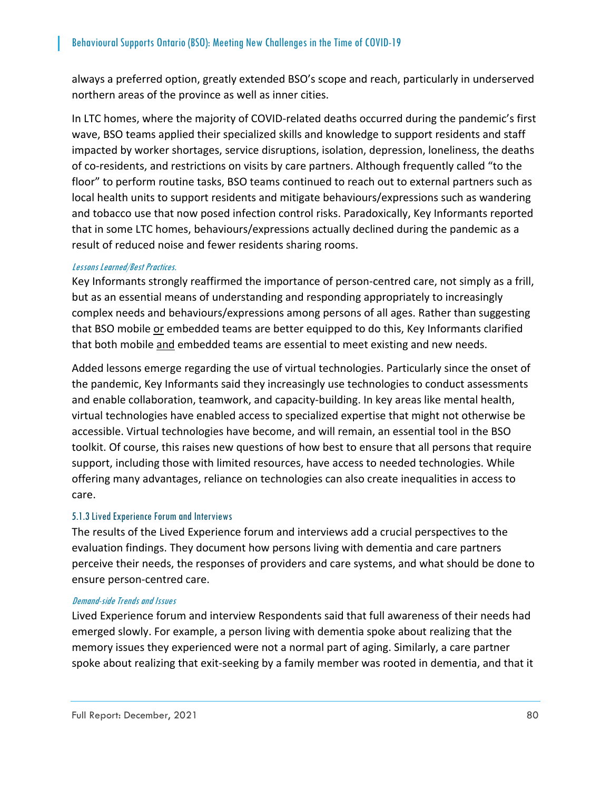always a preferred option, greatly extended BSO's scope and reach, particularly in underserved northern areas of the province as well as inner cities.

In LTC homes, where the majority of COVID‐related deaths occurred during the pandemic's first wave, BSO teams applied their specialized skills and knowledge to support residents and staff impacted by worker shortages, service disruptions, isolation, depression, loneliness, the deaths of co-residents, and restrictions on visits by care partners. Although frequently called "to the floor" to perform routine tasks, BSO teams continued to reach out to external partners such as local health units to support residents and mitigate behaviours/expressions such as wandering and tobacco use that now posed infection control risks. Paradoxically, Key Informants reported that in some LTC homes, behaviours/expressions actually declined during the pandemic as a result of reduced noise and fewer residents sharing rooms.

#### Lessons Learned/Best Practices.

Key Informants strongly reaffirmed the importance of person-centred care, not simply as a frill, but as an essential means of understanding and responding appropriately to increasingly complex needs and behaviours/expressions among persons of all ages. Rather than suggesting that BSO mobile or embedded teams are better equipped to do this, Key Informants clarified that both mobile and embedded teams are essential to meet existing and new needs.

Added lessons emerge regarding the use of virtual technologies. Particularly since the onset of the pandemic, Key Informants said they increasingly use technologies to conduct assessments and enable collaboration, teamwork, and capacity‐building. In key areas like mental health, virtual technologies have enabled access to specialized expertise that might not otherwise be accessible. Virtual technologies have become, and will remain, an essential tool in the BSO toolkit. Of course, this raises new questions of how best to ensure that all persons that require support, including those with limited resources, have access to needed technologies. While offering many advantages, reliance on technologies can also create inequalities in access to care.

## 5.1.3 Lived Experience Forum and Interviews

The results of the Lived Experience forum and interviews add a crucial perspectives to the evaluation findings. They document how persons living with dementia and care partners perceive their needs, the responses of providers and care systems, and what should be done to ensure person‐centred care.

## Demand-side Trends and Issues

Lived Experience forum and interview Respondents said that full awareness of their needs had emerged slowly. For example, a person living with dementia spoke about realizing that the memory issues they experienced were not a normal part of aging. Similarly, a care partner spoke about realizing that exit-seeking by a family member was rooted in dementia, and that it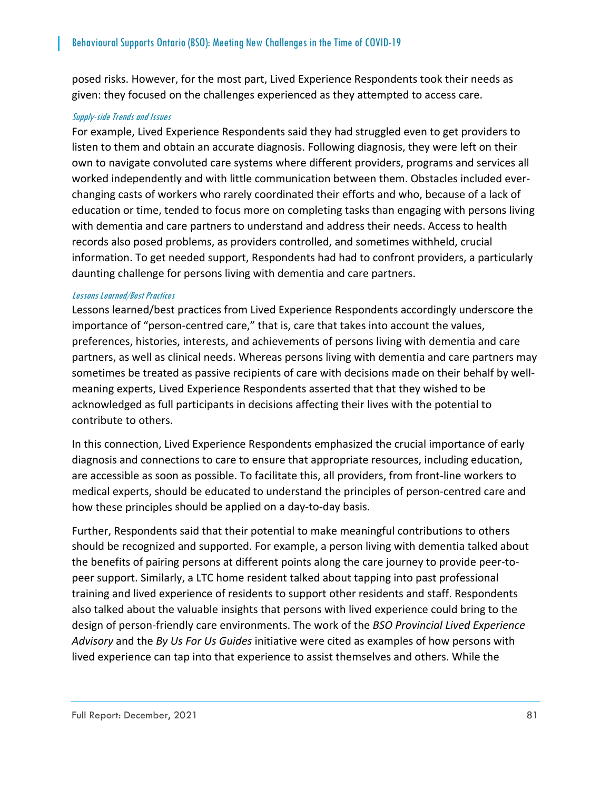posed risks. However, for the most part, Lived Experience Respondents took their needs as given: they focused on the challenges experienced as they attempted to access care.

#### Supply-side Trends and Issues

For example, Lived Experience Respondents said they had struggled even to get providers to listen to them and obtain an accurate diagnosis. Following diagnosis, they were left on their own to navigate convoluted care systems where different providers, programs and services all worked independently and with little communication between them. Obstacles included ever‐ changing casts of workers who rarely coordinated their efforts and who, because of a lack of education or time, tended to focus more on completing tasks than engaging with persons living with dementia and care partners to understand and address their needs. Access to health records also posed problems, as providers controlled, and sometimes withheld, crucial information. To get needed support, Respondents had had to confront providers, a particularly daunting challenge for persons living with dementia and care partners.

#### Lessons Learned/Best Practices

Lessons learned/best practices from Lived Experience Respondents accordingly underscore the importance of "person-centred care," that is, care that takes into account the values, preferences, histories, interests, and achievements of persons living with dementia and care partners, as well as clinical needs. Whereas persons living with dementia and care partners may sometimes be treated as passive recipients of care with decisions made on their behalf by well‐ meaning experts, Lived Experience Respondents asserted that that they wished to be acknowledged as full participants in decisions affecting their lives with the potential to contribute to others.

In this connection, Lived Experience Respondents emphasized the crucial importance of early diagnosis and connections to care to ensure that appropriate resources, including education, are accessible as soon as possible. To facilitate this, all providers, from front‐line workers to medical experts, should be educated to understand the principles of person‐centred care and how these principles should be applied on a day‐to‐day basis.

Further, Respondents said that their potential to make meaningful contributions to others should be recognized and supported. For example, a person living with dementia talked about the benefits of pairing persons at different points along the care journey to provide peer‐to‐ peer support. Similarly, a LTC home resident talked about tapping into past professional training and lived experience of residents to support other residents and staff. Respondents also talked about the valuable insights that persons with lived experience could bring to the design of person‐friendly care environments. The work of the *BSO Provincial Lived Experience Advisory* and the *By Us For Us Guides* initiative were cited as examples of how persons with lived experience can tap into that experience to assist themselves and others. While the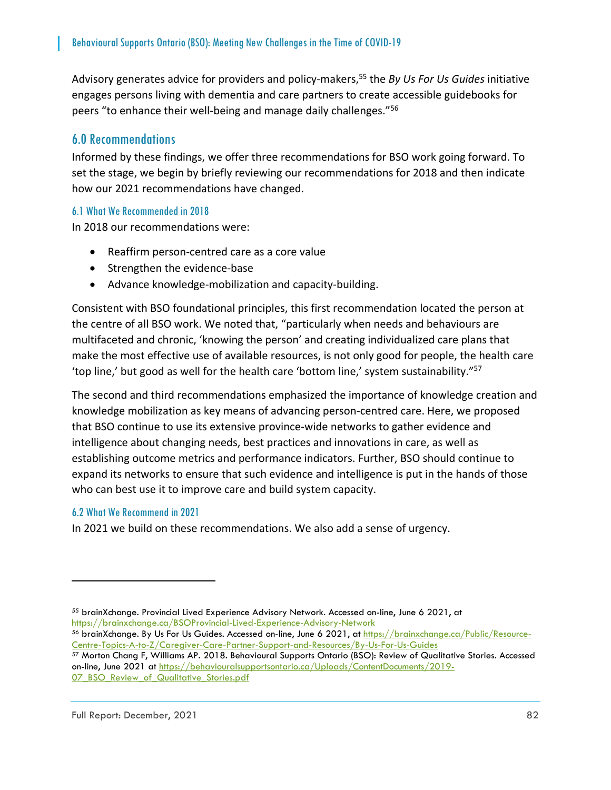Advisory generates advice for providers and policy‐makers,55 the *By Us For Us Guides* initiative engages persons living with dementia and care partners to create accessible guidebooks for peers "to enhance their well-being and manage daily challenges."<sup>56</sup>

# 6.0 Recommendations

Informed by these findings, we offer three recommendations for BSO work going forward. To set the stage, we begin by briefly reviewing our recommendations for 2018 and then indicate how our 2021 recommendations have changed.

## 6.1 What We Recommended in 2018

In 2018 our recommendations were:

- Reaffirm person-centred care as a core value
- Strengthen the evidence-base
- Advance knowledge-mobilization and capacity-building.

Consistent with BSO foundational principles, this first recommendation located the person at the centre of all BSO work. We noted that, "particularly when needs and behaviours are multifaceted and chronic, 'knowing the person' and creating individualized care plans that make the most effective use of available resources, is not only good for people, the health care 'top line,' but good as well for the health care 'bottom line,' system sustainability."57

The second and third recommendations emphasized the importance of knowledge creation and knowledge mobilization as key means of advancing person‐centred care. Here, we proposed that BSO continue to use its extensive province‐wide networks to gather evidence and intelligence about changing needs, best practices and innovations in care, as well as establishing outcome metrics and performance indicators. Further, BSO should continue to expand its networks to ensure that such evidence and intelligence is put in the hands of those who can best use it to improve care and build system capacity.

## 6.2 What We Recommend in 2021

In 2021 we build on these recommendations. We also add a sense of urgency.

<sup>55</sup> brainXchange. Provincial Lived Experience Advisory Network. Accessed on-line, June 6 2021, at https://brainxchange.ca/BSOProvincial-Lived-Experience-Advisory-Network<br><sup>56</sup> brainXchange. By Us For Us Guides. Accessed on-line, June 6 2021, at <u>https://brainxchange.ca/Public/Resource-</u>

Centre-Topics-A-to-Z/Caregiver-Care-Partner-Support-and-Resources/By-Us-For-Us-Guides 57 Morton Chang F, Williams AP. 2018. Behavioural Supports Ontario (BSO): Review of Qualitative Stories. Accessed

on-line, June 2021 at https://behaviouralsupportsontario.ca/Uploads/ContentDocuments/2019- 07\_BSO\_Review\_of\_Qualitative\_Stories.pdf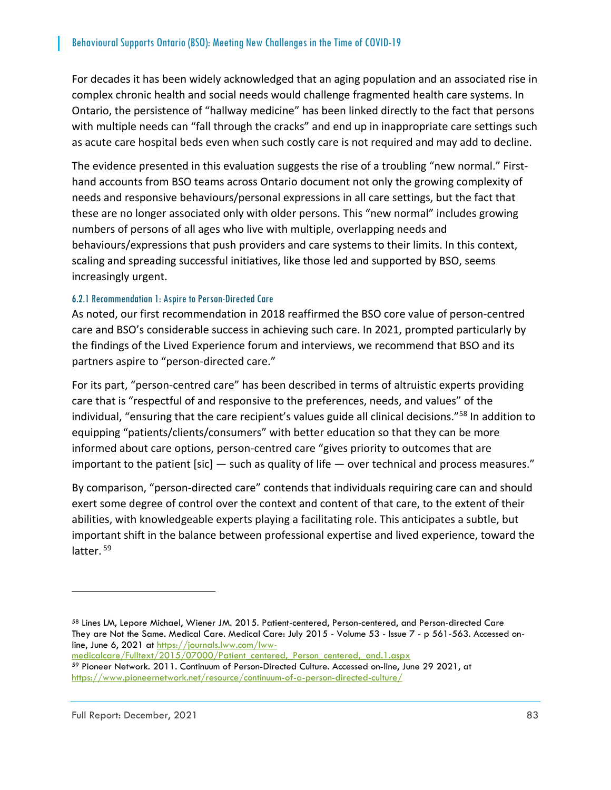For decades it has been widely acknowledged that an aging population and an associated rise in complex chronic health and social needs would challenge fragmented health care systems. In Ontario, the persistence of "hallway medicine" has been linked directly to the fact that persons with multiple needs can "fall through the cracks" and end up in inappropriate care settings such as acute care hospital beds even when such costly care is not required and may add to decline.

The evidence presented in this evaluation suggests the rise of a troubling "new normal." Firsthand accounts from BSO teams across Ontario document not only the growing complexity of needs and responsive behaviours/personal expressions in all care settings, but the fact that these are no longer associated only with older persons. This "new normal" includes growing numbers of persons of all ages who live with multiple, overlapping needs and behaviours/expressions that push providers and care systems to their limits. In this context, scaling and spreading successful initiatives, like those led and supported by BSO, seems increasingly urgent.

## 6.2.1 Recommendation 1: Aspire to Person-Directed Care

As noted, our first recommendation in 2018 reaffirmed the BSO core value of person‐centred care and BSO's considerable success in achieving such care. In 2021, prompted particularly by the findings of the Lived Experience forum and interviews, we recommend that BSO and its partners aspire to "person-directed care."

For its part, "person‐centred care" has been described in terms of altruistic experts providing care that is "respectful of and responsive to the preferences, needs, and values" of the individual, "ensuring that the care recipient's values guide all clinical decisions."<sup>58</sup> In addition to equipping "patients/clients/consumers" with better education so that they can be more informed about care options, person‐centred care "gives priority to outcomes that are important to the patient  $[sic]$  — such as quality of life — over technical and process measures."

By comparison, "person‐directed care" contends that individuals requiring care can and should exert some degree of control over the context and content of that care, to the extent of their abilities, with knowledgeable experts playing a facilitating role. This anticipates a subtle, but important shift in the balance between professional expertise and lived experience, toward the latter.<sup>59</sup>

<sup>58</sup> Lines LM, Lepore Michael, Wiener JM. 2015. Patient-centered, Person-centered, and Person-directed Care They are Not the Same. Medical Care. Medical Care: July 2015 - Volume 53 - Issue 7 - p 561-563. Accessed online, June 6, 2021 at https://journals.lww.com/lww-

medicalcare/Fulltext/2015/07000/Patient\_centered, Person\_centered, and.1.aspx 59 Pioneer Network. 2011. Continuum of Person-Directed Culture. Accessed on-line, June 29 2021, at https://www.pioneernetwork.net/resource/continuum-of-a-person-directed-culture/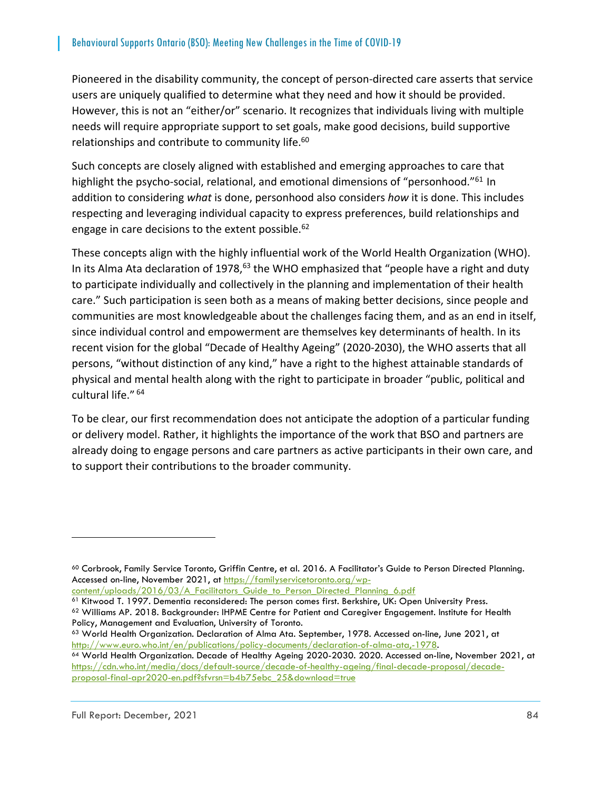Pioneered in the disability community, the concept of person-directed care asserts that service users are uniquely qualified to determine what they need and how it should be provided. However, this is not an "either/or" scenario. It recognizes that individuals living with multiple needs will require appropriate support to set goals, make good decisions, build supportive relationships and contribute to community life.<sup>60</sup>

Such concepts are closely aligned with established and emerging approaches to care that highlight the psycho-social, relational, and emotional dimensions of "personhood."<sup>61</sup> In addition to considering *what* is done, personhood also considers *how* it is done. This includes respecting and leveraging individual capacity to express preferences, build relationships and engage in care decisions to the extent possible.<sup>62</sup>

These concepts align with the highly influential work of the World Health Organization (WHO). In its Alma Ata declaration of  $1978<sup>63</sup>$  the WHO emphasized that "people have a right and duty to participate individually and collectively in the planning and implementation of their health care." Such participation is seen both as a means of making better decisions, since people and communities are most knowledgeable about the challenges facing them, and as an end in itself, since individual control and empowerment are themselves key determinants of health. In its recent vision for the global "Decade of Healthy Ageing" (2020‐2030), the WHO asserts that all persons, "without distinction of any kind," have a right to the highest attainable standards of physical and mental health along with the right to participate in broader "public, political and cultural life." <sup>64</sup>

To be clear, our first recommendation does not anticipate the adoption of a particular funding or delivery model. Rather, it highlights the importance of the work that BSO and partners are already doing to engage persons and care partners as active participants in their own care, and to support their contributions to the broader community.

<sup>60</sup> Corbrook, Family Service Toronto, Griffin Centre, et al. 2016. A Facilitator's Guide to Person Directed Planning. Accessed on-line, November 2021, at https://familyservicetoronto.org/wp-

content/uploads/2016/03/A. Facilitators. Guide. to. Person. Directed. Planning. 6.pdf 6.pdf 61 Kitwood T. 1997. Dementia reconsidered: The person comes first. Berkshire, UK: Open University Press. <sup>62</sup> Williams AP. 2018. Backgrounder: IHPME Centre for Patient and Caregiver Engagement. Institute for Health

Policy, Management and Evaluation, University of Toronto.<br><sup>63</sup> World Health Organization. Declaration of Alma Ata. September, 1978. Accessed on-line, June 2021, at

http://www.euro.who.int/en/publications/policy-documents/declaration-of-alma-ata,-1978.<br><sup>64</sup> World Health Organization. Decade of Healthy Ageing 2020-2030. 2020. Accessed on-line, November 2021, at https://cdn.who.int/media/docs/default-source/decade-of-healthy-ageing/final-decade-proposal/decadeproposal-final-apr2020-en.pdf?sfvrsn=b4b75ebc\_25&download=true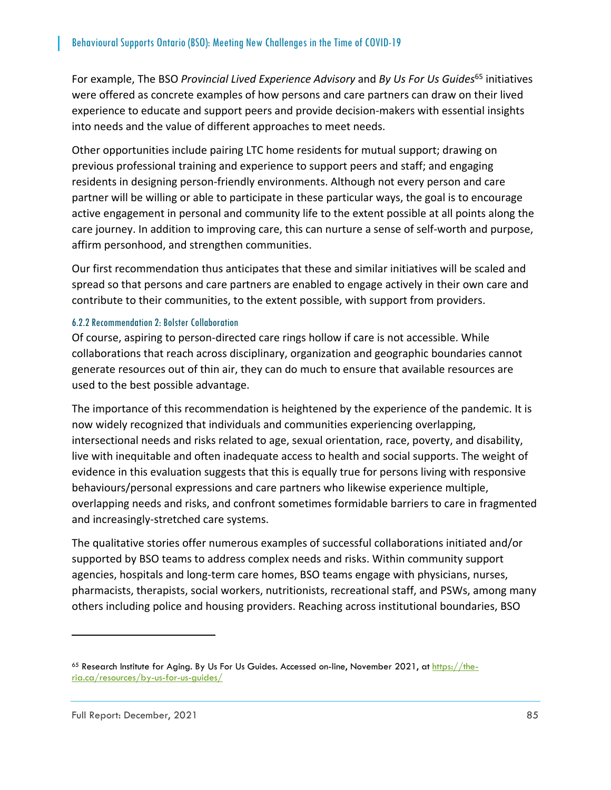For example, The BSO *Provincial Lived Experience Advisory* and *By Us For Us Guides*<sup>65</sup> initiatives were offered as concrete examples of how persons and care partners can draw on their lived experience to educate and support peers and provide decision‐makers with essential insights into needs and the value of different approaches to meet needs.

Other opportunities include pairing LTC home residents for mutual support; drawing on previous professional training and experience to support peers and staff; and engaging residents in designing person‐friendly environments. Although not every person and care partner will be willing or able to participate in these particular ways, the goal is to encourage active engagement in personal and community life to the extent possible at all points along the care journey. In addition to improving care, this can nurture a sense of self‐worth and purpose, affirm personhood, and strengthen communities.

Our first recommendation thus anticipates that these and similar initiatives will be scaled and spread so that persons and care partners are enabled to engage actively in their own care and contribute to their communities, to the extent possible, with support from providers.

#### 6.2.2 Recommendation 2: Bolster Collaboration

Of course, aspiring to person‐directed care rings hollow if care is not accessible. While collaborations that reach across disciplinary, organization and geographic boundaries cannot generate resources out of thin air, they can do much to ensure that available resources are used to the best possible advantage.

The importance of this recommendation is heightened by the experience of the pandemic. It is now widely recognized that individuals and communities experiencing overlapping, intersectional needs and risks related to age, sexual orientation, race, poverty, and disability, live with inequitable and often inadequate access to health and social supports. The weight of evidence in this evaluation suggests that this is equally true for persons living with responsive behaviours/personal expressions and care partners who likewise experience multiple, overlapping needs and risks, and confront sometimes formidable barriers to care in fragmented and increasingly‐stretched care systems.

The qualitative stories offer numerous examples of successful collaborations initiated and/or supported by BSO teams to address complex needs and risks. Within community support agencies, hospitals and long‐term care homes, BSO teams engage with physicians, nurses, pharmacists, therapists, social workers, nutritionists, recreational staff, and PSWs, among many others including police and housing providers. Reaching across institutional boundaries, BSO

 $\overline{a}$ 

<sup>&</sup>lt;sup>65</sup> Research Institute for Aging. By Us For Us Guides. Accessed on-line, November 2021, at https://theria.ca/resources/by-us-for-us-guides/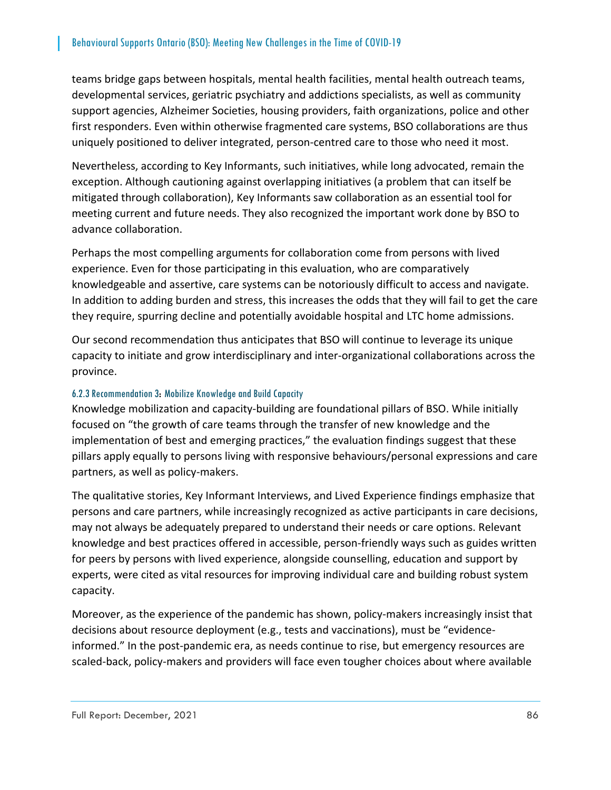teams bridge gaps between hospitals, mental health facilities, mental health outreach teams, developmental services, geriatric psychiatry and addictions specialists, as well as community support agencies, Alzheimer Societies, housing providers, faith organizations, police and other first responders. Even within otherwise fragmented care systems, BSO collaborations are thus uniquely positioned to deliver integrated, person‐centred care to those who need it most.

Nevertheless, according to Key Informants, such initiatives, while long advocated, remain the exception. Although cautioning against overlapping initiatives (a problem that can itself be mitigated through collaboration), Key Informants saw collaboration as an essential tool for meeting current and future needs. They also recognized the important work done by BSO to advance collaboration.

Perhaps the most compelling arguments for collaboration come from persons with lived experience. Even for those participating in this evaluation, who are comparatively knowledgeable and assertive, care systems can be notoriously difficult to access and navigate. In addition to adding burden and stress, this increases the odds that they will fail to get the care they require, spurring decline and potentially avoidable hospital and LTC home admissions.

Our second recommendation thus anticipates that BSO will continue to leverage its unique capacity to initiate and grow interdisciplinary and inter‐organizational collaborations across the province.

## 6.2.3 Recommendation 3: Mobilize Knowledge and Build Capacity

Knowledge mobilization and capacity‐building are foundational pillars of BSO. While initially focused on "the growth of care teams through the transfer of new knowledge and the implementation of best and emerging practices," the evaluation findings suggest that these pillars apply equally to persons living with responsive behaviours/personal expressions and care partners, as well as policy-makers.

The qualitative stories, Key Informant Interviews, and Lived Experience findings emphasize that persons and care partners, while increasingly recognized as active participants in care decisions, may not always be adequately prepared to understand their needs or care options. Relevant knowledge and best practices offered in accessible, person‐friendly ways such as guides written for peers by persons with lived experience, alongside counselling, education and support by experts, were cited as vital resources for improving individual care and building robust system capacity.

Moreover, as the experience of the pandemic has shown, policy-makers increasingly insist that decisions about resource deployment (e.g., tests and vaccinations), must be "evidence‐ informed." In the post‐pandemic era, as needs continue to rise, but emergency resources are scaled‐back, policy‐makers and providers will face even tougher choices about where available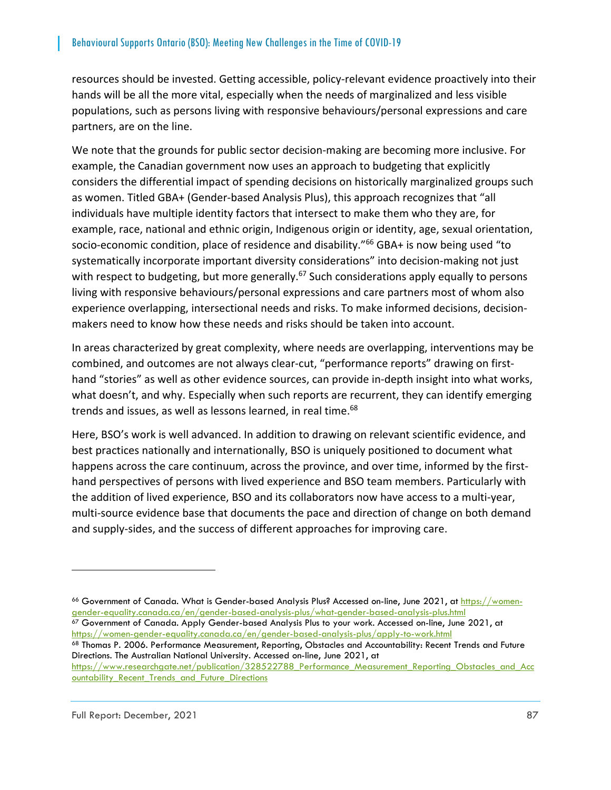resources should be invested. Getting accessible, policy-relevant evidence proactively into their hands will be all the more vital, especially when the needs of marginalized and less visible populations, such as persons living with responsive behaviours/personal expressions and care partners, are on the line.

We note that the grounds for public sector decision-making are becoming more inclusive. For example, the Canadian government now uses an approach to budgeting that explicitly considers the differential impact of spending decisions on historically marginalized groups such as women. Titled GBA+ (Gender‐based Analysis Plus), this approach recognizes that "all individuals have multiple identity factors that intersect to make them who they are, for example, race, national and ethnic origin, Indigenous origin or identity, age, sexual orientation, socio-economic condition, place of residence and disability."<sup>66</sup> GBA+ is now being used "to systematically incorporate important diversity considerations" into decision-making not just with respect to budgeting, but more generally.<sup>67</sup> Such considerations apply equally to persons living with responsive behaviours/personal expressions and care partners most of whom also experience overlapping, intersectional needs and risks. To make informed decisions, decisionmakers need to know how these needs and risks should be taken into account.

In areas characterized by great complexity, where needs are overlapping, interventions may be combined, and outcomes are not always clear-cut, "performance reports" drawing on firsthand "stories" as well as other evidence sources, can provide in-depth insight into what works, what doesn't, and why. Especially when such reports are recurrent, they can identify emerging trends and issues, as well as lessons learned, in real time.<sup>68</sup>

Here, BSO's work is well advanced. In addition to drawing on relevant scientific evidence, and best practices nationally and internationally, BSO is uniquely positioned to document what happens across the care continuum, across the province, and over time, informed by the firsthand perspectives of persons with lived experience and BSO team members. Particularly with the addition of lived experience, BSO and its collaborators now have access to a multi‐year, multi‐source evidence base that documents the pace and direction of change on both demand and supply‐sides, and the success of different approaches for improving care.

<sup>66</sup> Government of Canada. What is Gender-based Analysis Plus? Accessed on-line, June 2021, at https://womengender-equality.canada.ca/en/gender-based-analysis-plus/what-gender-based-analysis-plus.html<br><sup>67</sup> Government of Canada. Apply Gender-based Analysis Plus to your work. Accessed on-line, June 2021, at

https://women-gender-equality.canada.ca/en/gender-based-analysis-plus/apply-to-work.html<br><sup>68</sup> Thomas P. 2006. Performance Measurement, Reporting, Obstacles and Accountability: Recent Trends and Future

Directions. The Australian National University. Accessed on-line, June 2021, at https://www.researchgate.net/publication/328522788 Performance Measurement Reporting Obstacles and Acc

ountability\_Recent\_Trends\_and\_Future\_Directions